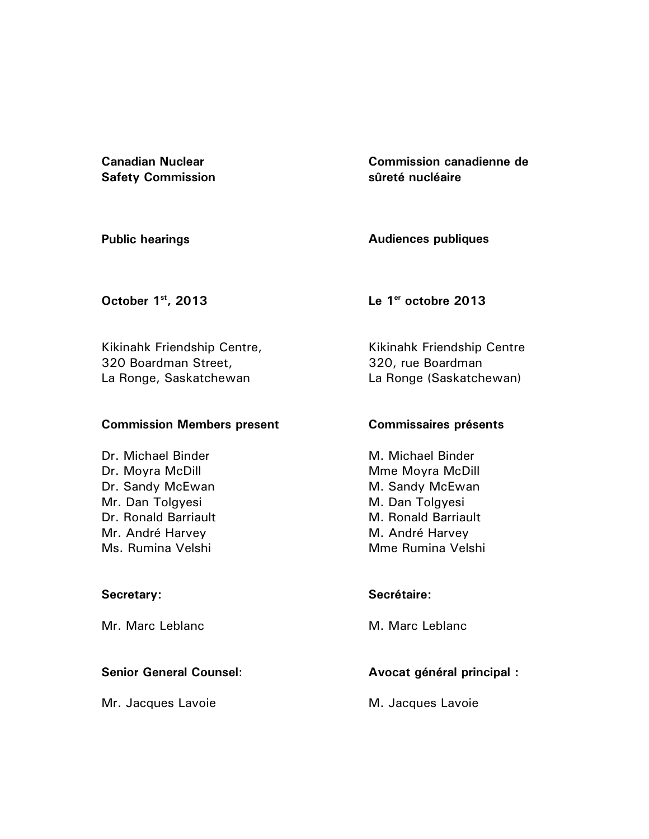**Canadian Nuclear Safety Commission**  **Commission canadienne de sûreté nucléaire** 

**Public hearings** 

**Audiences publiques** 

**October 1st, 2013** 

**Le 1er octobre 2013** 

Kikinahk Friendship Centre, 320 Boardman Street, La Ronge, Saskatchewan

# **Commission Members present**

Dr. Michael Binder Dr. Moyra McDill Dr. Sandy McEwan Mr. Dan Tolgyesi Dr. Ronald Barriault Mr. André Harvey Ms. Rumina Velshi

# **Secretary:**

Mr. Marc Leblanc

# **Senior General Counsel**:

Mr. Jacques Lavoie

Kikinahk Friendship Centre 320, rue Boardman La Ronge (Saskatchewan)

# **Commissaires présents**

M. Michael Binder Mme Moyra McDill M. Sandy McEwan M. Dan Tolgyesi M. Ronald Barriault M. André Harvey Mme Rumina Velshi

# **Secrétaire:**

M. Marc Leblanc

# **Avocat général principal :**

M. Jacques Lavoie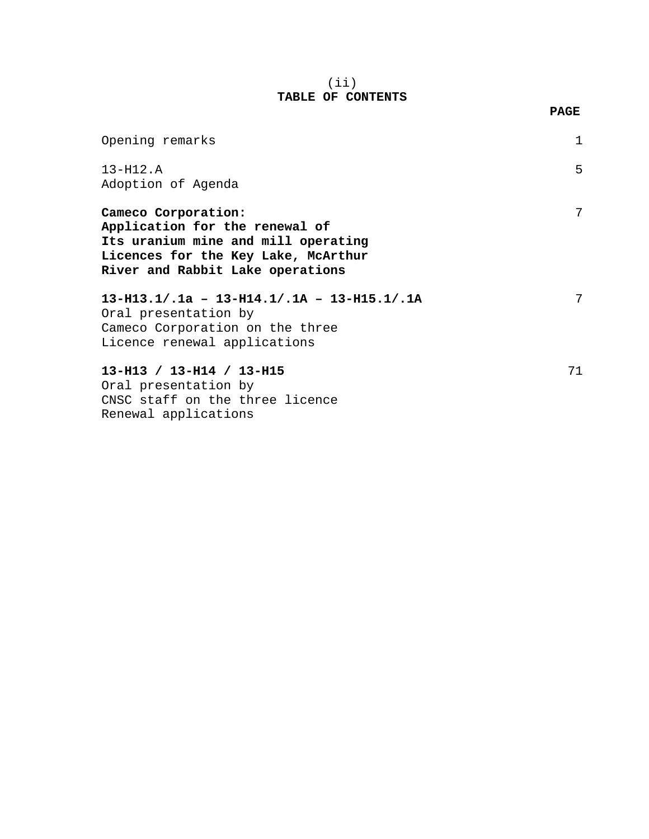### (ii) **TABLE OF CONTENTS**

| Opening remarks                                                                                                                                                         |    |
|-------------------------------------------------------------------------------------------------------------------------------------------------------------------------|----|
| $13 - H12.A$<br>Adoption of Agenda                                                                                                                                      | 5  |
| Cameco Corporation:<br>Application for the renewal of<br>Its uranium mine and mill operating<br>Licences for the Key Lake, McArthur<br>River and Rabbit Lake operations | 7  |
| $13-H13.1/.1a - 13-H14.1/.1A - 13-H15.1/.1A$<br>Oral presentation by<br>Cameco Corporation on the three<br>Licence renewal applications                                 | 7  |
| $13-H13 / 13-H14 / 13-H15$<br>Oral presentation by<br>CNSC staff on the three licence<br>Renewal applications                                                           | 71 |

### **PAGE**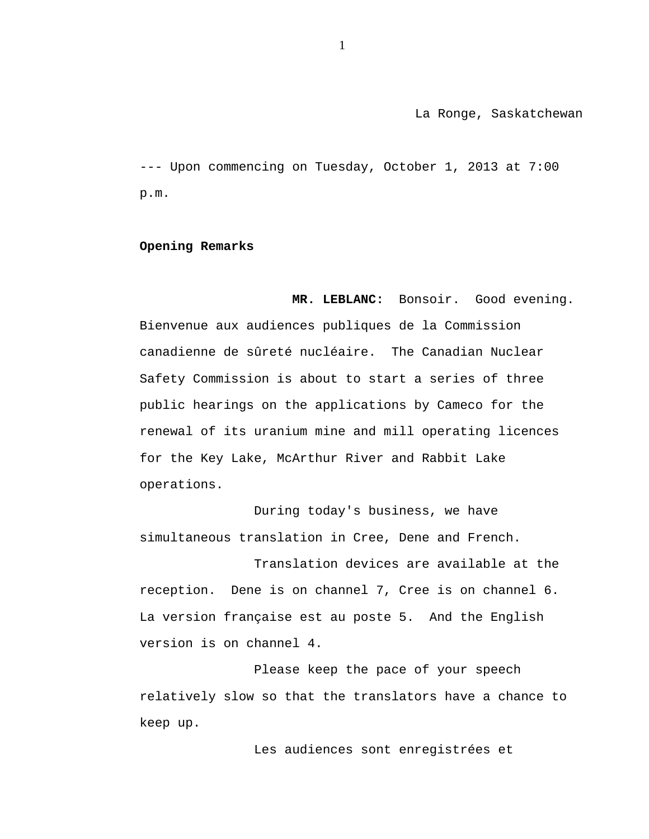La Ronge, Saskatchewan

--- Upon commencing on Tuesday, October 1, 2013 at 7:00 p.m.

#### **Opening Remarks**

**MR. LEBLANC:** Bonsoir. Good evening. Bienvenue aux audiences publiques de la Commission canadienne de sûreté nucléaire. The Canadian Nuclear Safety Commission is about to start a series of three public hearings on the applications by Cameco for the renewal of its uranium mine and mill operating licences for the Key Lake, McArthur River and Rabbit Lake operations.

During today's business, we have simultaneous translation in Cree, Dene and French.

Translation devices are available at the reception. Dene is on channel 7, Cree is on channel 6. La version française est au poste 5. And the English version is on channel 4.

Please keep the pace of your speech relatively slow so that the translators have a chance to keep up.

Les audiences sont enregistrées et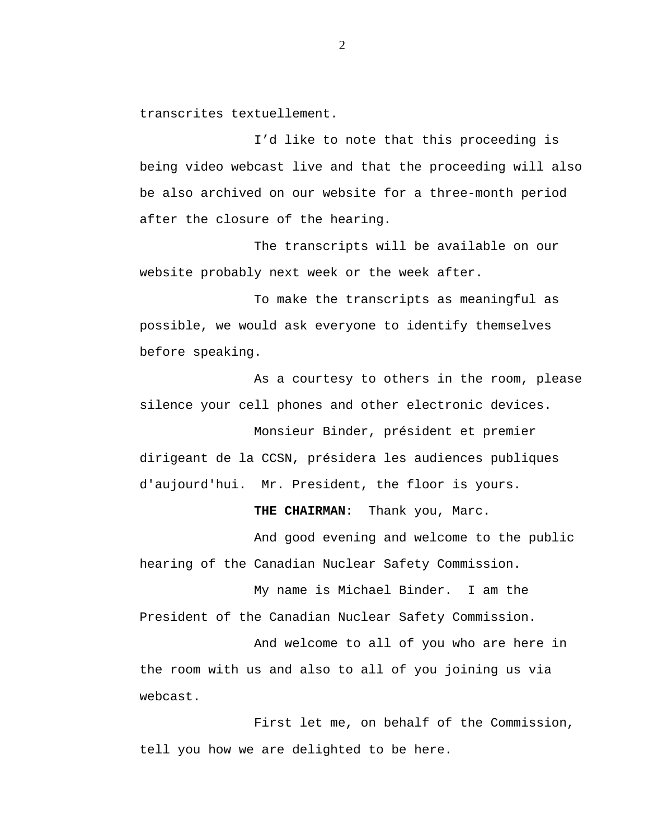transcrites textuellement.

I'd like to note that this proceeding is being video webcast live and that the proceeding will also be also archived on our website for a three-month period after the closure of the hearing.

The transcripts will be available on our website probably next week or the week after.

To make the transcripts as meaningful as possible, we would ask everyone to identify themselves before speaking.

As a courtesy to others in the room, please silence your cell phones and other electronic devices.

Monsieur Binder, président et premier dirigeant de la CCSN, présidera les audiences publiques d'aujourd'hui. Mr. President, the floor is yours.

**THE CHAIRMAN:** Thank you, Marc.

And good evening and welcome to the public hearing of the Canadian Nuclear Safety Commission.

My name is Michael Binder. I am the President of the Canadian Nuclear Safety Commission.

And welcome to all of you who are here in the room with us and also to all of you joining us via webcast.

First let me, on behalf of the Commission, tell you how we are delighted to be here.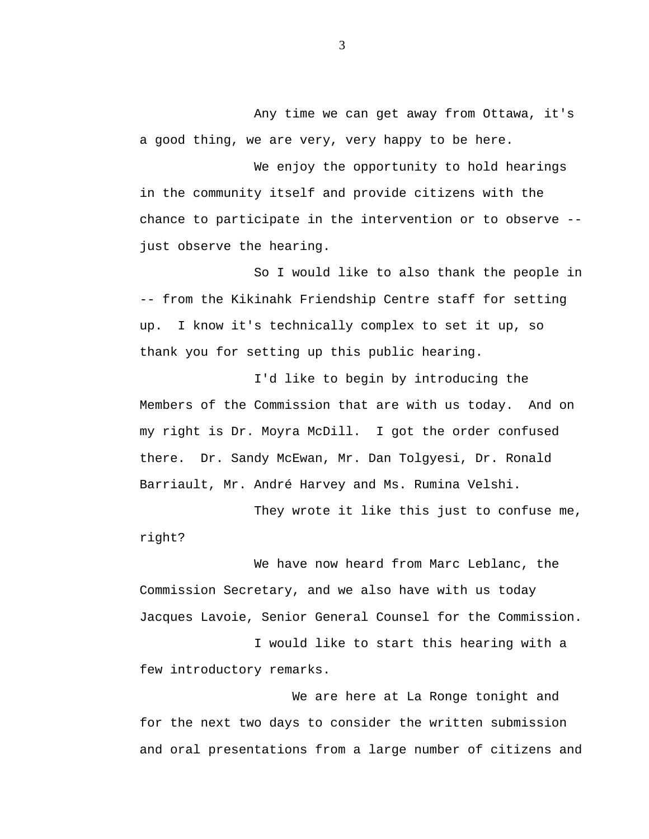Any time we can get away from Ottawa, it's a good thing, we are very, very happy to be here.

We enjoy the opportunity to hold hearings in the community itself and provide citizens with the chance to participate in the intervention or to observe - just observe the hearing.

So I would like to also thank the people in -- from the Kikinahk Friendship Centre staff for setting up. I know it's technically complex to set it up, so thank you for setting up this public hearing.

I'd like to begin by introducing the Members of the Commission that are with us today. And on my right is Dr. Moyra McDill. I got the order confused there. Dr. Sandy McEwan, Mr. Dan Tolgyesi, Dr. Ronald Barriault, Mr. André Harvey and Ms. Rumina Velshi.

They wrote it like this just to confuse me, right?

We have now heard from Marc Leblanc, the Commission Secretary, and we also have with us today Jacques Lavoie, Senior General Counsel for the Commission.

I would like to start this hearing with a few introductory remarks.

We are here at La Ronge tonight and for the next two days to consider the written submission and oral presentations from a large number of citizens and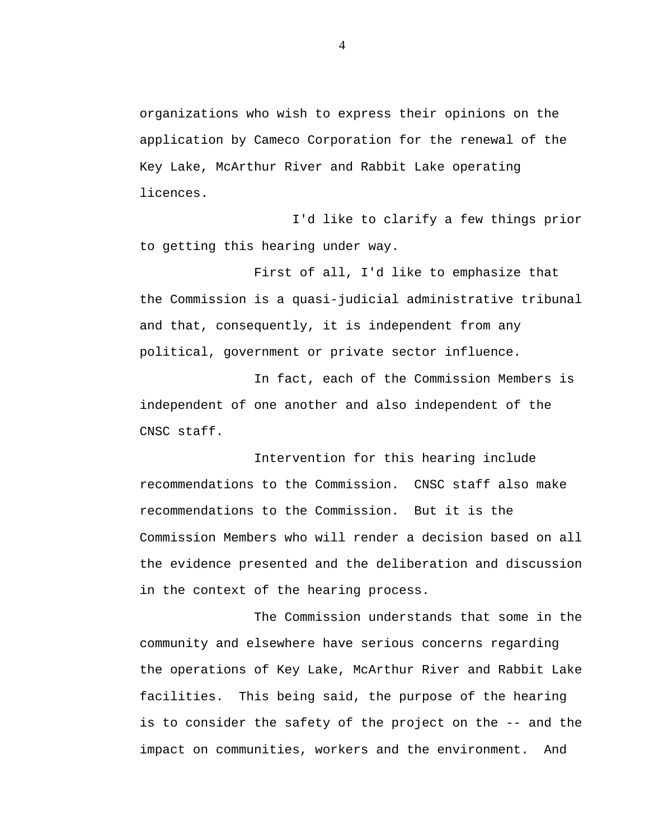organizations who wish to express their opinions on the application by Cameco Corporation for the renewal of the Key Lake, McArthur River and Rabbit Lake operating licences.

I'd like to clarify a few things prior to getting this hearing under way.

First of all, I'd like to emphasize that the Commission is a quasi-judicial administrative tribunal and that, consequently, it is independent from any political, government or private sector influence.

In fact, each of the Commission Members is independent of one another and also independent of the CNSC staff.

Intervention for this hearing include recommendations to the Commission. CNSC staff also make recommendations to the Commission. But it is the Commission Members who will render a decision based on all the evidence presented and the deliberation and discussion in the context of the hearing process.

The Commission understands that some in the community and elsewhere have serious concerns regarding the operations of Key Lake, McArthur River and Rabbit Lake facilities. This being said, the purpose of the hearing is to consider the safety of the project on the -- and the impact on communities, workers and the environment. And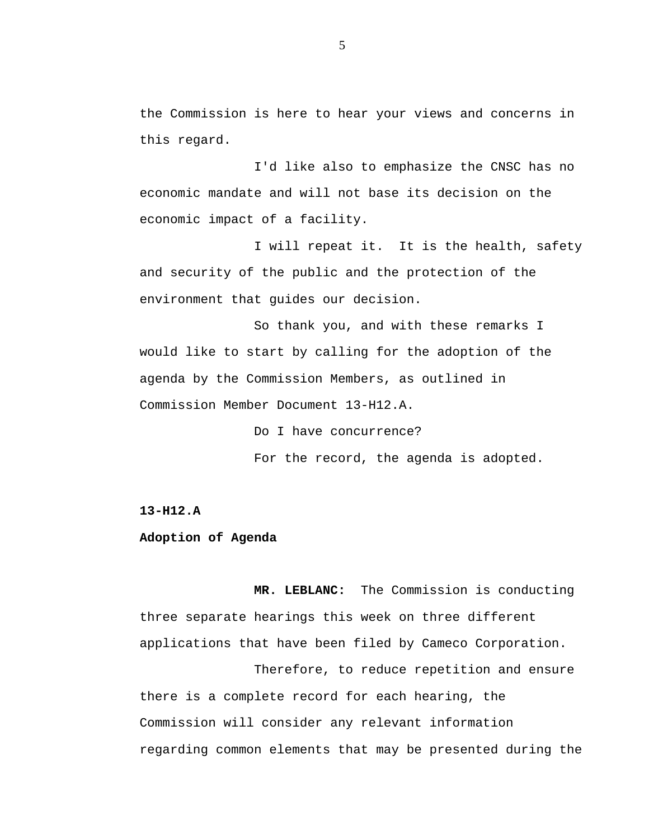the Commission is here to hear your views and concerns in this regard.

I'd like also to emphasize the CNSC has no economic mandate and will not base its decision on the economic impact of a facility.

I will repeat it. It is the health, safety and security of the public and the protection of the environment that guides our decision.

So thank you, and with these remarks I would like to start by calling for the adoption of the agenda by the Commission Members, as outlined in Commission Member Document 13-H12.A.

> Do I have concurrence? For the record, the agenda is adopted.

**13-H12.A**

### **Adoption of Agenda**

**MR. LEBLANC:** The Commission is conducting three separate hearings this week on three different applications that have been filed by Cameco Corporation.

Therefore, to reduce repetition and ensure there is a complete record for each hearing, the Commission will consider any relevant information regarding common elements that may be presented during the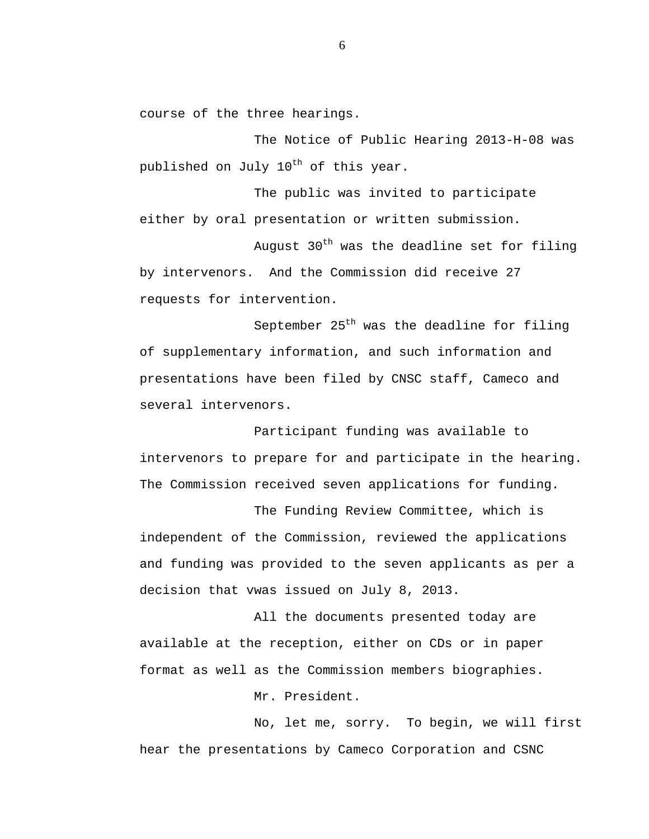course of the three hearings.

The Notice of Public Hearing 2013-H-08 was published on July 10<sup>th</sup> of this year.

The public was invited to participate either by oral presentation or written submission.

August  $30<sup>th</sup>$  was the deadline set for filing by intervenors. And the Commission did receive 27 requests for intervention.

September  $25<sup>th</sup>$  was the deadline for filing of supplementary information, and such information and presentations have been filed by CNSC staff, Cameco and several intervenors.

Participant funding was available to intervenors to prepare for and participate in the hearing. The Commission received seven applications for funding.

The Funding Review Committee, which is independent of the Commission, reviewed the applications and funding was provided to the seven applicants as per a decision that vwas issued on July 8, 2013.

All the documents presented today are available at the reception, either on CDs or in paper format as well as the Commission members biographies.

Mr. President.

No, let me, sorry. To begin, we will first hear the presentations by Cameco Corporation and CSNC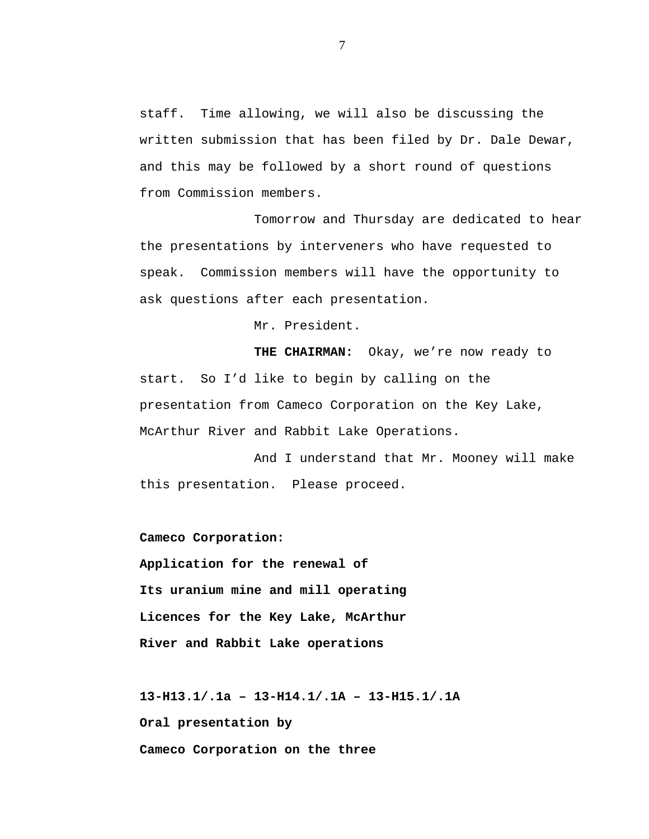staff. Time allowing, we will also be discussing the written submission that has been filed by Dr. Dale Dewar, and this may be followed by a short round of questions from Commission members.

Tomorrow and Thursday are dedicated to hear the presentations by interveners who have requested to speak. Commission members will have the opportunity to ask questions after each presentation.

Mr. President.

**THE CHAIRMAN:** Okay, we're now ready to start. So I'd like to begin by calling on the presentation from Cameco Corporation on the Key Lake, McArthur River and Rabbit Lake Operations.

And I understand that Mr. Mooney will make this presentation. Please proceed.

**Cameco Corporation: Application for the renewal of Its uranium mine and mill operating Licences for the Key Lake, McArthur River and Rabbit Lake operations**

**13-H13.1/.1a – 13-H14.1/.1A – 13-H15.1/.1A Oral presentation by Cameco Corporation on the three**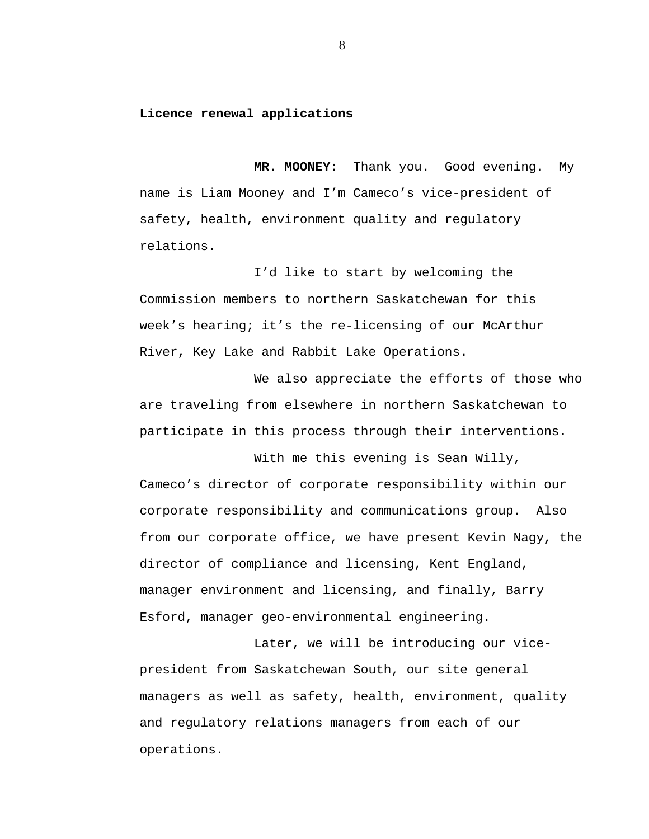#### **Licence renewal applications**

**MR. MOONEY:** Thank you.Good evening. My name is Liam Mooney and I'm Cameco's vice-president of safety, health, environment quality and regulatory relations.

I'd like to start by welcoming the Commission members to northern Saskatchewan for this week's hearing; it's the re-licensing of our McArthur River, Key Lake and Rabbit Lake Operations.

We also appreciate the efforts of those who are traveling from elsewhere in northern Saskatchewan to participate in this process through their interventions.

With me this evening is Sean Willy, Cameco's director of corporate responsibility within our corporate responsibility and communications group. Also from our corporate office, we have present Kevin Nagy, the director of compliance and licensing, Kent England, manager environment and licensing, and finally, Barry Esford, manager geo-environmental engineering.

Later, we will be introducing our vicepresident from Saskatchewan South, our site general managers as well as safety, health, environment, quality and regulatory relations managers from each of our operations.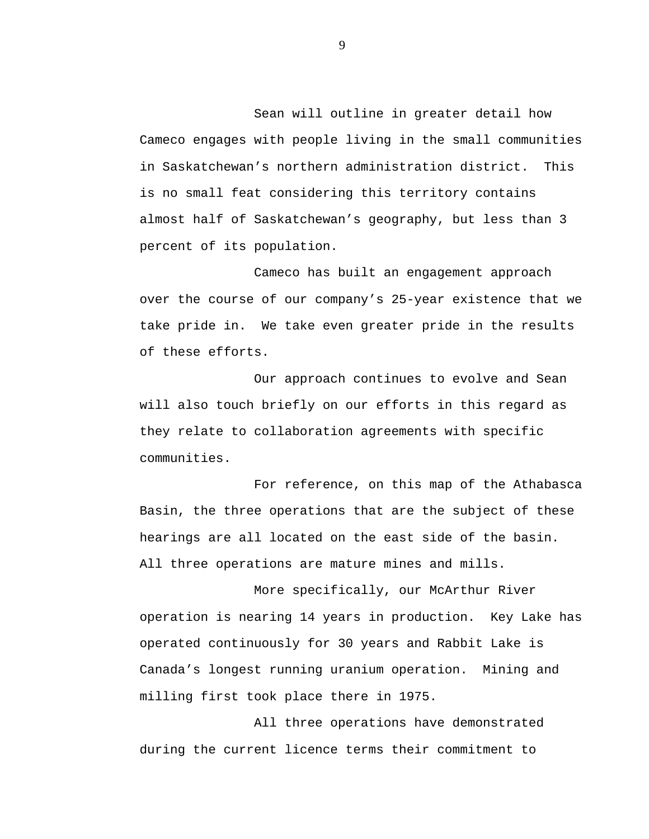Sean will outline in greater detail how Cameco engages with people living in the small communities in Saskatchewan's northern administration district. This is no small feat considering this territory contains almost half of Saskatchewan's geography, but less than 3 percent of its population.

Cameco has built an engagement approach over the course of our company's 25-year existence that we take pride in. We take even greater pride in the results of these efforts.

Our approach continues to evolve and Sean will also touch briefly on our efforts in this regard as they relate to collaboration agreements with specific communities.

For reference, on this map of the Athabasca Basin, the three operations that are the subject of these hearings are all located on the east side of the basin. All three operations are mature mines and mills.

More specifically, our McArthur River operation is nearing 14 years in production. Key Lake has operated continuously for 30 years and Rabbit Lake is Canada's longest running uranium operation. Mining and milling first took place there in 1975.

All three operations have demonstrated during the current licence terms their commitment to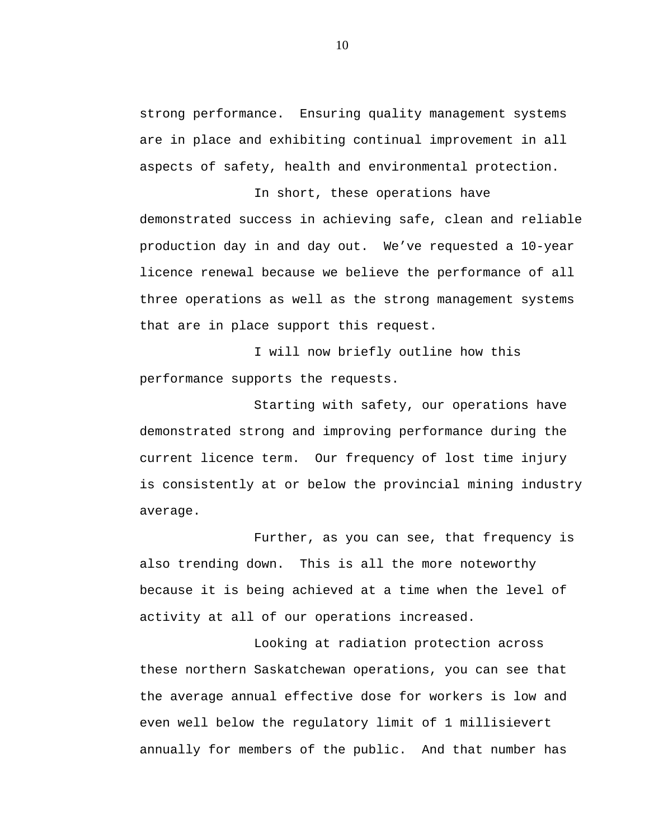strong performance. Ensuring quality management systems are in place and exhibiting continual improvement in all aspects of safety, health and environmental protection.

In short, these operations have demonstrated success in achieving safe, clean and reliable production day in and day out. We've requested a 10-year licence renewal because we believe the performance of all three operations as well as the strong management systems that are in place support this request.

I will now briefly outline how this performance supports the requests.

Starting with safety, our operations have demonstrated strong and improving performance during the current licence term. Our frequency of lost time injury is consistently at or below the provincial mining industry average.

Further, as you can see, that frequency is also trending down. This is all the more noteworthy because it is being achieved at a time when the level of activity at all of our operations increased.

Looking at radiation protection across these northern Saskatchewan operations, you can see that the average annual effective dose for workers is low and even well below the regulatory limit of 1 millisievert annually for members of the public. And that number has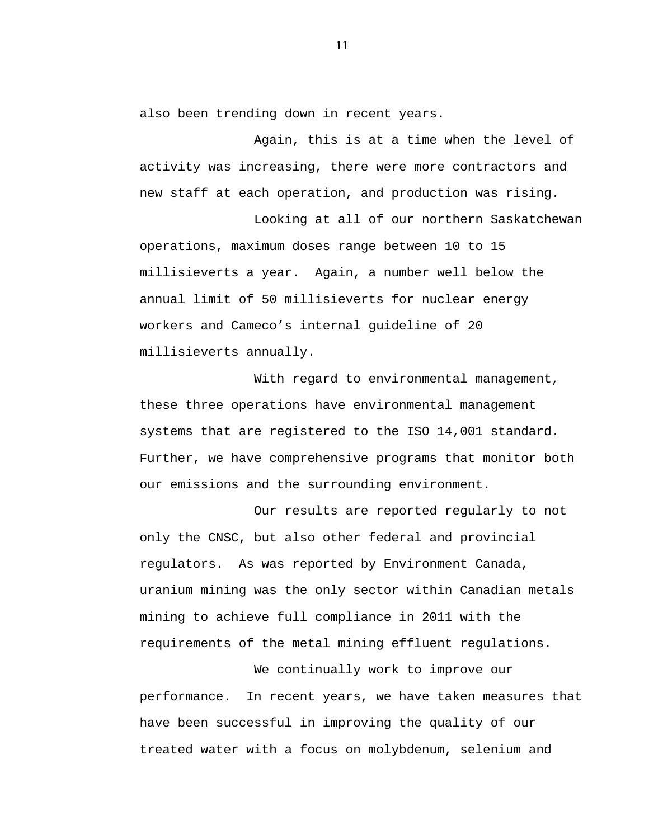also been trending down in recent years.

Again, this is at a time when the level of activity was increasing, there were more contractors and new staff at each operation, and production was rising.

Looking at all of our northern Saskatchewan operations, maximum doses range between 10 to 15 millisieverts a year. Again, a number well below the annual limit of 50 millisieverts for nuclear energy workers and Cameco's internal guideline of 20 millisieverts annually.

With regard to environmental management, these three operations have environmental management systems that are registered to the ISO 14,001 standard. Further, we have comprehensive programs that monitor both our emissions and the surrounding environment.

Our results are reported regularly to not only the CNSC, but also other federal and provincial regulators. As was reported by Environment Canada, uranium mining was the only sector within Canadian metals mining to achieve full compliance in 2011 with the requirements of the metal mining effluent regulations.

We continually work to improve our performance. In recent years, we have taken measures that have been successful in improving the quality of our treated water with a focus on molybdenum, selenium and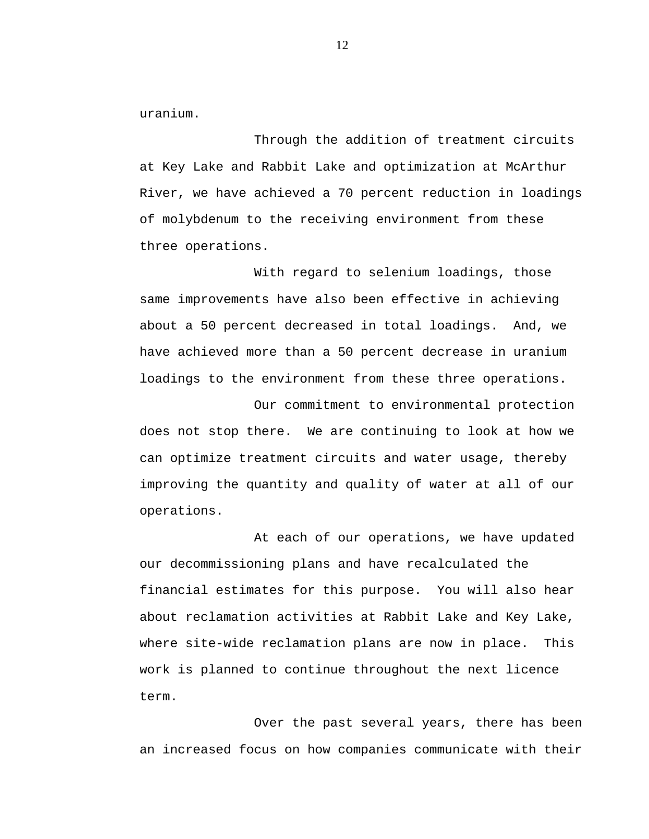uranium.

Through the addition of treatment circuits at Key Lake and Rabbit Lake and optimization at McArthur River, we have achieved a 70 percent reduction in loadings of molybdenum to the receiving environment from these three operations.

With regard to selenium loadings, those same improvements have also been effective in achieving about a 50 percent decreased in total loadings. And, we have achieved more than a 50 percent decrease in uranium loadings to the environment from these three operations.

Our commitment to environmental protection does not stop there. We are continuing to look at how we can optimize treatment circuits and water usage, thereby improving the quantity and quality of water at all of our operations.

At each of our operations, we have updated our decommissioning plans and have recalculated the financial estimates for this purpose. You will also hear about reclamation activities at Rabbit Lake and Key Lake, where site-wide reclamation plans are now in place. This work is planned to continue throughout the next licence term.

Over the past several years, there has been an increased focus on how companies communicate with their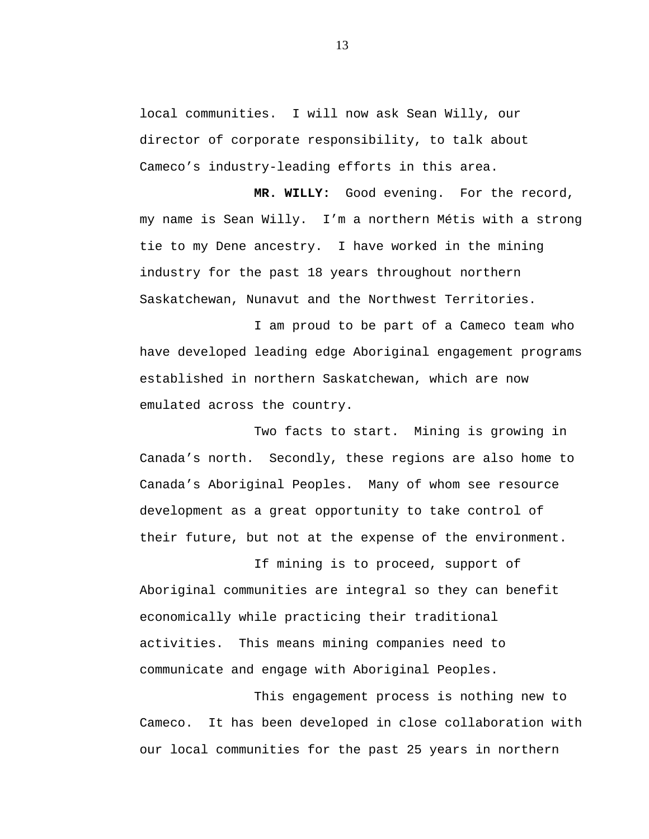local communities. I will now ask Sean Willy, our director of corporate responsibility, to talk about Cameco's industry-leading efforts in this area.

**MR. WILLY:** Good evening. For the record, my name is Sean Willy. I'm a northern Métis with a strong tie to my Dene ancestry. I have worked in the mining industry for the past 18 years throughout northern Saskatchewan, Nunavut and the Northwest Territories.

I am proud to be part of a Cameco team who have developed leading edge Aboriginal engagement programs established in northern Saskatchewan, which are now emulated across the country.

Two facts to start. Mining is growing in Canada's north. Secondly, these regions are also home to Canada's Aboriginal Peoples. Many of whom see resource development as a great opportunity to take control of their future, but not at the expense of the environment.

If mining is to proceed, support of Aboriginal communities are integral so they can benefit economically while practicing their traditional activities. This means mining companies need to communicate and engage with Aboriginal Peoples.

This engagement process is nothing new to Cameco. It has been developed in close collaboration with our local communities for the past 25 years in northern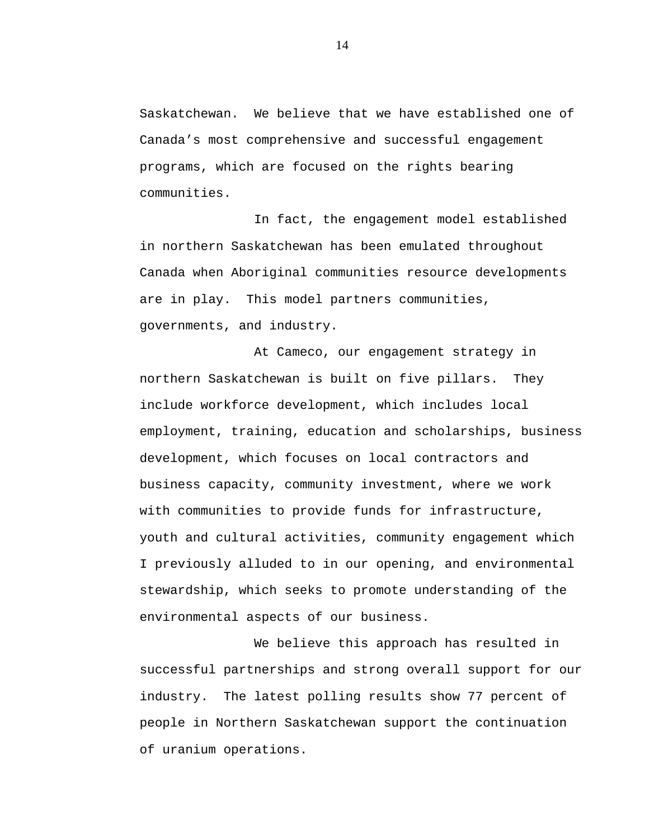Saskatchewan. We believe that we have established one of Canada's most comprehensive and successful engagement programs, which are focused on the rights bearing communities.

In fact, the engagement model established in northern Saskatchewan has been emulated throughout Canada when Aboriginal communities resource developments are in play. This model partners communities, governments, and industry.

At Cameco, our engagement strategy in northern Saskatchewan is built on five pillars. They include workforce development, which includes local employment, training, education and scholarships, business development, which focuses on local contractors and business capacity, community investment, where we work with communities to provide funds for infrastructure, youth and cultural activities, community engagement which I previously alluded to in our opening, and environmental stewardship, which seeks to promote understanding of the environmental aspects of our business.

We believe this approach has resulted in successful partnerships and strong overall support for our industry. The latest polling results show 77 percent of people in Northern Saskatchewan support the continuation of uranium operations.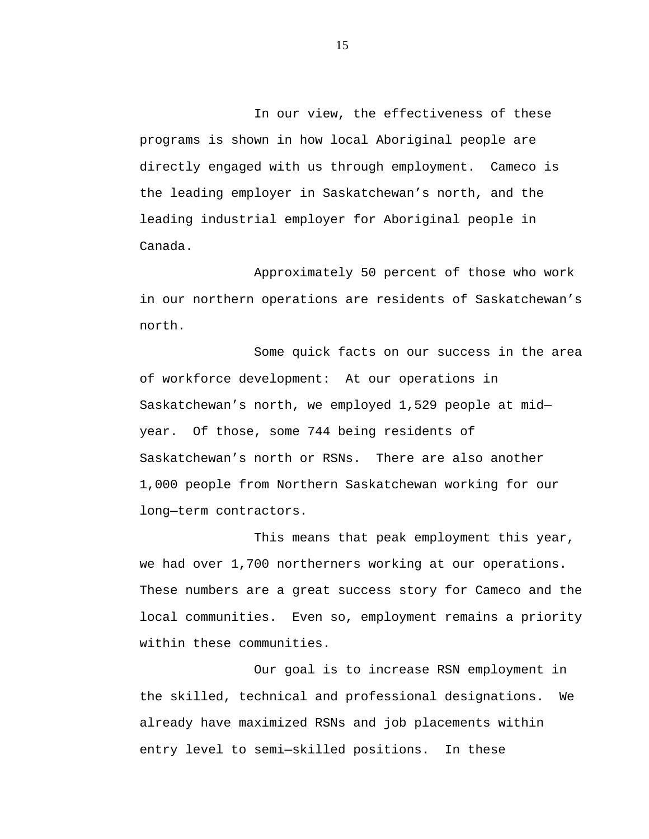In our view, the effectiveness of these programs is shown in how local Aboriginal people are directly engaged with us through employment. Cameco is the leading employer in Saskatchewan's north, and the leading industrial employer for Aboriginal people in Canada.

Approximately 50 percent of those who work in our northern operations are residents of Saskatchewan's north.

Some quick facts on our success in the area of workforce development: At our operations in Saskatchewan's north, we employed 1,529 people at mid year. Of those, some 744 being residents of Saskatchewan's north or RSNs. There are also another 1,000 people from Northern Saskatchewan working for our long—term contractors.

This means that peak employment this year, we had over 1,700 northerners working at our operations. These numbers are a great success story for Cameco and the local communities. Even so, employment remains a priority within these communities.

Our goal is to increase RSN employment in the skilled, technical and professional designations. We already have maximized RSNs and job placements within entry level to semi—skilled positions. In these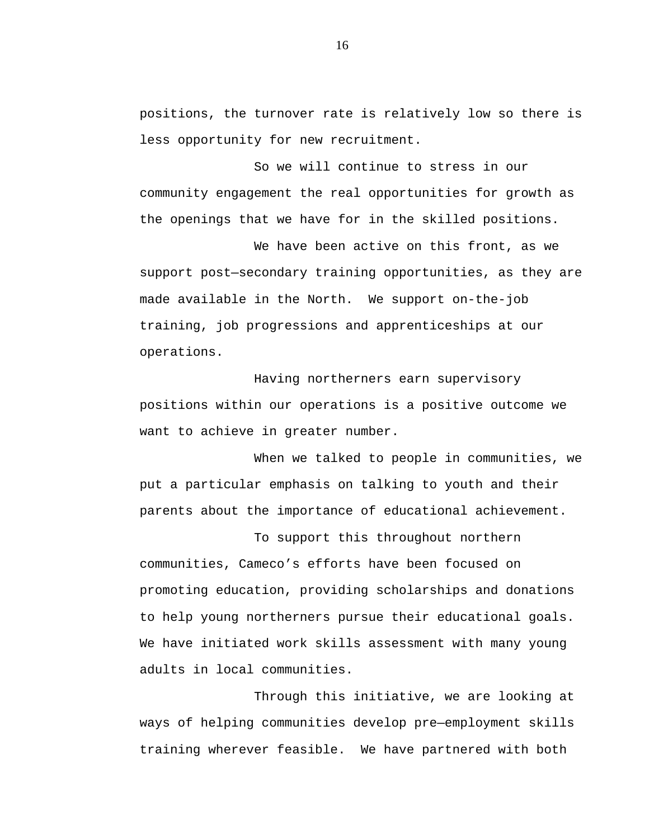positions, the turnover rate is relatively low so there is less opportunity for new recruitment.

So we will continue to stress in our community engagement the real opportunities for growth as the openings that we have for in the skilled positions.

We have been active on this front, as we support post—secondary training opportunities, as they are made available in the North. We support on-the-job training, job progressions and apprenticeships at our operations.

Having northerners earn supervisory positions within our operations is a positive outcome we want to achieve in greater number.

When we talked to people in communities, we put a particular emphasis on talking to youth and their parents about the importance of educational achievement.

To support this throughout northern communities, Cameco's efforts have been focused on promoting education, providing scholarships and donations to help young northerners pursue their educational goals. We have initiated work skills assessment with many young adults in local communities.

Through this initiative, we are looking at ways of helping communities develop pre—employment skills training wherever feasible. We have partnered with both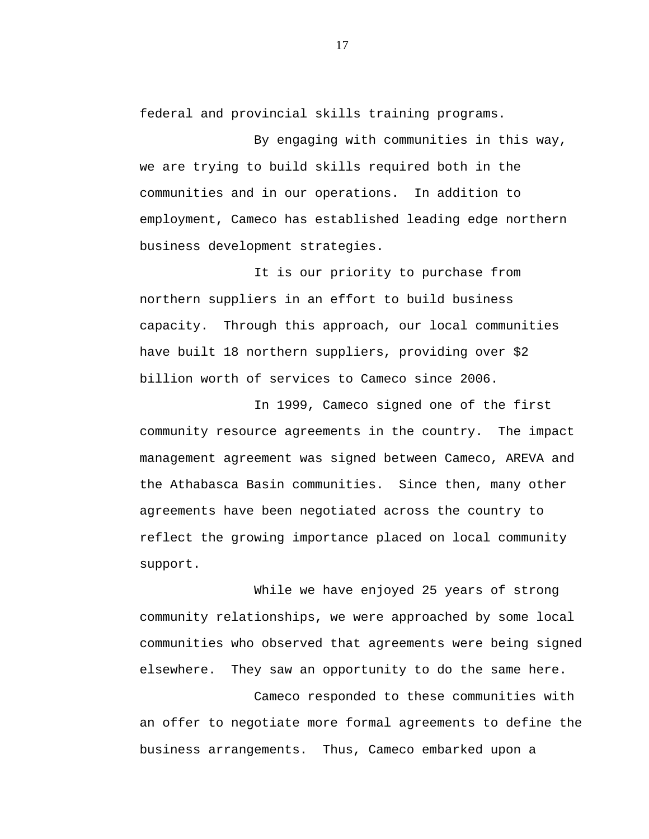federal and provincial skills training programs.

By engaging with communities in this way, we are trying to build skills required both in the communities and in our operations. In addition to employment, Cameco has established leading edge northern business development strategies.

It is our priority to purchase from northern suppliers in an effort to build business capacity. Through this approach, our local communities have built 18 northern suppliers, providing over \$2 billion worth of services to Cameco since 2006.

In 1999, Cameco signed one of the first community resource agreements in the country. The impact management agreement was signed between Cameco, AREVA and the Athabasca Basin communities. Since then, many other agreements have been negotiated across the country to reflect the growing importance placed on local community support.

While we have enjoyed 25 years of strong community relationships, we were approached by some local communities who observed that agreements were being signed elsewhere. They saw an opportunity to do the same here.

Cameco responded to these communities with an offer to negotiate more formal agreements to define the business arrangements. Thus, Cameco embarked upon a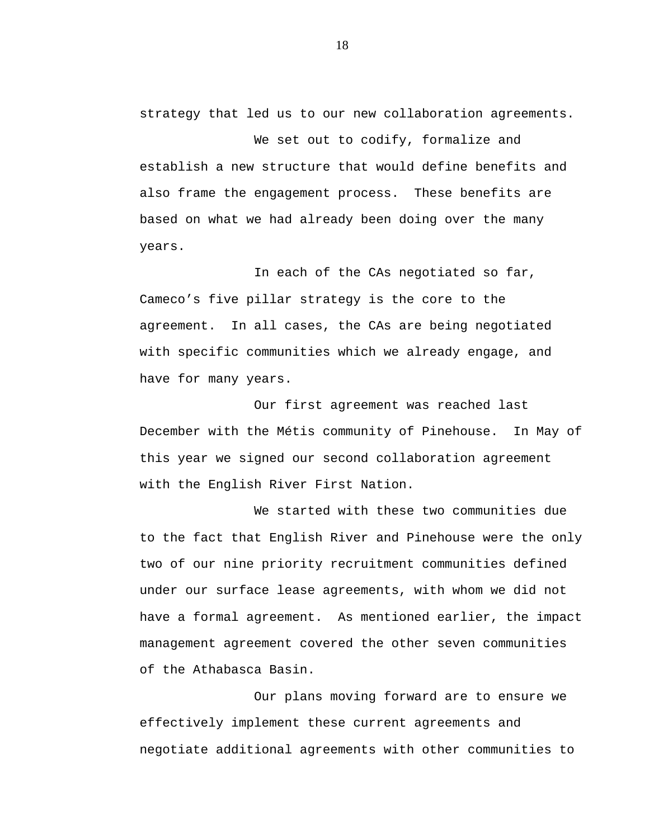strategy that led us to our new collaboration agreements.

We set out to codify, formalize and establish a new structure that would define benefits and also frame the engagement process. These benefits are based on what we had already been doing over the many years.

In each of the CAs negotiated so far, Cameco's five pillar strategy is the core to the agreement. In all cases, the CAs are being negotiated with specific communities which we already engage, and have for many years.

Our first agreement was reached last December with the Métis community of Pinehouse. In May of this year we signed our second collaboration agreement with the English River First Nation.

We started with these two communities due to the fact that English River and Pinehouse were the only two of our nine priority recruitment communities defined under our surface lease agreements, with whom we did not have a formal agreement. As mentioned earlier, the impact management agreement covered the other seven communities of the Athabasca Basin.

Our plans moving forward are to ensure we effectively implement these current agreements and negotiate additional agreements with other communities to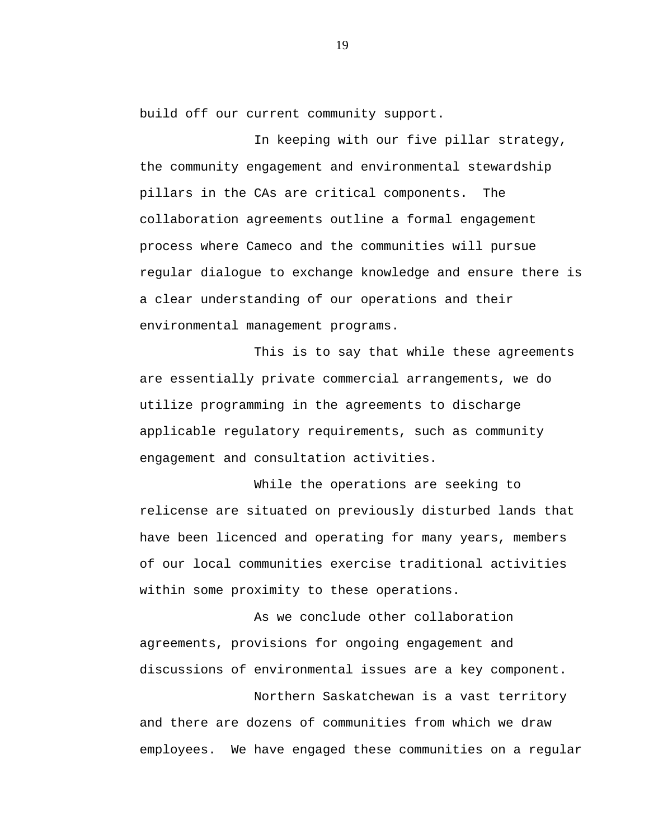build off our current community support.

In keeping with our five pillar strategy, the community engagement and environmental stewardship pillars in the CAs are critical components. The collaboration agreements outline a formal engagement process where Cameco and the communities will pursue regular dialogue to exchange knowledge and ensure there is a clear understanding of our operations and their environmental management programs.

This is to say that while these agreements are essentially private commercial arrangements, we do utilize programming in the agreements to discharge applicable regulatory requirements, such as community engagement and consultation activities.

While the operations are seeking to relicense are situated on previously disturbed lands that have been licenced and operating for many years, members of our local communities exercise traditional activities within some proximity to these operations.

As we conclude other collaboration agreements, provisions for ongoing engagement and discussions of environmental issues are a key component.

Northern Saskatchewan is a vast territory and there are dozens of communities from which we draw employees. We have engaged these communities on a regular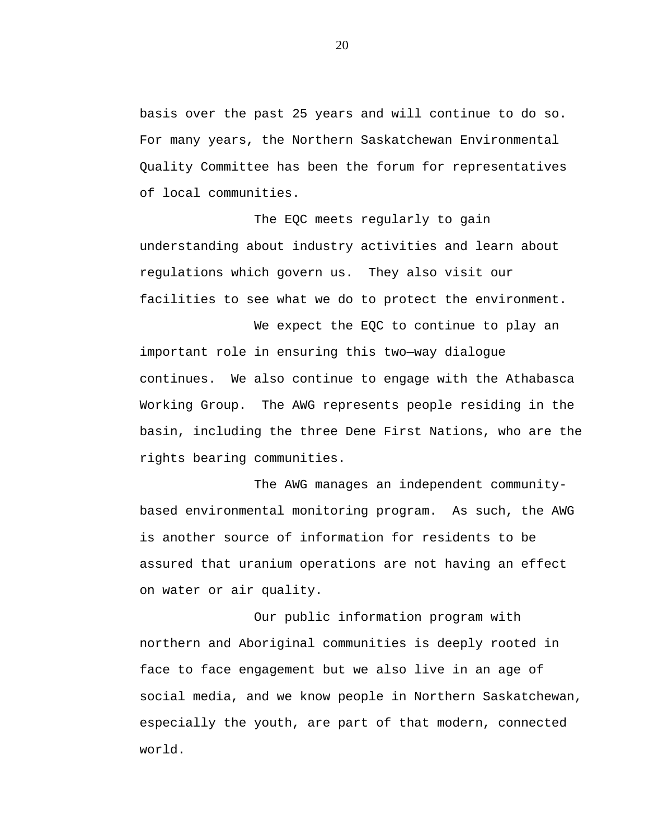basis over the past 25 years and will continue to do so. For many years, the Northern Saskatchewan Environmental Quality Committee has been the forum for representatives of local communities.

The EQC meets regularly to gain understanding about industry activities and learn about regulations which govern us. They also visit our facilities to see what we do to protect the environment.

We expect the EQC to continue to play an important role in ensuring this two—way dialogue continues. We also continue to engage with the Athabasca Working Group. The AWG represents people residing in the basin, including the three Dene First Nations, who are the rights bearing communities.

The AWG manages an independent communitybased environmental monitoring program. As such, the AWG is another source of information for residents to be assured that uranium operations are not having an effect on water or air quality.

Our public information program with northern and Aboriginal communities is deeply rooted in face to face engagement but we also live in an age of social media, and we know people in Northern Saskatchewan, especially the youth, are part of that modern, connected world.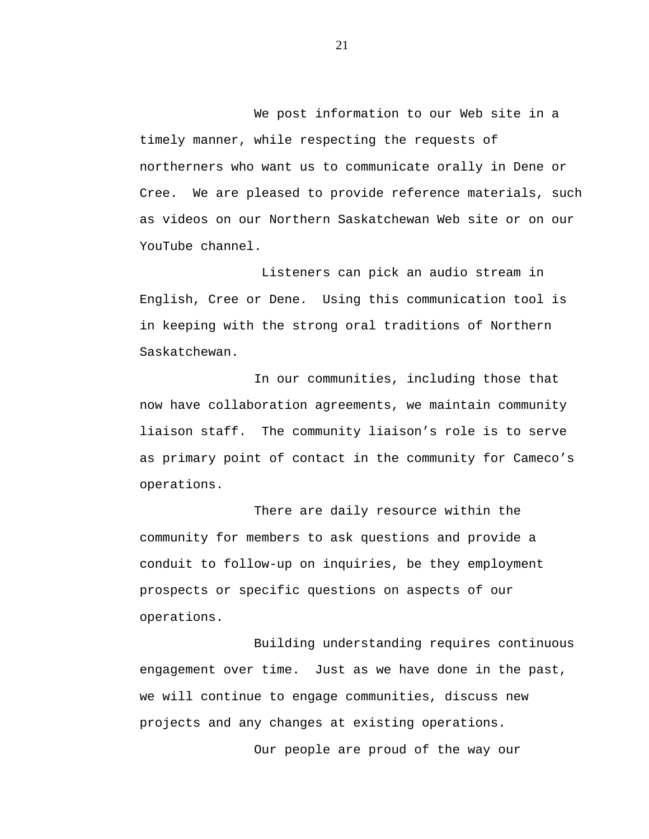We post information to our Web site in a timely manner, while respecting the requests of northerners who want us to communicate orally in Dene or Cree. We are pleased to provide reference materials, such as videos on our Northern Saskatchewan Web site or on our YouTube channel.

Listeners can pick an audio stream in English, Cree or Dene. Using this communication tool is in keeping with the strong oral traditions of Northern Saskatchewan.

In our communities, including those that now have collaboration agreements, we maintain community liaison staff. The community liaison's role is to serve as primary point of contact in the community for Cameco's operations.

There are daily resource within the community for members to ask questions and provide a conduit to follow-up on inquiries, be they employment prospects or specific questions on aspects of our operations.

Building understanding requires continuous engagement over time. Just as we have done in the past, we will continue to engage communities, discuss new projects and any changes at existing operations.

Our people are proud of the way our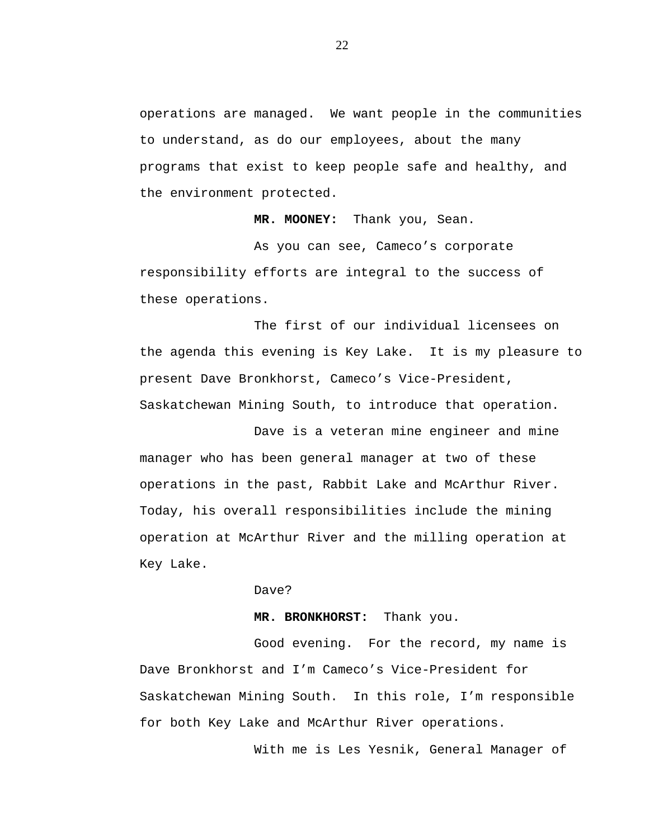operations are managed. We want people in the communities to understand, as do our employees, about the many programs that exist to keep people safe and healthy, and the environment protected.

**MR. MOONEY:** Thank you, Sean.

As you can see, Cameco's corporate responsibility efforts are integral to the success of these operations.

The first of our individual licensees on the agenda this evening is Key Lake. It is my pleasure to present Dave Bronkhorst, Cameco's Vice-President, Saskatchewan Mining South, to introduce that operation.

Dave is a veteran mine engineer and mine manager who has been general manager at two of these operations in the past, Rabbit Lake and McArthur River. Today, his overall responsibilities include the mining operation at McArthur River and the milling operation at Key Lake.

Dave?

**MR. BRONKHORST:** Thank you.

Good evening. For the record, my name is Dave Bronkhorst and I'm Cameco's Vice-President for Saskatchewan Mining South. In this role, I'm responsible for both Key Lake and McArthur River operations.

With me is Les Yesnik, General Manager of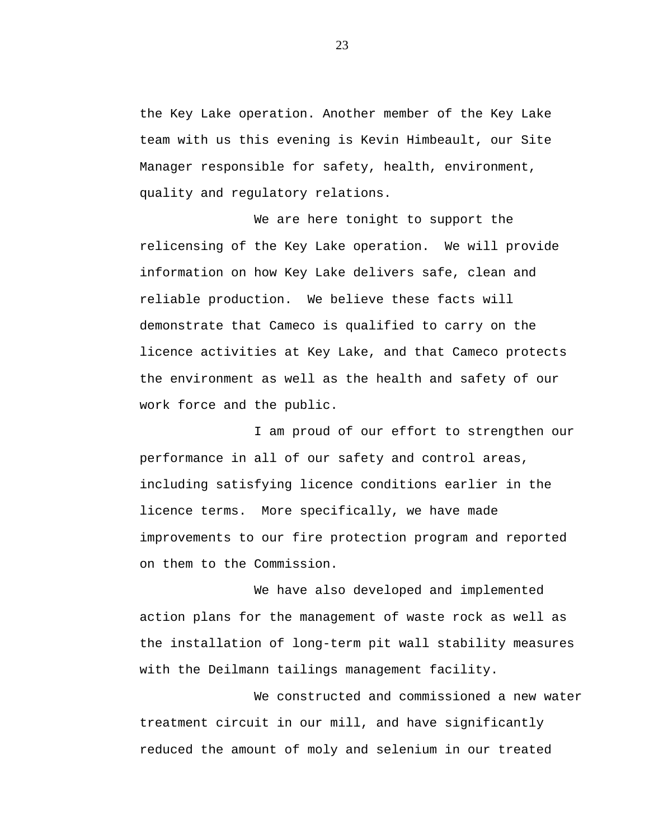the Key Lake operation. Another member of the Key Lake team with us this evening is Kevin Himbeault, our Site Manager responsible for safety, health, environment, quality and regulatory relations.

We are here tonight to support the relicensing of the Key Lake operation. We will provide information on how Key Lake delivers safe, clean and reliable production. We believe these facts will demonstrate that Cameco is qualified to carry on the licence activities at Key Lake, and that Cameco protects the environment as well as the health and safety of our work force and the public.

I am proud of our effort to strengthen our performance in all of our safety and control areas, including satisfying licence conditions earlier in the licence terms. More specifically, we have made improvements to our fire protection program and reported on them to the Commission.

We have also developed and implemented action plans for the management of waste rock as well as the installation of long-term pit wall stability measures with the Deilmann tailings management facility.

We constructed and commissioned a new water treatment circuit in our mill, and have significantly reduced the amount of moly and selenium in our treated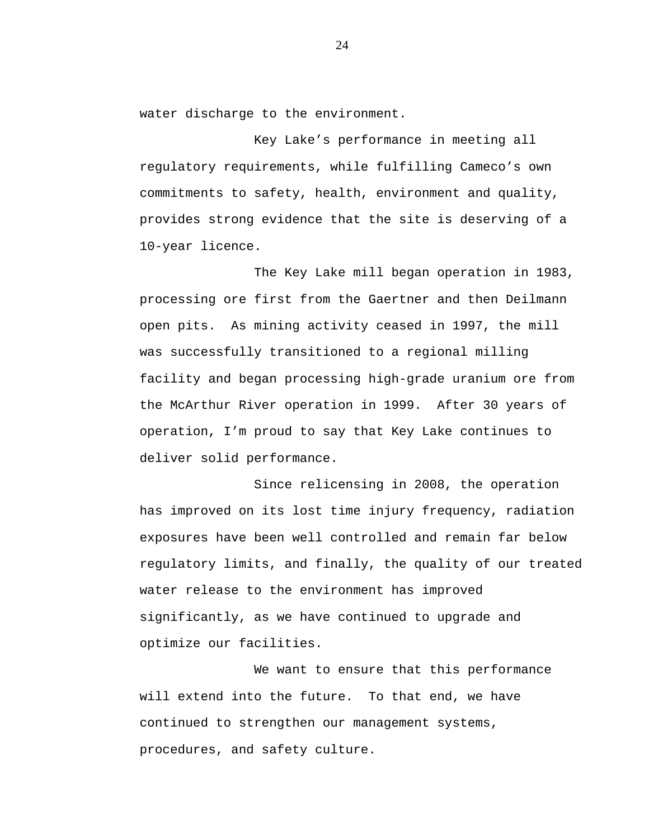water discharge to the environment.

Key Lake's performance in meeting all regulatory requirements, while fulfilling Cameco's own commitments to safety, health, environment and quality, provides strong evidence that the site is deserving of a 10-year licence.

The Key Lake mill began operation in 1983, processing ore first from the Gaertner and then Deilmann open pits. As mining activity ceased in 1997, the mill was successfully transitioned to a regional milling facility and began processing high-grade uranium ore from the McArthur River operation in 1999. After 30 years of operation, I'm proud to say that Key Lake continues to deliver solid performance.

Since relicensing in 2008, the operation has improved on its lost time injury frequency, radiation exposures have been well controlled and remain far below regulatory limits, and finally, the quality of our treated water release to the environment has improved significantly, as we have continued to upgrade and optimize our facilities.

We want to ensure that this performance will extend into the future. To that end, we have continued to strengthen our management systems, procedures, and safety culture.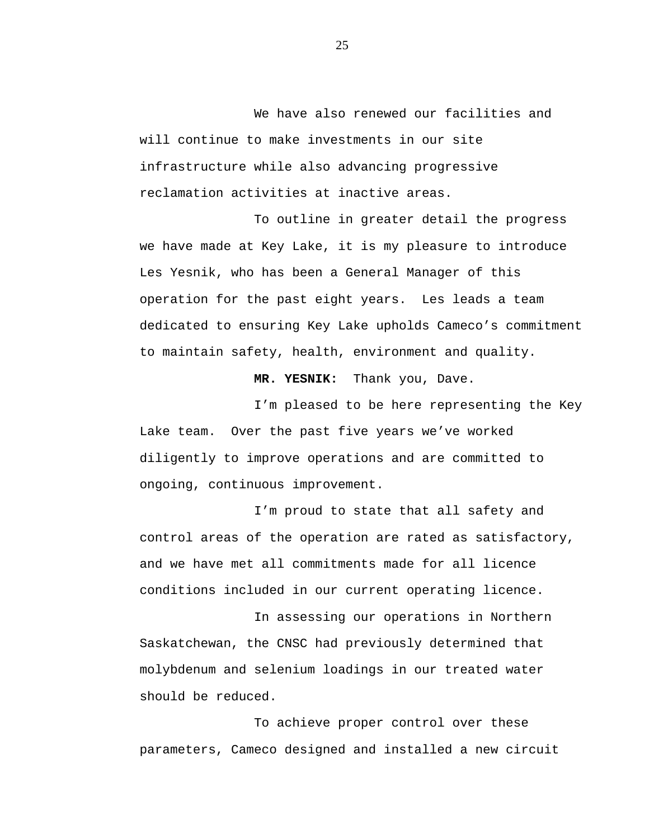We have also renewed our facilities and will continue to make investments in our site infrastructure while also advancing progressive reclamation activities at inactive areas.

To outline in greater detail the progress we have made at Key Lake, it is my pleasure to introduce Les Yesnik, who has been a General Manager of this operation for the past eight years. Les leads a team dedicated to ensuring Key Lake upholds Cameco's commitment to maintain safety, health, environment and quality.

**MR. YESNIK:** Thank you, Dave.

I'm pleased to be here representing the Key Lake team. Over the past five years we've worked diligently to improve operations and are committed to ongoing, continuous improvement.

I'm proud to state that all safety and control areas of the operation are rated as satisfactory, and we have met all commitments made for all licence conditions included in our current operating licence.

In assessing our operations in Northern Saskatchewan, the CNSC had previously determined that molybdenum and selenium loadings in our treated water should be reduced.

To achieve proper control over these parameters, Cameco designed and installed a new circuit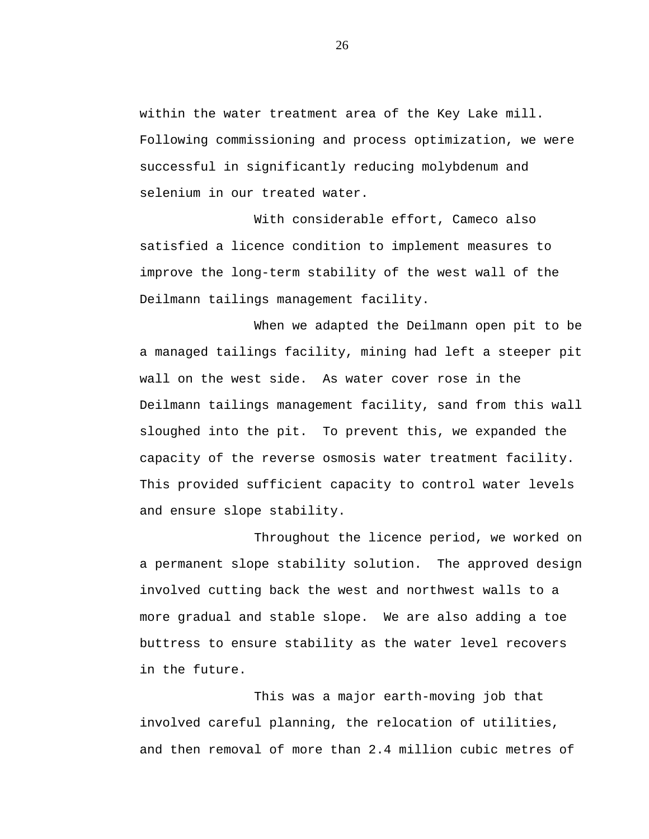within the water treatment area of the Key Lake mill. Following commissioning and process optimization, we were successful in significantly reducing molybdenum and selenium in our treated water.

With considerable effort, Cameco also satisfied a licence condition to implement measures to improve the long-term stability of the west wall of the Deilmann tailings management facility.

When we adapted the Deilmann open pit to be a managed tailings facility, mining had left a steeper pit wall on the west side. As water cover rose in the Deilmann tailings management facility, sand from this wall sloughed into the pit. To prevent this, we expanded the capacity of the reverse osmosis water treatment facility. This provided sufficient capacity to control water levels and ensure slope stability.

Throughout the licence period, we worked on a permanent slope stability solution. The approved design involved cutting back the west and northwest walls to a more gradual and stable slope. We are also adding a toe buttress to ensure stability as the water level recovers in the future.

This was a major earth-moving job that involved careful planning, the relocation of utilities, and then removal of more than 2.4 million cubic metres of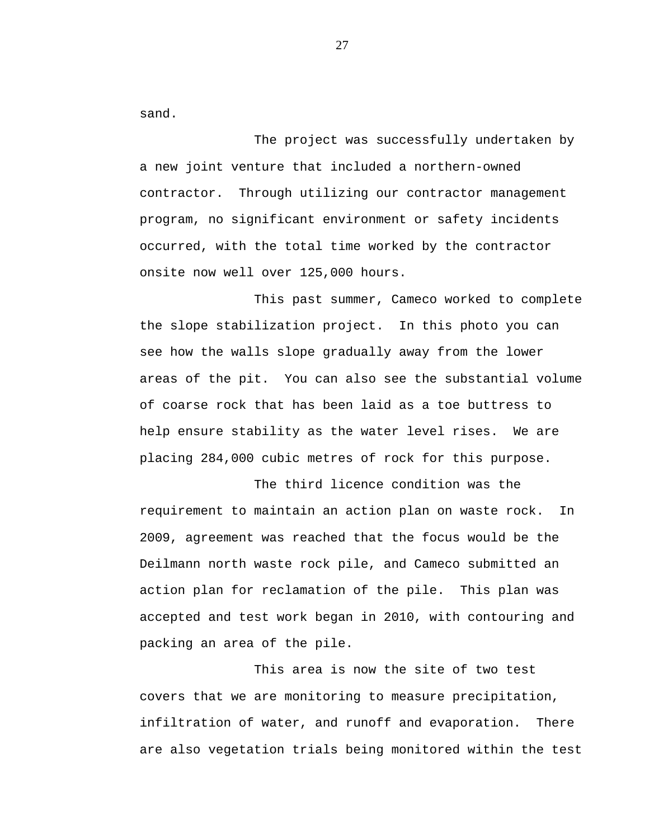sand.

The project was successfully undertaken by a new joint venture that included a northern-owned contractor. Through utilizing our contractor management program, no significant environment or safety incidents occurred, with the total time worked by the contractor onsite now well over 125,000 hours.

This past summer, Cameco worked to complete the slope stabilization project. In this photo you can see how the walls slope gradually away from the lower areas of the pit. You can also see the substantial volume of coarse rock that has been laid as a toe buttress to help ensure stability as the water level rises. We are placing 284,000 cubic metres of rock for this purpose.

The third licence condition was the requirement to maintain an action plan on waste rock. In 2009, agreement was reached that the focus would be the Deilmann north waste rock pile, and Cameco submitted an action plan for reclamation of the pile. This plan was accepted and test work began in 2010, with contouring and packing an area of the pile.

This area is now the site of two test covers that we are monitoring to measure precipitation, infiltration of water, and runoff and evaporation. There are also vegetation trials being monitored within the test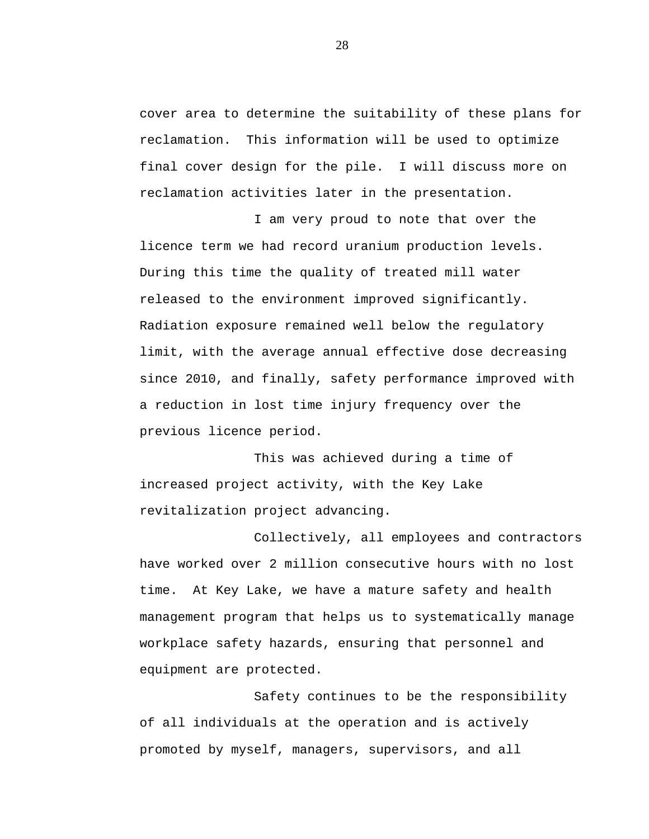cover area to determine the suitability of these plans for reclamation. This information will be used to optimize final cover design for the pile. I will discuss more on reclamation activities later in the presentation.

I am very proud to note that over the licence term we had record uranium production levels. During this time the quality of treated mill water released to the environment improved significantly. Radiation exposure remained well below the regulatory limit, with the average annual effective dose decreasing since 2010, and finally, safety performance improved with a reduction in lost time injury frequency over the previous licence period.

This was achieved during a time of increased project activity, with the Key Lake revitalization project advancing.

Collectively, all employees and contractors have worked over 2 million consecutive hours with no lost time. At Key Lake, we have a mature safety and health management program that helps us to systematically manage workplace safety hazards, ensuring that personnel and equipment are protected.

Safety continues to be the responsibility of all individuals at the operation and is actively promoted by myself, managers, supervisors, and all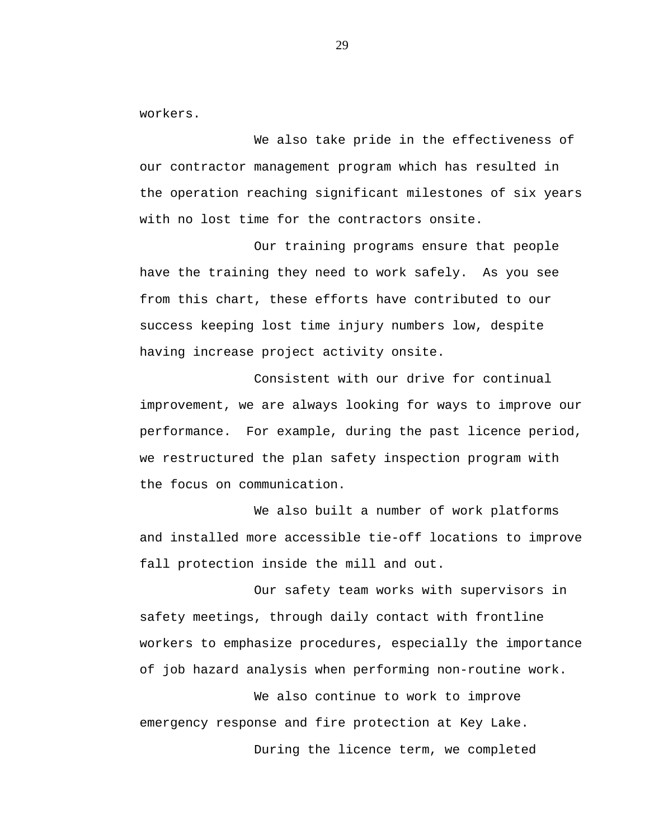workers.

We also take pride in the effectiveness of our contractor management program which has resulted in the operation reaching significant milestones of six years with no lost time for the contractors onsite.

Our training programs ensure that people have the training they need to work safely. As you see from this chart, these efforts have contributed to our success keeping lost time injury numbers low, despite having increase project activity onsite.

Consistent with our drive for continual improvement, we are always looking for ways to improve our performance. For example, during the past licence period, we restructured the plan safety inspection program with the focus on communication.

We also built a number of work platforms and installed more accessible tie-off locations to improve fall protection inside the mill and out.

Our safety team works with supervisors in safety meetings, through daily contact with frontline workers to emphasize procedures, especially the importance of job hazard analysis when performing non-routine work.

We also continue to work to improve emergency response and fire protection at Key Lake. During the licence term, we completed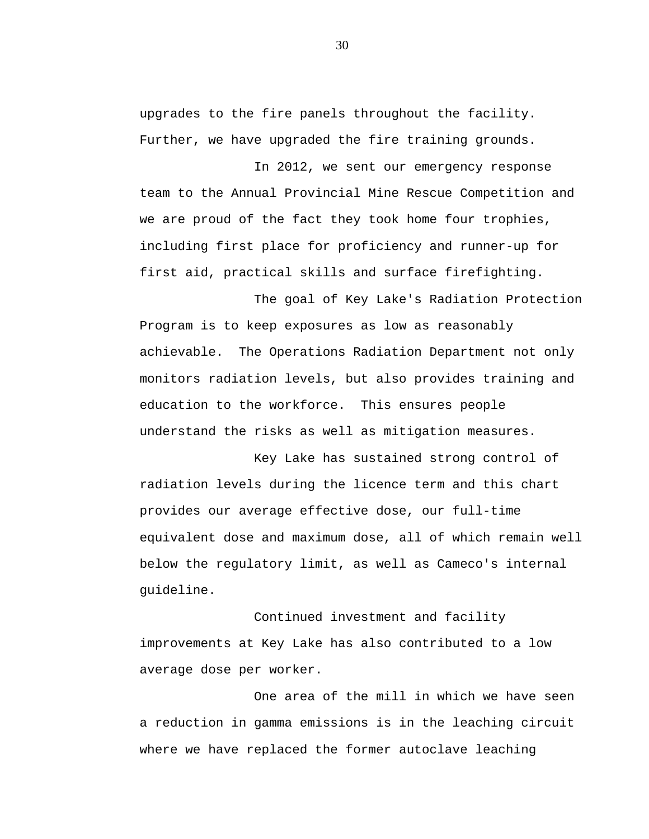upgrades to the fire panels throughout the facility. Further, we have upgraded the fire training grounds.

In 2012, we sent our emergency response team to the Annual Provincial Mine Rescue Competition and we are proud of the fact they took home four trophies, including first place for proficiency and runner-up for first aid, practical skills and surface firefighting.

The goal of Key Lake's Radiation Protection Program is to keep exposures as low as reasonably achievable. The Operations Radiation Department not only monitors radiation levels, but also provides training and education to the workforce. This ensures people understand the risks as well as mitigation measures.

Key Lake has sustained strong control of radiation levels during the licence term and this chart provides our average effective dose, our full-time equivalent dose and maximum dose, all of which remain well below the regulatory limit, as well as Cameco's internal guideline.

Continued investment and facility improvements at Key Lake has also contributed to a low average dose per worker.

One area of the mill in which we have seen a reduction in gamma emissions is in the leaching circuit where we have replaced the former autoclave leaching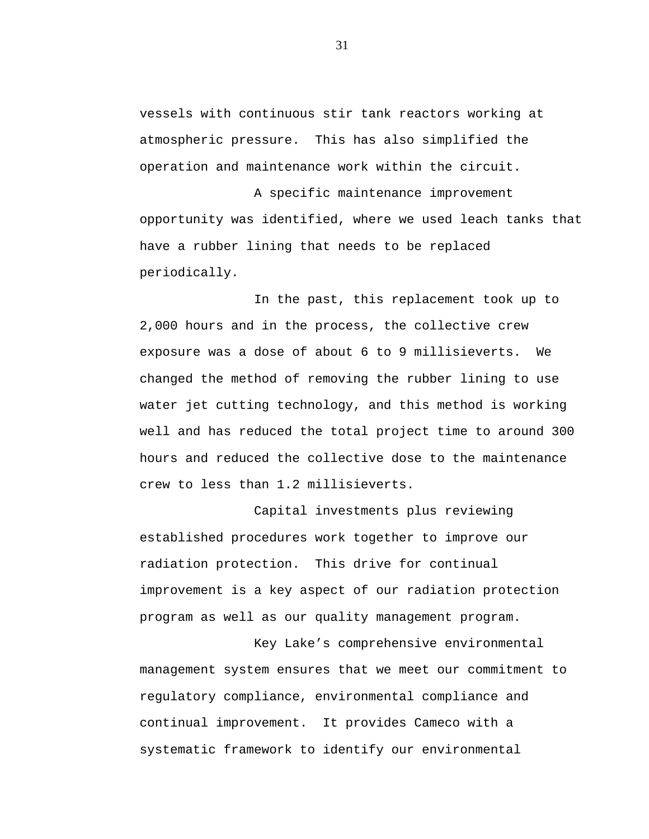vessels with continuous stir tank reactors working at atmospheric pressure. This has also simplified the operation and maintenance work within the circuit.

A specific maintenance improvement opportunity was identified, where we used leach tanks that have a rubber lining that needs to be replaced periodically.

In the past, this replacement took up to 2,000 hours and in the process, the collective crew exposure was a dose of about 6 to 9 millisieverts. We changed the method of removing the rubber lining to use water jet cutting technology, and this method is working well and has reduced the total project time to around 300 hours and reduced the collective dose to the maintenance crew to less than 1.2 millisieverts.

Capital investments plus reviewing established procedures work together to improve our radiation protection. This drive for continual improvement is a key aspect of our radiation protection program as well as our quality management program.

Key Lake's comprehensive environmental management system ensures that we meet our commitment to regulatory compliance, environmental compliance and continual improvement. It provides Cameco with a systematic framework to identify our environmental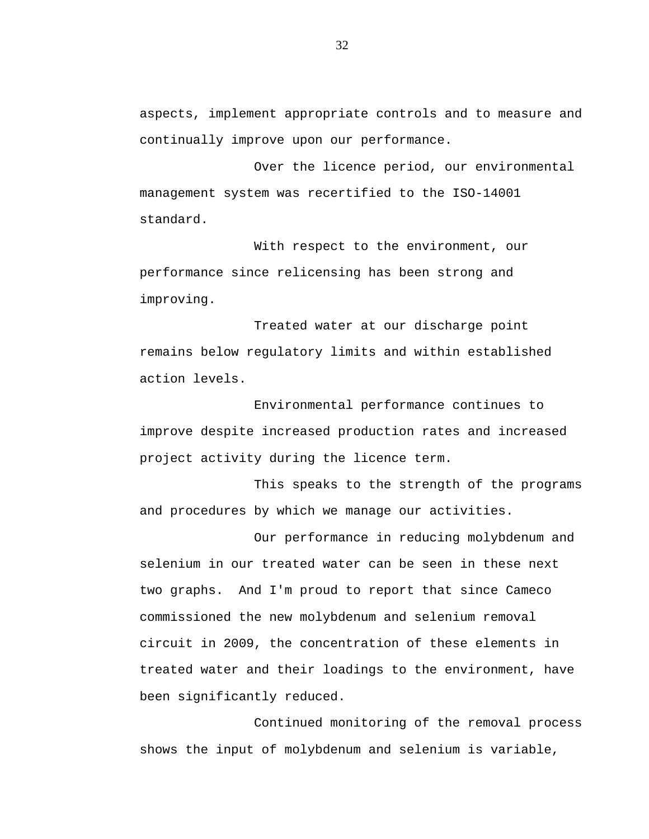aspects, implement appropriate controls and to measure and continually improve upon our performance.

Over the licence period, our environmental management system was recertified to the ISO-14001 standard.

With respect to the environment, our performance since relicensing has been strong and improving.

Treated water at our discharge point remains below regulatory limits and within established action levels.

Environmental performance continues to improve despite increased production rates and increased project activity during the licence term.

This speaks to the strength of the programs and procedures by which we manage our activities.

Our performance in reducing molybdenum and selenium in our treated water can be seen in these next two graphs. And I'm proud to report that since Cameco commissioned the new molybdenum and selenium removal circuit in 2009, the concentration of these elements in treated water and their loadings to the environment, have been significantly reduced.

Continued monitoring of the removal process shows the input of molybdenum and selenium is variable,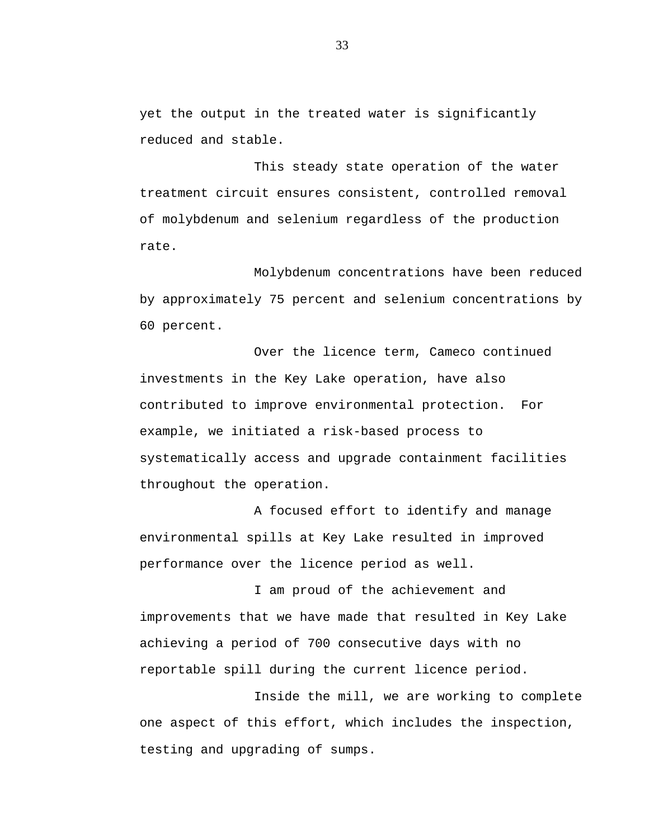yet the output in the treated water is significantly reduced and stable.

This steady state operation of the water treatment circuit ensures consistent, controlled removal of molybdenum and selenium regardless of the production rate.

Molybdenum concentrations have been reduced by approximately 75 percent and selenium concentrations by 60 percent.

Over the licence term, Cameco continued investments in the Key Lake operation, have also contributed to improve environmental protection. For example, we initiated a risk-based process to systematically access and upgrade containment facilities throughout the operation.

A focused effort to identify and manage environmental spills at Key Lake resulted in improved performance over the licence period as well.

I am proud of the achievement and improvements that we have made that resulted in Key Lake achieving a period of 700 consecutive days with no reportable spill during the current licence period.

Inside the mill, we are working to complete one aspect of this effort, which includes the inspection, testing and upgrading of sumps.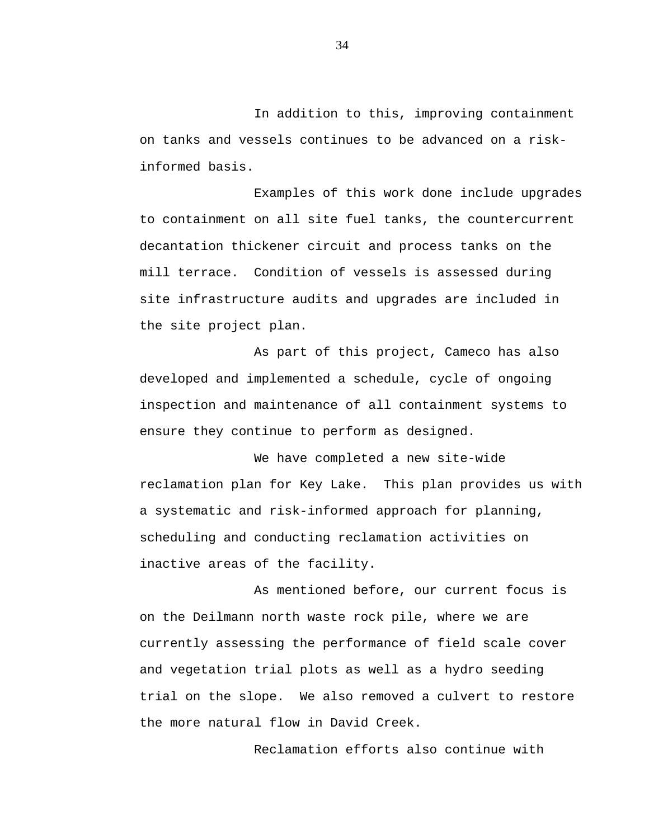In addition to this, improving containment on tanks and vessels continues to be advanced on a riskinformed basis.

Examples of this work done include upgrades to containment on all site fuel tanks, the countercurrent decantation thickener circuit and process tanks on the mill terrace. Condition of vessels is assessed during site infrastructure audits and upgrades are included in the site project plan.

As part of this project, Cameco has also developed and implemented a schedule, cycle of ongoing inspection and maintenance of all containment systems to ensure they continue to perform as designed.

We have completed a new site-wide reclamation plan for Key Lake. This plan provides us with a systematic and risk-informed approach for planning, scheduling and conducting reclamation activities on inactive areas of the facility.

As mentioned before, our current focus is on the Deilmann north waste rock pile, where we are currently assessing the performance of field scale cover and vegetation trial plots as well as a hydro seeding trial on the slope. We also removed a culvert to restore the more natural flow in David Creek.

Reclamation efforts also continue with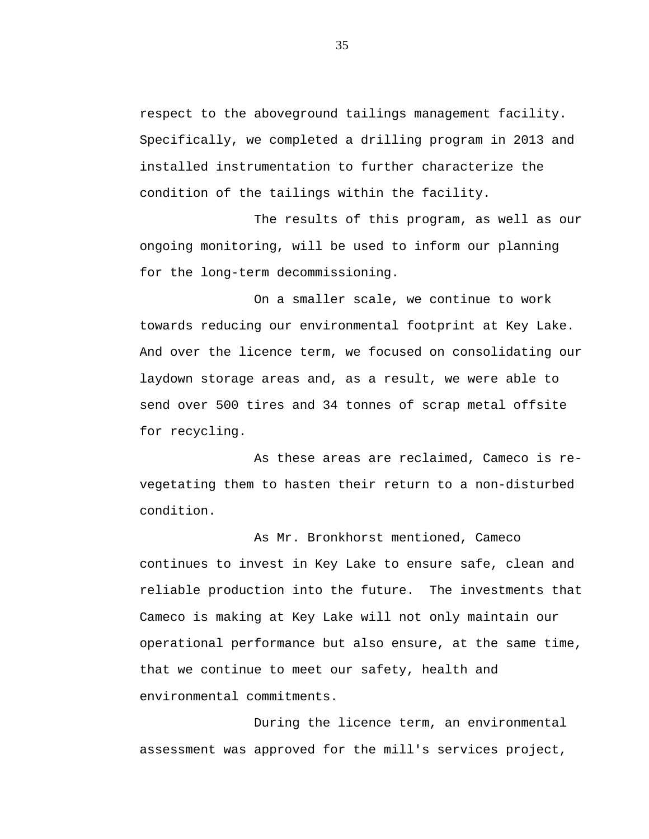respect to the aboveground tailings management facility. Specifically, we completed a drilling program in 2013 and installed instrumentation to further characterize the condition of the tailings within the facility.

The results of this program, as well as our ongoing monitoring, will be used to inform our planning for the long-term decommissioning.

On a smaller scale, we continue to work towards reducing our environmental footprint at Key Lake. And over the licence term, we focused on consolidating our laydown storage areas and, as a result, we were able to send over 500 tires and 34 tonnes of scrap metal offsite for recycling.

As these areas are reclaimed, Cameco is revegetating them to hasten their return to a non-disturbed condition.

As Mr. Bronkhorst mentioned, Cameco continues to invest in Key Lake to ensure safe, clean and reliable production into the future. The investments that Cameco is making at Key Lake will not only maintain our operational performance but also ensure, at the same time, that we continue to meet our safety, health and environmental commitments.

During the licence term, an environmental assessment was approved for the mill's services project,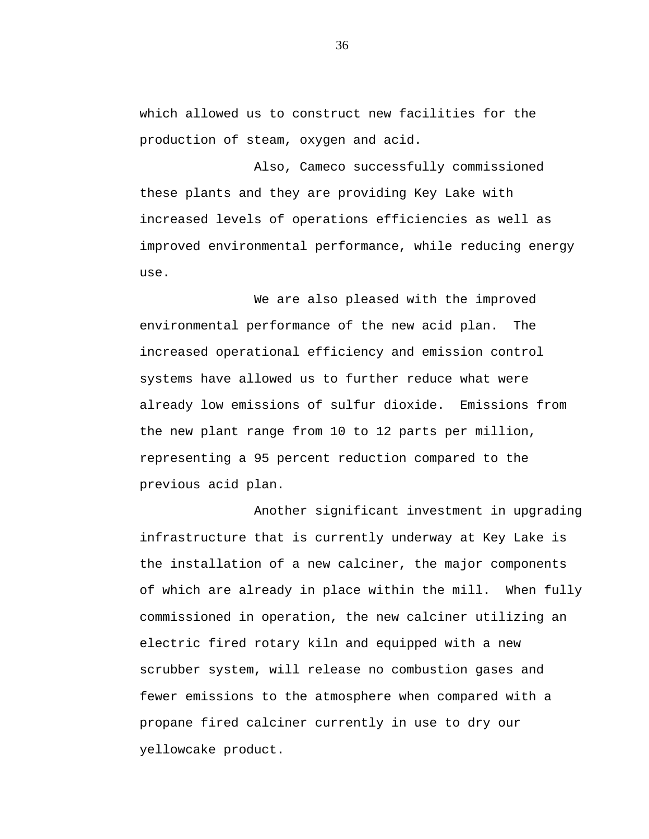which allowed us to construct new facilities for the production of steam, oxygen and acid.

Also, Cameco successfully commissioned these plants and they are providing Key Lake with increased levels of operations efficiencies as well as improved environmental performance, while reducing energy use.

We are also pleased with the improved environmental performance of the new acid plan. The increased operational efficiency and emission control systems have allowed us to further reduce what were already low emissions of sulfur dioxide. Emissions from the new plant range from 10 to 12 parts per million, representing a 95 percent reduction compared to the previous acid plan.

Another significant investment in upgrading infrastructure that is currently underway at Key Lake is the installation of a new calciner, the major components of which are already in place within the mill. When fully commissioned in operation, the new calciner utilizing an electric fired rotary kiln and equipped with a new scrubber system, will release no combustion gases and fewer emissions to the atmosphere when compared with a propane fired calciner currently in use to dry our yellowcake product.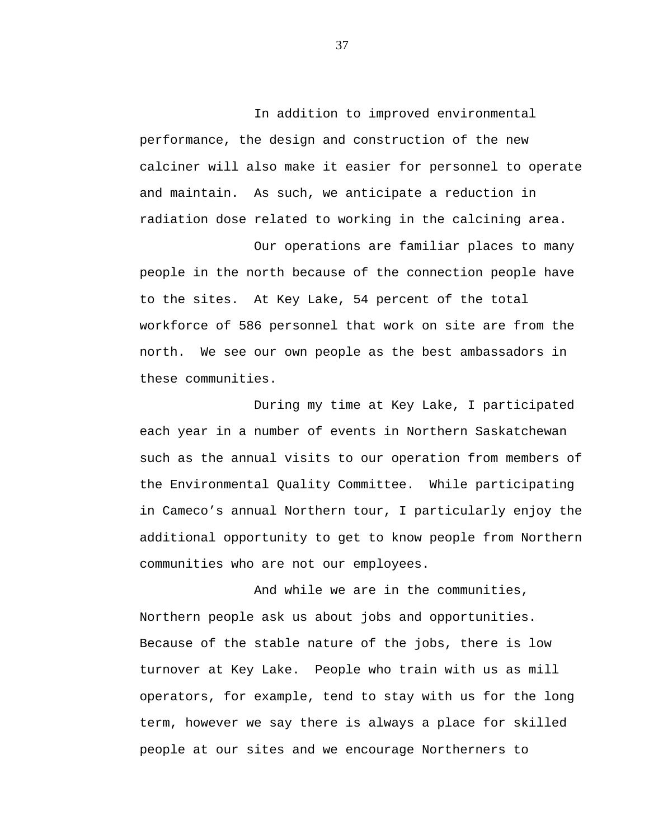In addition to improved environmental performance, the design and construction of the new calciner will also make it easier for personnel to operate and maintain. As such, we anticipate a reduction in radiation dose related to working in the calcining area.

Our operations are familiar places to many people in the north because of the connection people have to the sites. At Key Lake, 54 percent of the total workforce of 586 personnel that work on site are from the north. We see our own people as the best ambassadors in these communities.

During my time at Key Lake, I participated each year in a number of events in Northern Saskatchewan such as the annual visits to our operation from members of the Environmental Quality Committee. While participating in Cameco's annual Northern tour, I particularly enjoy the additional opportunity to get to know people from Northern communities who are not our employees.

And while we are in the communities, Northern people ask us about jobs and opportunities. Because of the stable nature of the jobs, there is low turnover at Key Lake. People who train with us as mill operators, for example, tend to stay with us for the long term, however we say there is always a place for skilled people at our sites and we encourage Northerners to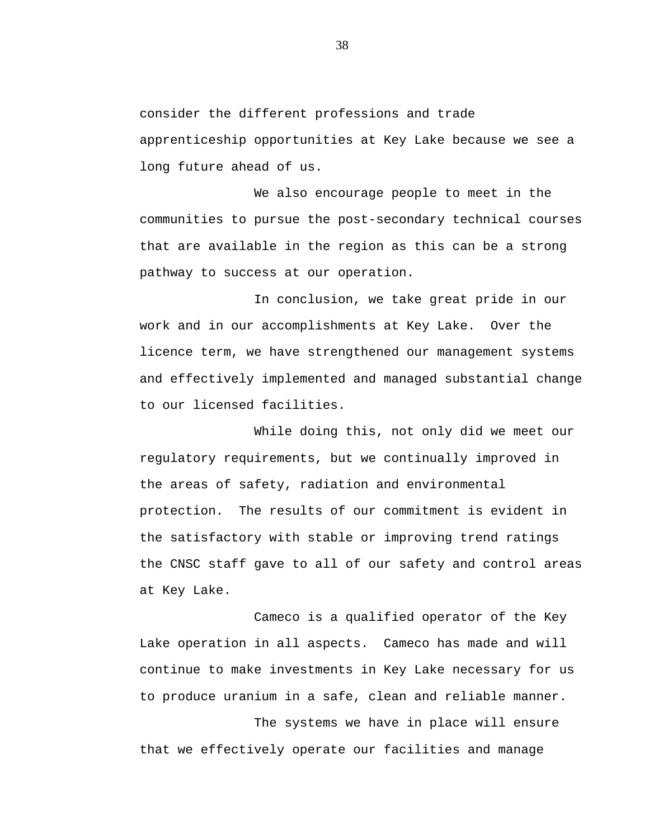consider the different professions and trade apprenticeship opportunities at Key Lake because we see a long future ahead of us.

We also encourage people to meet in the communities to pursue the post-secondary technical courses that are available in the region as this can be a strong pathway to success at our operation.

In conclusion, we take great pride in our work and in our accomplishments at Key Lake. Over the licence term, we have strengthened our management systems and effectively implemented and managed substantial change to our licensed facilities.

While doing this, not only did we meet our regulatory requirements, but we continually improved in the areas of safety, radiation and environmental protection. The results of our commitment is evident in the satisfactory with stable or improving trend ratings the CNSC staff gave to all of our safety and control areas at Key Lake.

Cameco is a qualified operator of the Key Lake operation in all aspects. Cameco has made and will continue to make investments in Key Lake necessary for us to produce uranium in a safe, clean and reliable manner.

The systems we have in place will ensure that we effectively operate our facilities and manage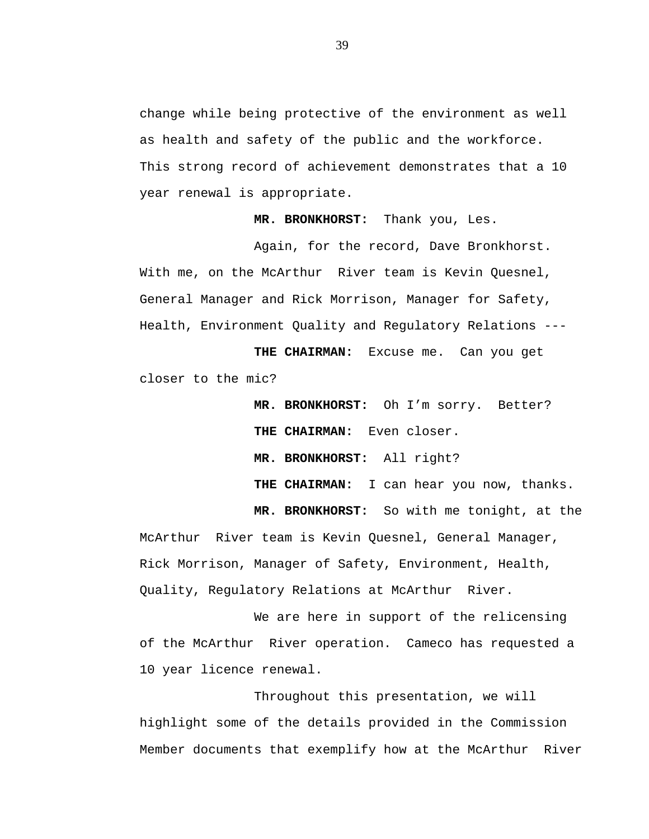change while being protective of the environment as well as health and safety of the public and the workforce. This strong record of achievement demonstrates that a 10 year renewal is appropriate.

**MR. BRONKHORST:** Thank you, Les.

Again, for the record, Dave Bronkhorst. With me, on the McArthur River team is Kevin Quesnel, General Manager and Rick Morrison, Manager for Safety, Health, Environment Quality and Regulatory Relations ---

**THE CHAIRMAN:** Excuse me. Can you get closer to the mic?

> **MR. BRONKHORST:** Oh I'm sorry. Better? **THE CHAIRMAN:** Even closer. **MR. BRONKHORST:** All right? **THE CHAIRMAN:** I can hear you now, thanks. **MR. BRONKHORST:** So with me tonight, at the

McArthur River team is Kevin Quesnel, General Manager, Rick Morrison, Manager of Safety, Environment, Health, Quality, Regulatory Relations at McArthur River.

We are here in support of the relicensing of the McArthur River operation. Cameco has requested a 10 year licence renewal.

Throughout this presentation, we will highlight some of the details provided in the Commission Member documents that exemplify how at the McArthur River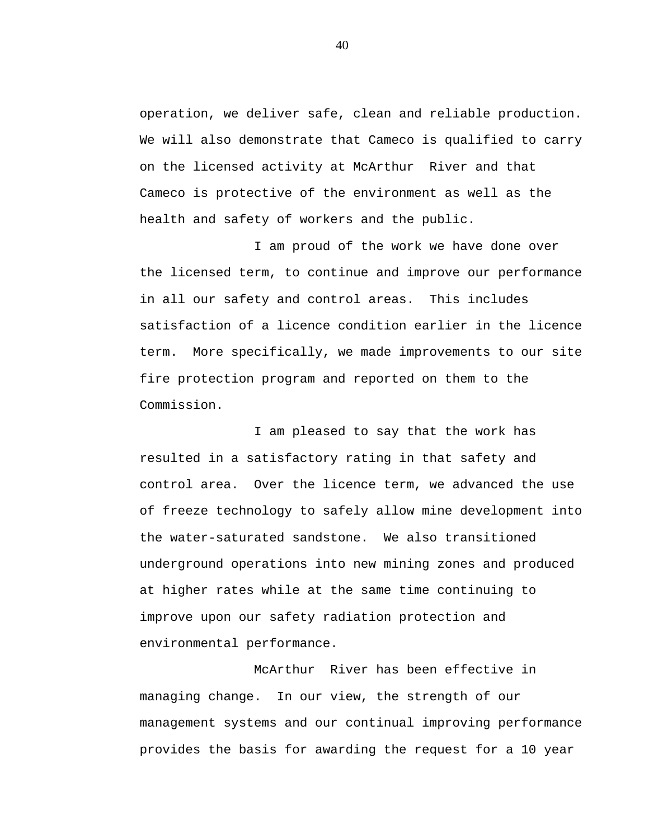operation, we deliver safe, clean and reliable production. We will also demonstrate that Cameco is qualified to carry on the licensed activity at McArthur River and that Cameco is protective of the environment as well as the health and safety of workers and the public.

I am proud of the work we have done over the licensed term, to continue and improve our performance in all our safety and control areas. This includes satisfaction of a licence condition earlier in the licence term. More specifically, we made improvements to our site fire protection program and reported on them to the Commission.

I am pleased to say that the work has resulted in a satisfactory rating in that safety and control area. Over the licence term, we advanced the use of freeze technology to safely allow mine development into the water-saturated sandstone. We also transitioned underground operations into new mining zones and produced at higher rates while at the same time continuing to improve upon our safety radiation protection and environmental performance.

McArthur River has been effective in managing change. In our view, the strength of our management systems and our continual improving performance provides the basis for awarding the request for a 10 year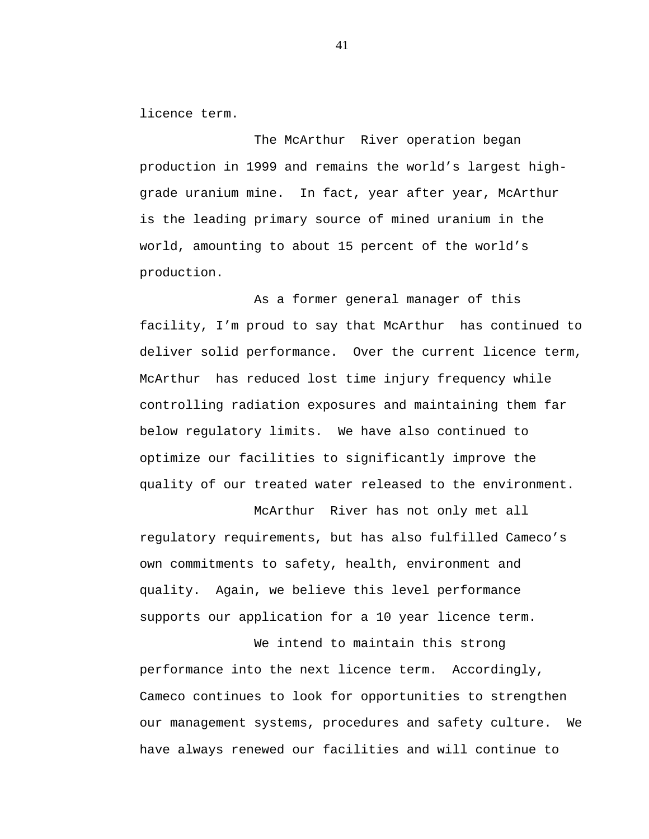licence term.

The McArthur River operation began production in 1999 and remains the world's largest highgrade uranium mine. In fact, year after year, McArthur is the leading primary source of mined uranium in the world, amounting to about 15 percent of the world's production.

As a former general manager of this facility, I'm proud to say that McArthur has continued to deliver solid performance. Over the current licence term, McArthur has reduced lost time injury frequency while controlling radiation exposures and maintaining them far below regulatory limits. We have also continued to optimize our facilities to significantly improve the quality of our treated water released to the environment.

McArthur River has not only met all regulatory requirements, but has also fulfilled Cameco's own commitments to safety, health, environment and quality. Again, we believe this level performance supports our application for a 10 year licence term.

We intend to maintain this strong performance into the next licence term. Accordingly, Cameco continues to look for opportunities to strengthen our management systems, procedures and safety culture. We have always renewed our facilities and will continue to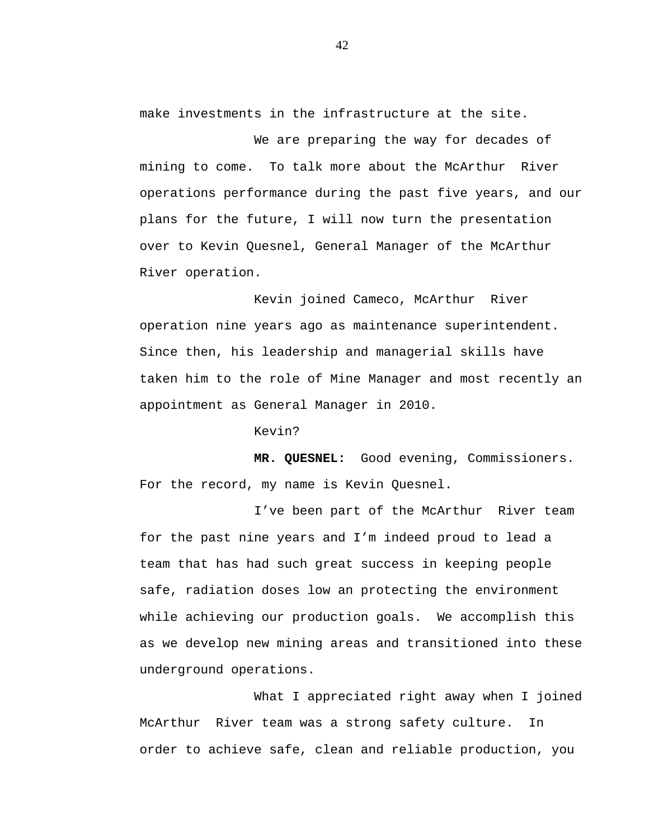make investments in the infrastructure at the site.

We are preparing the way for decades of mining to come. To talk more about the McArthur River operations performance during the past five years, and our plans for the future, I will now turn the presentation over to Kevin Quesnel, General Manager of the McArthur River operation.

Kevin joined Cameco, McArthur River operation nine years ago as maintenance superintendent. Since then, his leadership and managerial skills have taken him to the role of Mine Manager and most recently an appointment as General Manager in 2010.

Kevin?

**MR. QUESNEL:** Good evening, Commissioners. For the record, my name is Kevin Quesnel.

I've been part of the McArthur River team for the past nine years and I'm indeed proud to lead a team that has had such great success in keeping people safe, radiation doses low an protecting the environment while achieving our production goals. We accomplish this as we develop new mining areas and transitioned into these underground operations.

What I appreciated right away when I joined McArthur River team was a strong safety culture. In order to achieve safe, clean and reliable production, you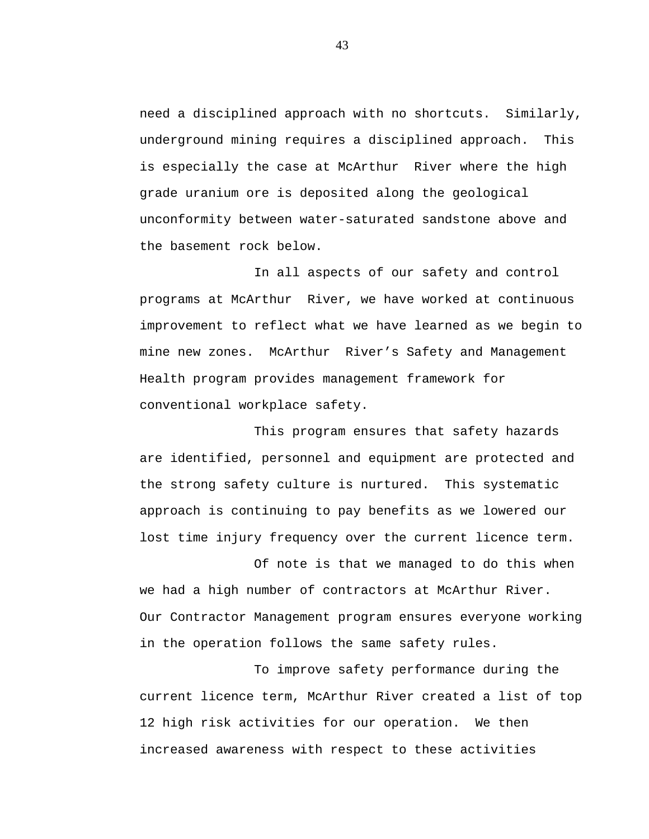need a disciplined approach with no shortcuts. Similarly, underground mining requires a disciplined approach. This is especially the case at McArthur River where the high grade uranium ore is deposited along the geological unconformity between water-saturated sandstone above and the basement rock below.

In all aspects of our safety and control programs at McArthur River, we have worked at continuous improvement to reflect what we have learned as we begin to mine new zones. McArthur River's Safety and Management Health program provides management framework for conventional workplace safety.

This program ensures that safety hazards are identified, personnel and equipment are protected and the strong safety culture is nurtured. This systematic approach is continuing to pay benefits as we lowered our lost time injury frequency over the current licence term.

Of note is that we managed to do this when we had a high number of contractors at McArthur River. Our Contractor Management program ensures everyone working in the operation follows the same safety rules.

To improve safety performance during the current licence term, McArthur River created a list of top 12 high risk activities for our operation. We then increased awareness with respect to these activities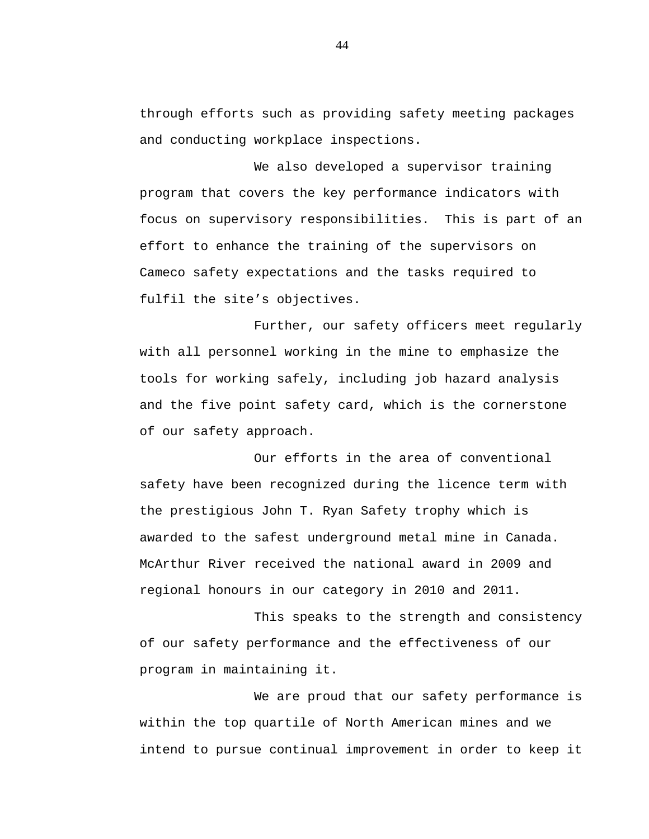through efforts such as providing safety meeting packages and conducting workplace inspections.

We also developed a supervisor training program that covers the key performance indicators with focus on supervisory responsibilities. This is part of an effort to enhance the training of the supervisors on Cameco safety expectations and the tasks required to fulfil the site's objectives.

Further, our safety officers meet regularly with all personnel working in the mine to emphasize the tools for working safely, including job hazard analysis and the five point safety card, which is the cornerstone of our safety approach.

Our efforts in the area of conventional safety have been recognized during the licence term with the prestigious John T. Ryan Safety trophy which is awarded to the safest underground metal mine in Canada. McArthur River received the national award in 2009 and regional honours in our category in 2010 and 2011.

This speaks to the strength and consistency of our safety performance and the effectiveness of our program in maintaining it.

We are proud that our safety performance is within the top quartile of North American mines and we intend to pursue continual improvement in order to keep it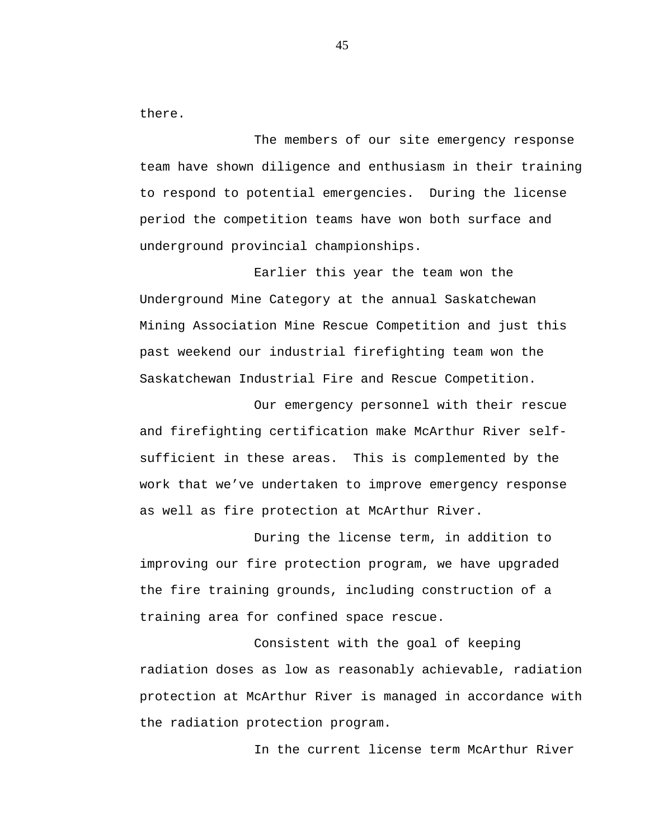there.

The members of our site emergency response team have shown diligence and enthusiasm in their training to respond to potential emergencies. During the license period the competition teams have won both surface and underground provincial championships.

Earlier this year the team won the Underground Mine Category at the annual Saskatchewan Mining Association Mine Rescue Competition and just this past weekend our industrial firefighting team won the Saskatchewan Industrial Fire and Rescue Competition.

Our emergency personnel with their rescue and firefighting certification make McArthur River selfsufficient in these areas. This is complemented by the work that we've undertaken to improve emergency response as well as fire protection at McArthur River.

During the license term, in addition to improving our fire protection program, we have upgraded the fire training grounds, including construction of a training area for confined space rescue.

Consistent with the goal of keeping radiation doses as low as reasonably achievable, radiation protection at McArthur River is managed in accordance with the radiation protection program.

In the current license term McArthur River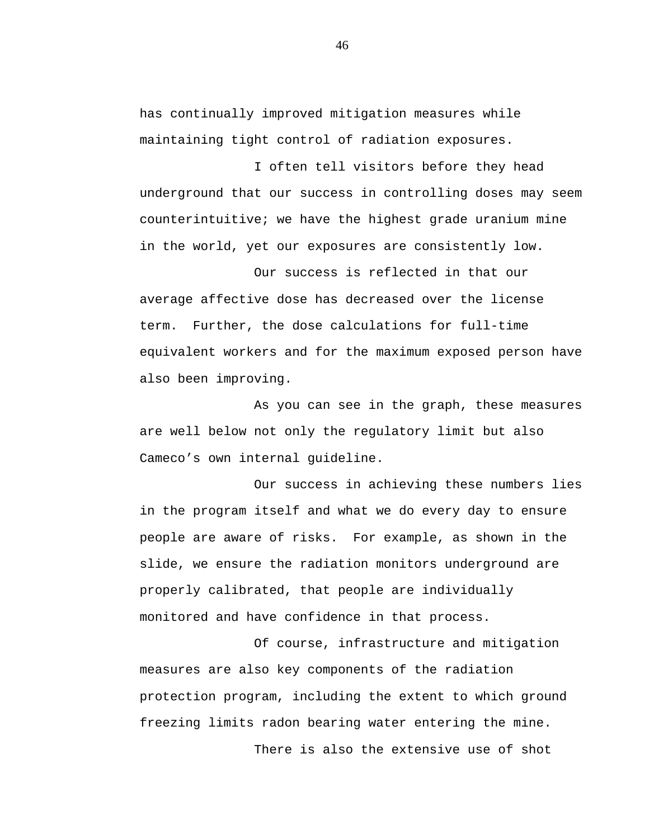has continually improved mitigation measures while maintaining tight control of radiation exposures.

I often tell visitors before they head underground that our success in controlling doses may seem counterintuitive; we have the highest grade uranium mine in the world, yet our exposures are consistently low.

Our success is reflected in that our average affective dose has decreased over the license term. Further, the dose calculations for full-time equivalent workers and for the maximum exposed person have also been improving.

As you can see in the graph, these measures are well below not only the regulatory limit but also Cameco's own internal guideline.

Our success in achieving these numbers lies in the program itself and what we do every day to ensure people are aware of risks. For example, as shown in the slide, we ensure the radiation monitors underground are properly calibrated, that people are individually monitored and have confidence in that process.

Of course, infrastructure and mitigation measures are also key components of the radiation protection program, including the extent to which ground freezing limits radon bearing water entering the mine. There is also the extensive use of shot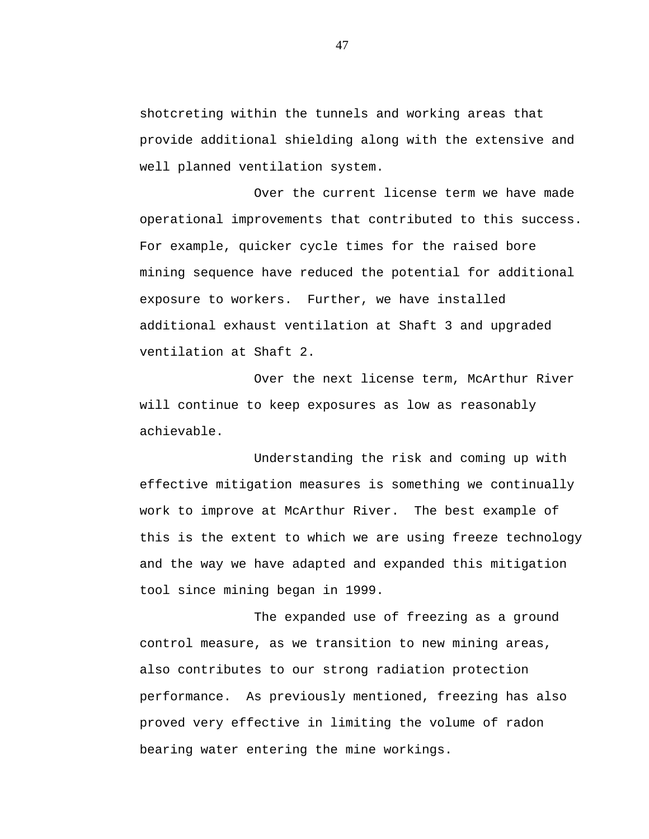shotcreting within the tunnels and working areas that provide additional shielding along with the extensive and well planned ventilation system.

Over the current license term we have made operational improvements that contributed to this success. For example, quicker cycle times for the raised bore mining sequence have reduced the potential for additional exposure to workers. Further, we have installed additional exhaust ventilation at Shaft 3 and upgraded ventilation at Shaft 2.

Over the next license term, McArthur River will continue to keep exposures as low as reasonably achievable.

Understanding the risk and coming up with effective mitigation measures is something we continually work to improve at McArthur River. The best example of this is the extent to which we are using freeze technology and the way we have adapted and expanded this mitigation tool since mining began in 1999.

The expanded use of freezing as a ground control measure, as we transition to new mining areas, also contributes to our strong radiation protection performance. As previously mentioned, freezing has also proved very effective in limiting the volume of radon bearing water entering the mine workings.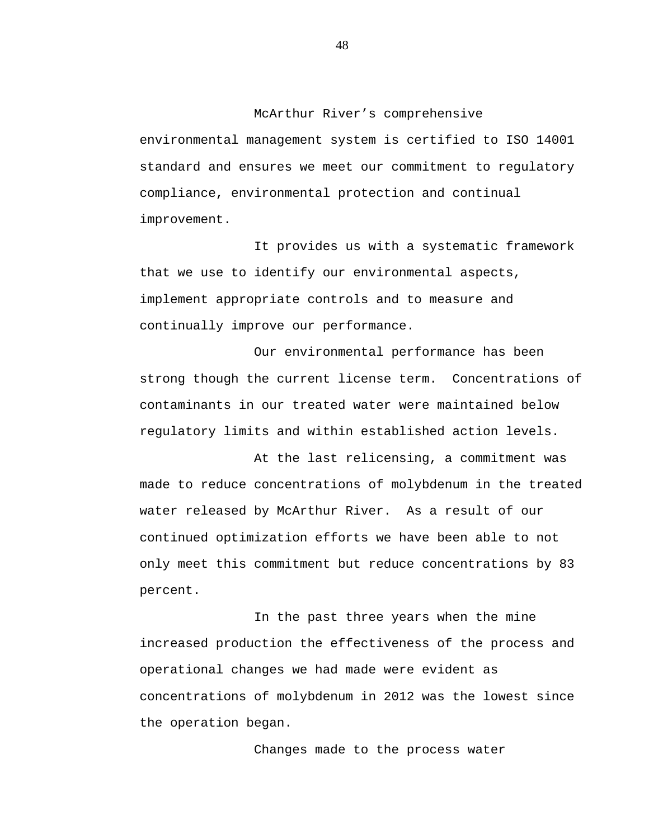McArthur River's comprehensive

environmental management system is certified to ISO 14001 standard and ensures we meet our commitment to regulatory compliance, environmental protection and continual improvement.

It provides us with a systematic framework that we use to identify our environmental aspects, implement appropriate controls and to measure and continually improve our performance.

Our environmental performance has been strong though the current license term. Concentrations of contaminants in our treated water were maintained below regulatory limits and within established action levels.

At the last relicensing, a commitment was made to reduce concentrations of molybdenum in the treated water released by McArthur River. As a result of our continued optimization efforts we have been able to not only meet this commitment but reduce concentrations by 83 percent.

In the past three years when the mine increased production the effectiveness of the process and operational changes we had made were evident as concentrations of molybdenum in 2012 was the lowest since the operation began.

Changes made to the process water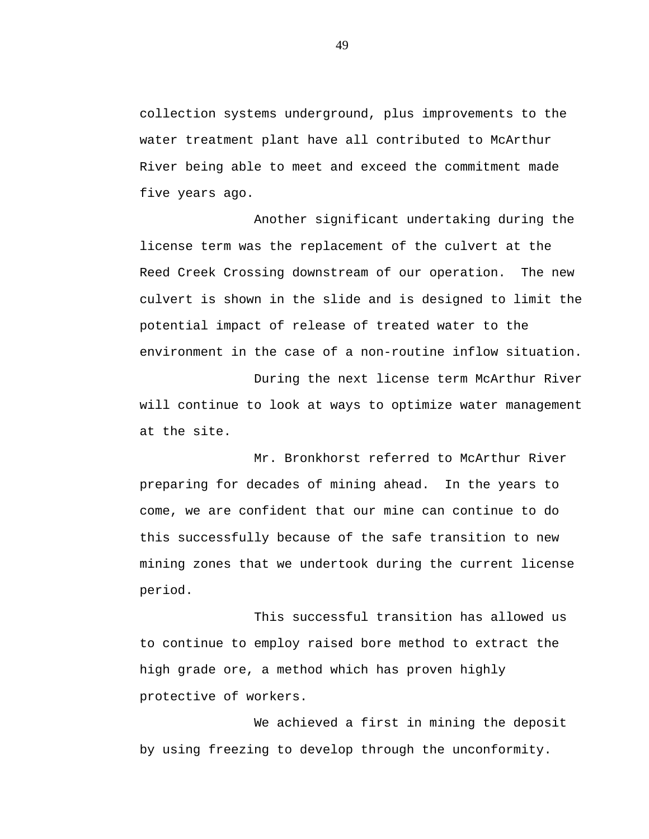collection systems underground, plus improvements to the water treatment plant have all contributed to McArthur River being able to meet and exceed the commitment made five years ago.

Another significant undertaking during the license term was the replacement of the culvert at the Reed Creek Crossing downstream of our operation. The new culvert is shown in the slide and is designed to limit the potential impact of release of treated water to the environment in the case of a non-routine inflow situation.

During the next license term McArthur River will continue to look at ways to optimize water management at the site.

Mr. Bronkhorst referred to McArthur River preparing for decades of mining ahead. In the years to come, we are confident that our mine can continue to do this successfully because of the safe transition to new mining zones that we undertook during the current license period.

This successful transition has allowed us to continue to employ raised bore method to extract the high grade ore, a method which has proven highly protective of workers.

We achieved a first in mining the deposit by using freezing to develop through the unconformity.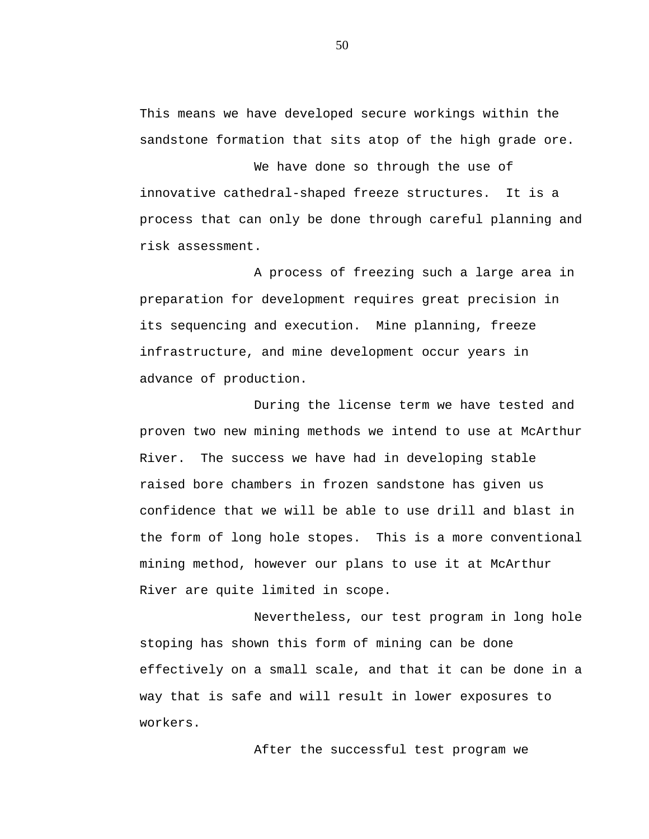This means we have developed secure workings within the sandstone formation that sits atop of the high grade ore.

We have done so through the use of innovative cathedral-shaped freeze structures. It is a process that can only be done through careful planning and risk assessment.

A process of freezing such a large area in preparation for development requires great precision in its sequencing and execution. Mine planning, freeze infrastructure, and mine development occur years in advance of production.

During the license term we have tested and proven two new mining methods we intend to use at McArthur River. The success we have had in developing stable raised bore chambers in frozen sandstone has given us confidence that we will be able to use drill and blast in the form of long hole stopes. This is a more conventional mining method, however our plans to use it at McArthur River are quite limited in scope.

Nevertheless, our test program in long hole stoping has shown this form of mining can be done effectively on a small scale, and that it can be done in a way that is safe and will result in lower exposures to workers.

After the successful test program we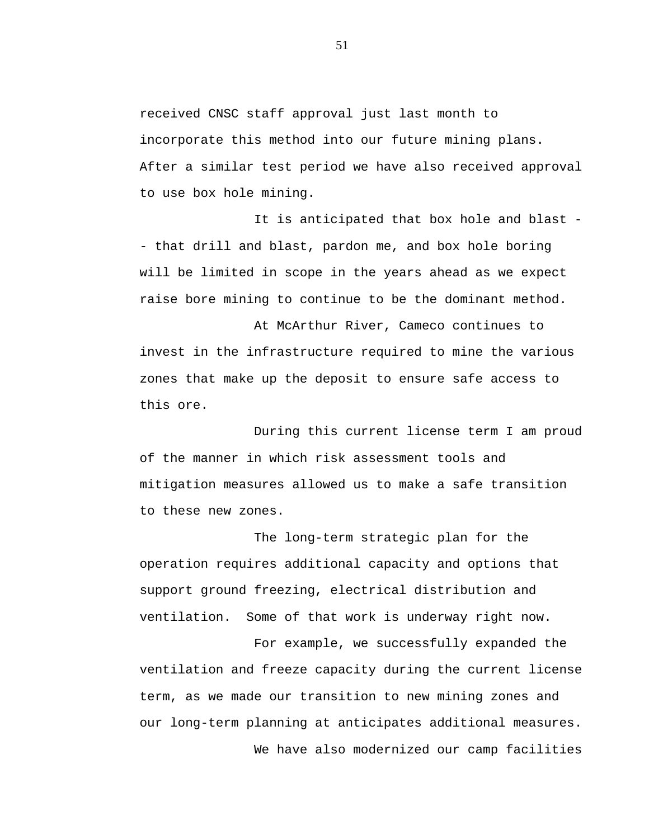received CNSC staff approval just last month to incorporate this method into our future mining plans. After a similar test period we have also received approval to use box hole mining.

It is anticipated that box hole and blast - - that drill and blast, pardon me, and box hole boring will be limited in scope in the years ahead as we expect raise bore mining to continue to be the dominant method.

At McArthur River, Cameco continues to invest in the infrastructure required to mine the various zones that make up the deposit to ensure safe access to this ore.

During this current license term I am proud of the manner in which risk assessment tools and mitigation measures allowed us to make a safe transition to these new zones.

The long-term strategic plan for the operation requires additional capacity and options that support ground freezing, electrical distribution and ventilation. Some of that work is underway right now.

For example, we successfully expanded the ventilation and freeze capacity during the current license term, as we made our transition to new mining zones and our long-term planning at anticipates additional measures. We have also modernized our camp facilities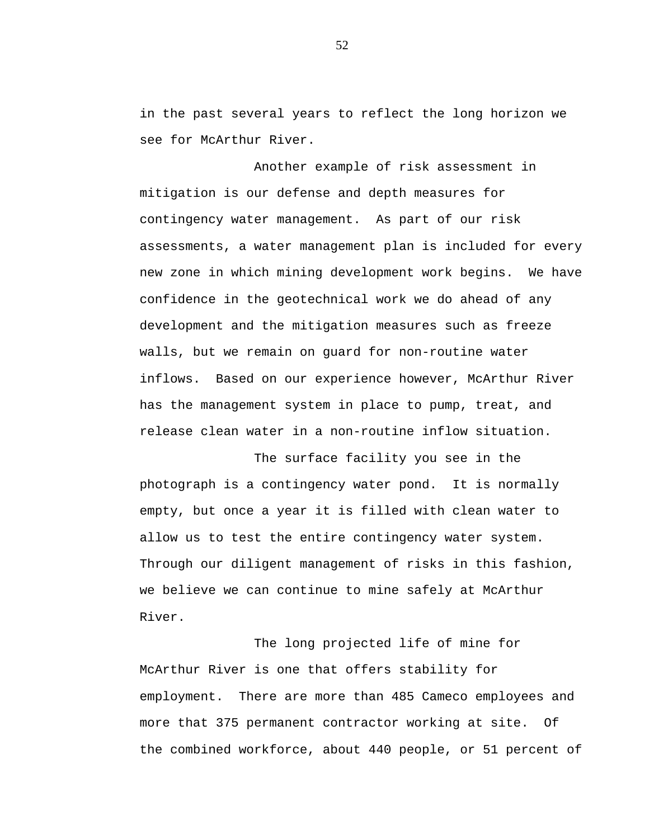in the past several years to reflect the long horizon we see for McArthur River.

Another example of risk assessment in mitigation is our defense and depth measures for contingency water management. As part of our risk assessments, a water management plan is included for every new zone in which mining development work begins. We have confidence in the geotechnical work we do ahead of any development and the mitigation measures such as freeze walls, but we remain on guard for non-routine water inflows. Based on our experience however, McArthur River has the management system in place to pump, treat, and release clean water in a non-routine inflow situation.

The surface facility you see in the photograph is a contingency water pond. It is normally empty, but once a year it is filled with clean water to allow us to test the entire contingency water system. Through our diligent management of risks in this fashion, we believe we can continue to mine safely at McArthur River.

The long projected life of mine for McArthur River is one that offers stability for employment. There are more than 485 Cameco employees and more that 375 permanent contractor working at site. Of the combined workforce, about 440 people, or 51 percent of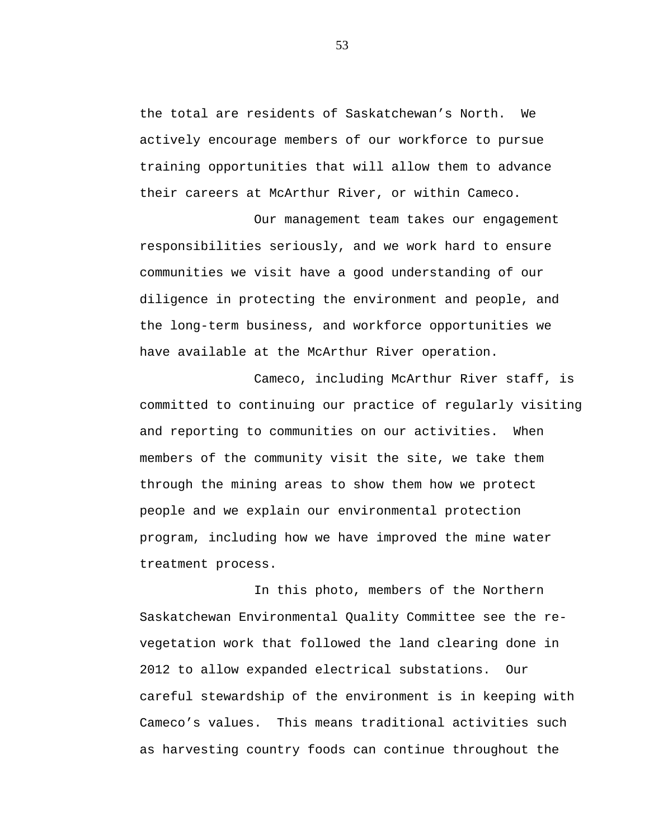the total are residents of Saskatchewan's North. We actively encourage members of our workforce to pursue training opportunities that will allow them to advance their careers at McArthur River, or within Cameco.

Our management team takes our engagement responsibilities seriously, and we work hard to ensure communities we visit have a good understanding of our diligence in protecting the environment and people, and the long-term business, and workforce opportunities we have available at the McArthur River operation.

Cameco, including McArthur River staff, is committed to continuing our practice of regularly visiting and reporting to communities on our activities. When members of the community visit the site, we take them through the mining areas to show them how we protect people and we explain our environmental protection program, including how we have improved the mine water treatment process.

In this photo, members of the Northern Saskatchewan Environmental Quality Committee see the revegetation work that followed the land clearing done in 2012 to allow expanded electrical substations. Our careful stewardship of the environment is in keeping with Cameco's values. This means traditional activities such as harvesting country foods can continue throughout the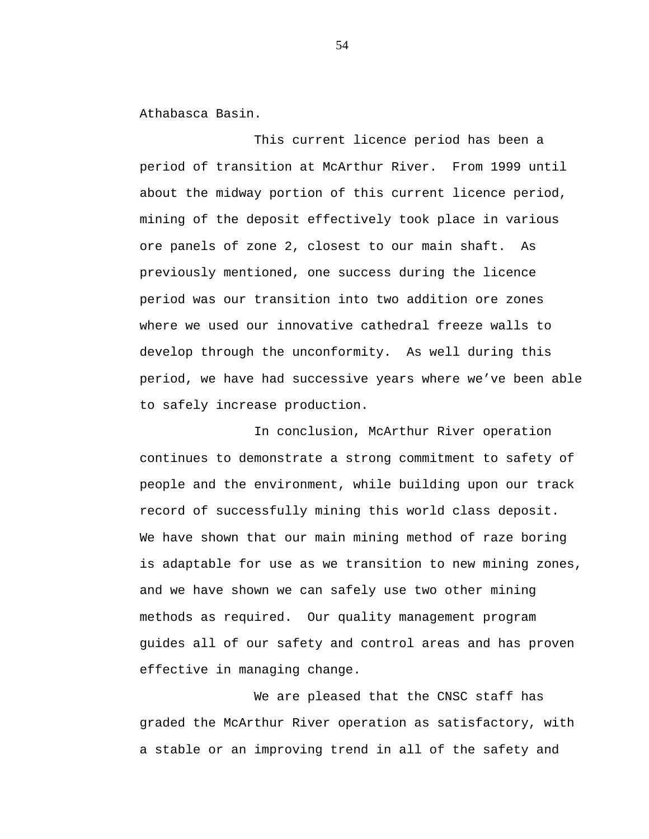Athabasca Basin.

This current licence period has been a period of transition at McArthur River. From 1999 until about the midway portion of this current licence period, mining of the deposit effectively took place in various ore panels of zone 2, closest to our main shaft. As previously mentioned, one success during the licence period was our transition into two addition ore zones where we used our innovative cathedral freeze walls to develop through the unconformity. As well during this period, we have had successive years where we've been able to safely increase production.

In conclusion, McArthur River operation continues to demonstrate a strong commitment to safety of people and the environment, while building upon our track record of successfully mining this world class deposit. We have shown that our main mining method of raze boring is adaptable for use as we transition to new mining zones, and we have shown we can safely use two other mining methods as required. Our quality management program guides all of our safety and control areas and has proven effective in managing change.

We are pleased that the CNSC staff has graded the McArthur River operation as satisfactory, with a stable or an improving trend in all of the safety and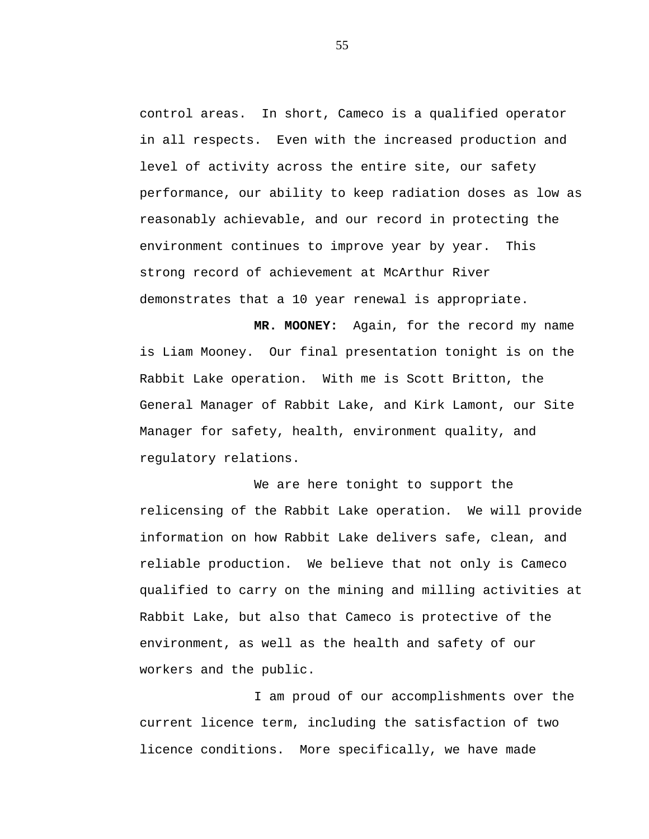control areas. In short, Cameco is a qualified operator in all respects. Even with the increased production and level of activity across the entire site, our safety performance, our ability to keep radiation doses as low as reasonably achievable, and our record in protecting the environment continues to improve year by year. This strong record of achievement at McArthur River demonstrates that a 10 year renewal is appropriate.

**MR. MOONEY:** Again, for the record my name is Liam Mooney. Our final presentation tonight is on the Rabbit Lake operation. With me is Scott Britton, the General Manager of Rabbit Lake, and Kirk Lamont, our Site Manager for safety, health, environment quality, and regulatory relations.

We are here tonight to support the relicensing of the Rabbit Lake operation. We will provide information on how Rabbit Lake delivers safe, clean, and reliable production. We believe that not only is Cameco qualified to carry on the mining and milling activities at Rabbit Lake, but also that Cameco is protective of the environment, as well as the health and safety of our workers and the public.

I am proud of our accomplishments over the current licence term, including the satisfaction of two licence conditions. More specifically, we have made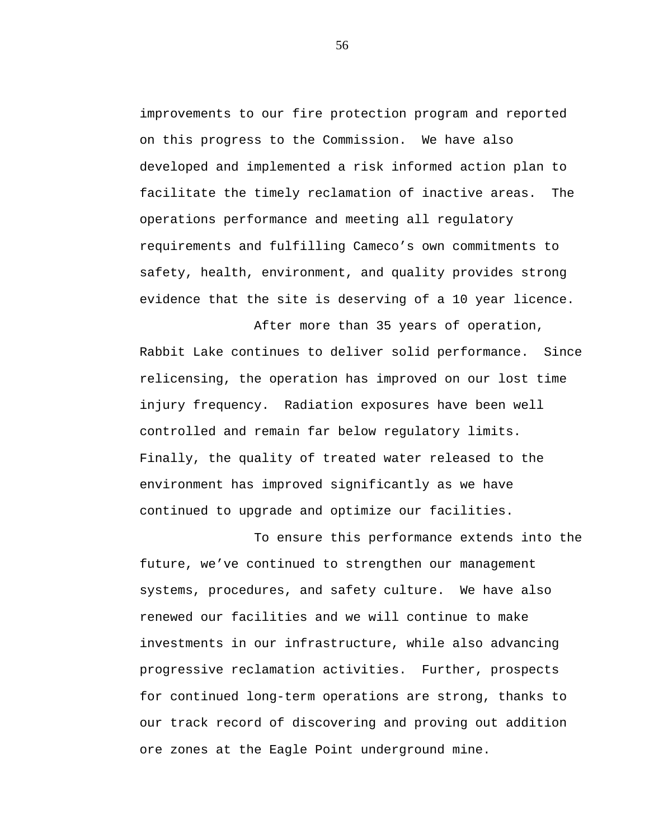improvements to our fire protection program and reported on this progress to the Commission. We have also developed and implemented a risk informed action plan to facilitate the timely reclamation of inactive areas. The operations performance and meeting all regulatory requirements and fulfilling Cameco's own commitments to safety, health, environment, and quality provides strong evidence that the site is deserving of a 10 year licence.

After more than 35 years of operation, Rabbit Lake continues to deliver solid performance. Since relicensing, the operation has improved on our lost time injury frequency. Radiation exposures have been well controlled and remain far below regulatory limits. Finally, the quality of treated water released to the environment has improved significantly as we have continued to upgrade and optimize our facilities.

To ensure this performance extends into the future, we've continued to strengthen our management systems, procedures, and safety culture. We have also renewed our facilities and we will continue to make investments in our infrastructure, while also advancing progressive reclamation activities. Further, prospects for continued long-term operations are strong, thanks to our track record of discovering and proving out addition ore zones at the Eagle Point underground mine.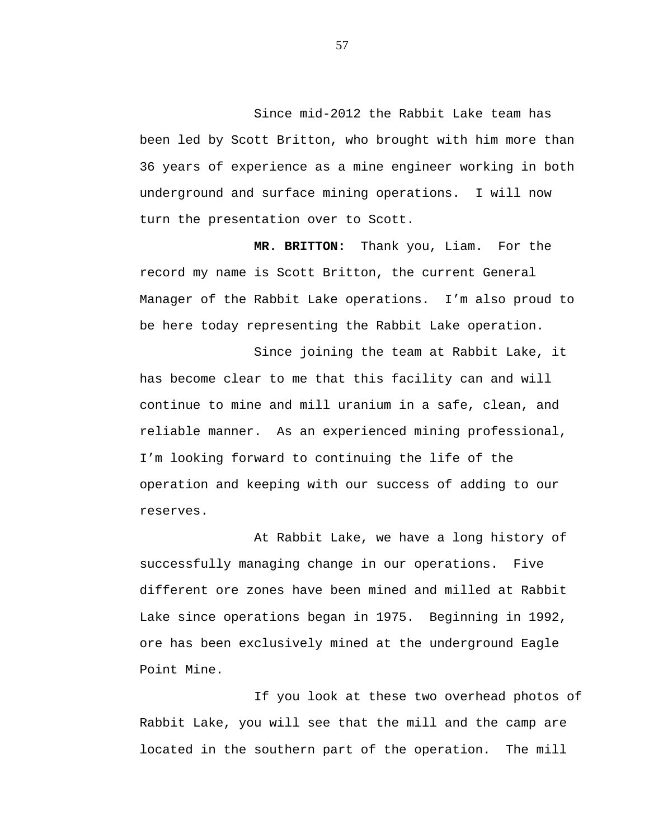Since mid-2012 the Rabbit Lake team has been led by Scott Britton, who brought with him more than 36 years of experience as a mine engineer working in both underground and surface mining operations. I will now turn the presentation over to Scott.

**MR. BRITTON:** Thank you, Liam. For the record my name is Scott Britton, the current General Manager of the Rabbit Lake operations. I'm also proud to be here today representing the Rabbit Lake operation.

Since joining the team at Rabbit Lake, it has become clear to me that this facility can and will continue to mine and mill uranium in a safe, clean, and reliable manner. As an experienced mining professional, I'm looking forward to continuing the life of the operation and keeping with our success of adding to our reserves.

At Rabbit Lake, we have a long history of successfully managing change in our operations. Five different ore zones have been mined and milled at Rabbit Lake since operations began in 1975. Beginning in 1992, ore has been exclusively mined at the underground Eagle Point Mine.

If you look at these two overhead photos of Rabbit Lake, you will see that the mill and the camp are located in the southern part of the operation. The mill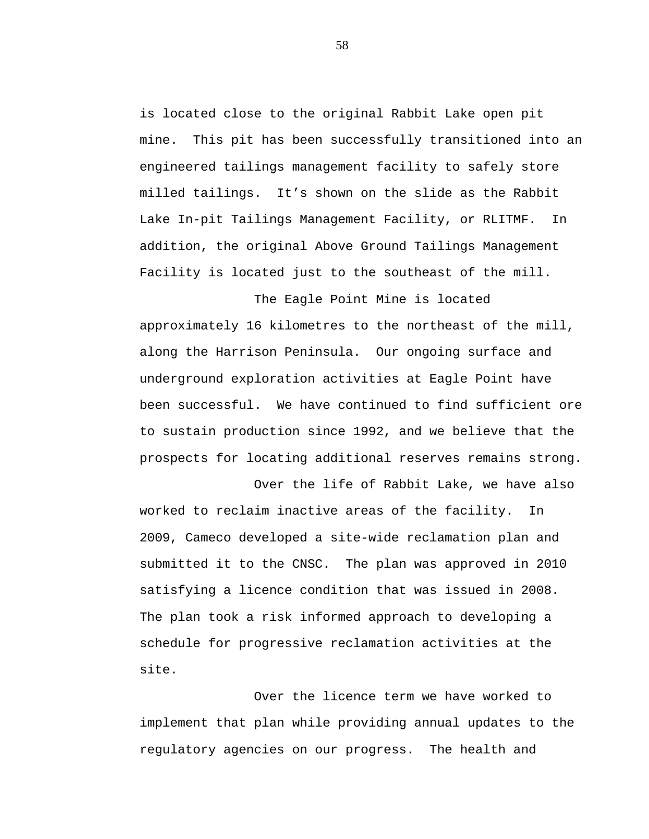is located close to the original Rabbit Lake open pit mine. This pit has been successfully transitioned into an engineered tailings management facility to safely store milled tailings. It's shown on the slide as the Rabbit Lake In-pit Tailings Management Facility, or RLITMF. In addition, the original Above Ground Tailings Management Facility is located just to the southeast of the mill.

The Eagle Point Mine is located approximately 16 kilometres to the northeast of the mill, along the Harrison Peninsula. Our ongoing surface and underground exploration activities at Eagle Point have been successful. We have continued to find sufficient ore to sustain production since 1992, and we believe that the prospects for locating additional reserves remains strong.

Over the life of Rabbit Lake, we have also worked to reclaim inactive areas of the facility. In 2009, Cameco developed a site-wide reclamation plan and submitted it to the CNSC. The plan was approved in 2010 satisfying a licence condition that was issued in 2008. The plan took a risk informed approach to developing a schedule for progressive reclamation activities at the site.

Over the licence term we have worked to implement that plan while providing annual updates to the regulatory agencies on our progress. The health and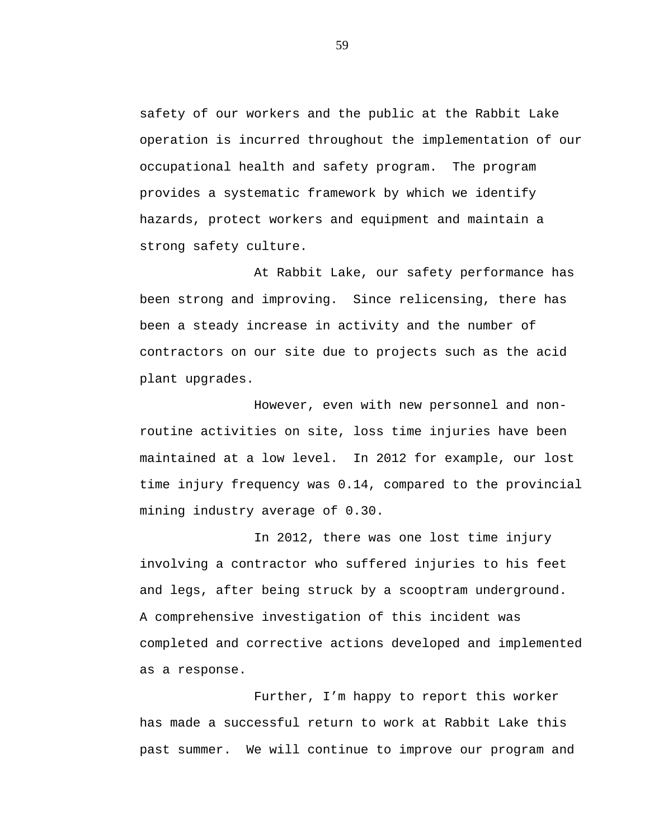safety of our workers and the public at the Rabbit Lake operation is incurred throughout the implementation of our occupational health and safety program. The program provides a systematic framework by which we identify hazards, protect workers and equipment and maintain a strong safety culture.

At Rabbit Lake, our safety performance has been strong and improving. Since relicensing, there has been a steady increase in activity and the number of contractors on our site due to projects such as the acid plant upgrades.

However, even with new personnel and nonroutine activities on site, loss time injuries have been maintained at a low level. In 2012 for example, our lost time injury frequency was 0.14, compared to the provincial mining industry average of 0.30.

In 2012, there was one lost time injury involving a contractor who suffered injuries to his feet and legs, after being struck by a scooptram underground. A comprehensive investigation of this incident was completed and corrective actions developed and implemented as a response.

Further, I'm happy to report this worker has made a successful return to work at Rabbit Lake this past summer. We will continue to improve our program and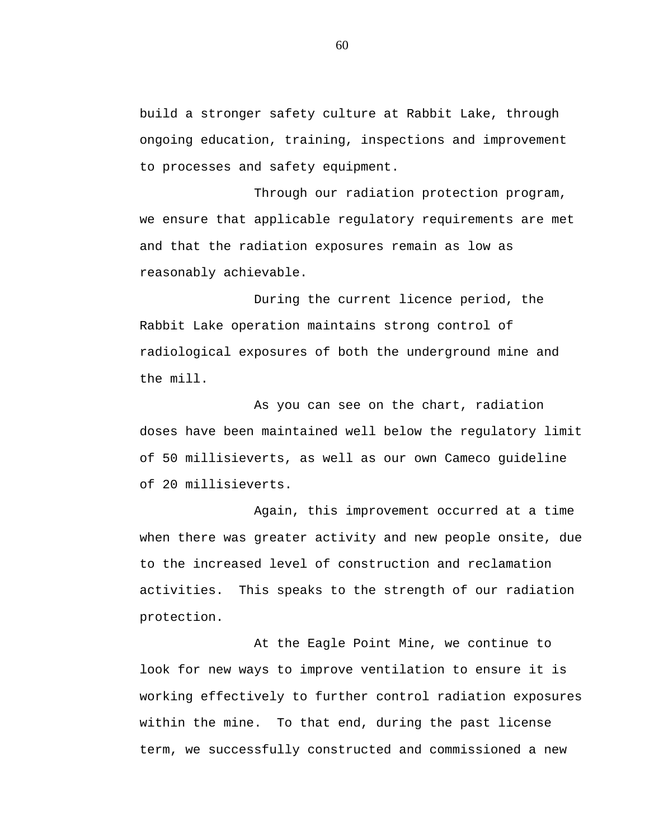build a stronger safety culture at Rabbit Lake, through ongoing education, training, inspections and improvement to processes and safety equipment.

Through our radiation protection program, we ensure that applicable regulatory requirements are met and that the radiation exposures remain as low as reasonably achievable.

During the current licence period, the Rabbit Lake operation maintains strong control of radiological exposures of both the underground mine and the mill.

As you can see on the chart, radiation doses have been maintained well below the regulatory limit of 50 millisieverts, as well as our own Cameco guideline of 20 millisieverts.

Again, this improvement occurred at a time when there was greater activity and new people onsite, due to the increased level of construction and reclamation activities. This speaks to the strength of our radiation protection.

At the Eagle Point Mine, we continue to look for new ways to improve ventilation to ensure it is working effectively to further control radiation exposures within the mine. To that end, during the past license term, we successfully constructed and commissioned a new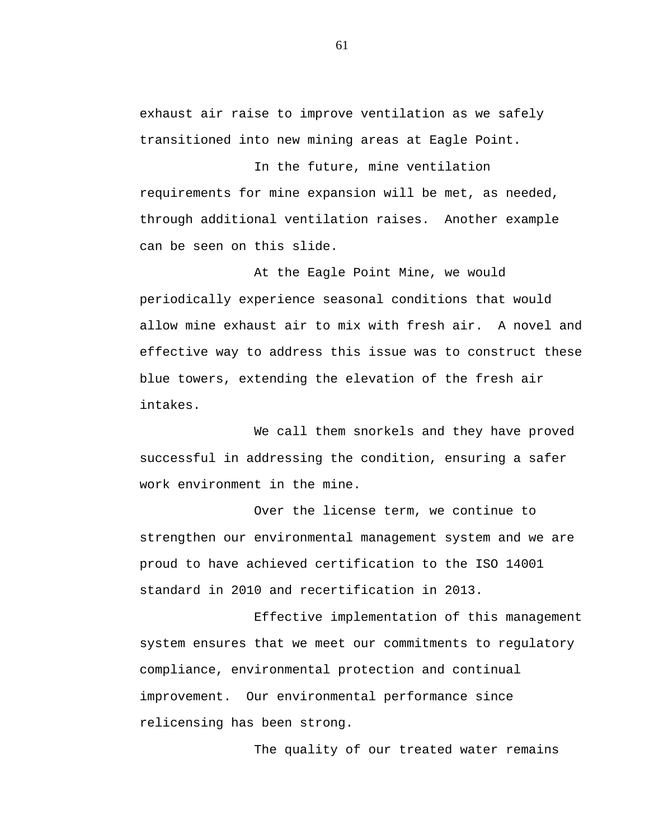exhaust air raise to improve ventilation as we safely transitioned into new mining areas at Eagle Point.

In the future, mine ventilation requirements for mine expansion will be met, as needed, through additional ventilation raises. Another example can be seen on this slide.

At the Eagle Point Mine, we would periodically experience seasonal conditions that would allow mine exhaust air to mix with fresh air. A novel and effective way to address this issue was to construct these blue towers, extending the elevation of the fresh air intakes.

We call them snorkels and they have proved successful in addressing the condition, ensuring a safer work environment in the mine.

Over the license term, we continue to strengthen our environmental management system and we are proud to have achieved certification to the ISO 14001 standard in 2010 and recertification in 2013.

Effective implementation of this management system ensures that we meet our commitments to regulatory compliance, environmental protection and continual improvement. Our environmental performance since relicensing has been strong.

The quality of our treated water remains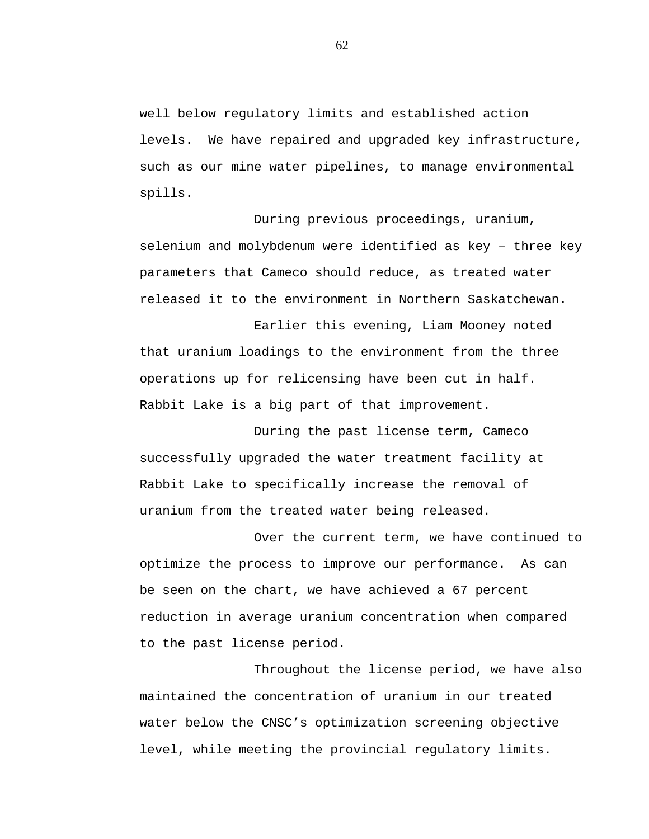well below regulatory limits and established action levels. We have repaired and upgraded key infrastructure, such as our mine water pipelines, to manage environmental spills.

During previous proceedings, uranium, selenium and molybdenum were identified as key – three key parameters that Cameco should reduce, as treated water released it to the environment in Northern Saskatchewan.

Earlier this evening, Liam Mooney noted that uranium loadings to the environment from the three operations up for relicensing have been cut in half. Rabbit Lake is a big part of that improvement.

During the past license term, Cameco successfully upgraded the water treatment facility at Rabbit Lake to specifically increase the removal of uranium from the treated water being released.

Over the current term, we have continued to optimize the process to improve our performance. As can be seen on the chart, we have achieved a 67 percent reduction in average uranium concentration when compared to the past license period.

Throughout the license period, we have also maintained the concentration of uranium in our treated water below the CNSC's optimization screening objective level, while meeting the provincial regulatory limits.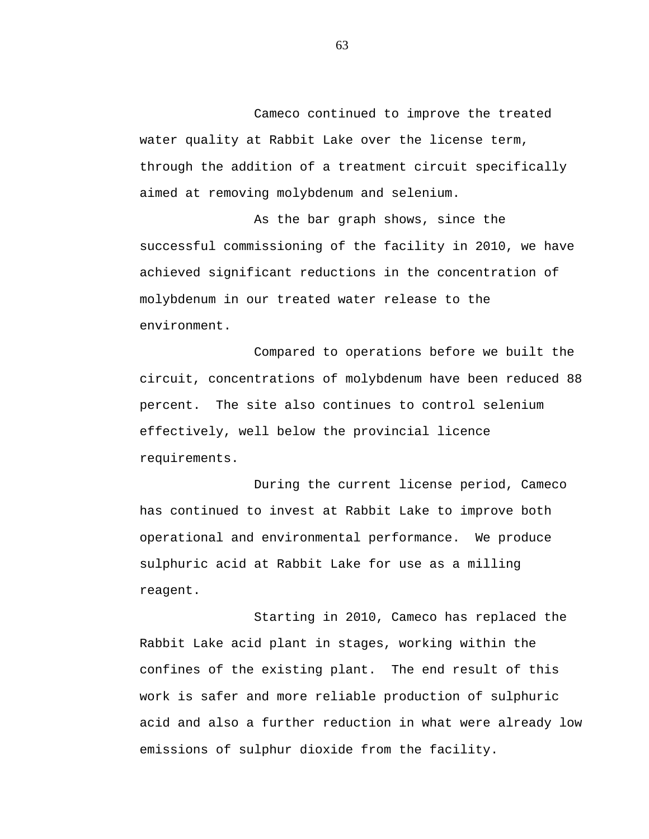Cameco continued to improve the treated water quality at Rabbit Lake over the license term, through the addition of a treatment circuit specifically aimed at removing molybdenum and selenium.

As the bar graph shows, since the successful commissioning of the facility in 2010, we have achieved significant reductions in the concentration of molybdenum in our treated water release to the environment.

Compared to operations before we built the circuit, concentrations of molybdenum have been reduced 88 percent. The site also continues to control selenium effectively, well below the provincial licence requirements.

During the current license period, Cameco has continued to invest at Rabbit Lake to improve both operational and environmental performance. We produce sulphuric acid at Rabbit Lake for use as a milling reagent.

Starting in 2010, Cameco has replaced the Rabbit Lake acid plant in stages, working within the confines of the existing plant. The end result of this work is safer and more reliable production of sulphuric acid and also a further reduction in what were already low emissions of sulphur dioxide from the facility.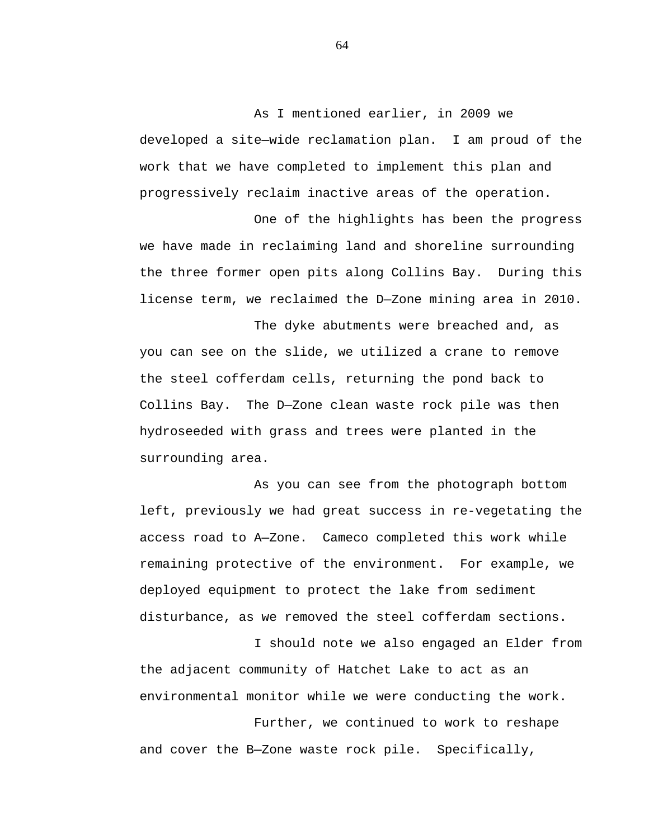As I mentioned earlier, in 2009 we developed a site—wide reclamation plan. I am proud of the work that we have completed to implement this plan and progressively reclaim inactive areas of the operation.

One of the highlights has been the progress we have made in reclaiming land and shoreline surrounding the three former open pits along Collins Bay. During this license term, we reclaimed the D—Zone mining area in 2010.

The dyke abutments were breached and, as you can see on the slide, we utilized a crane to remove the steel cofferdam cells, returning the pond back to Collins Bay. The D—Zone clean waste rock pile was then hydroseeded with grass and trees were planted in the surrounding area.

As you can see from the photograph bottom left, previously we had great success in re-vegetating the access road to A—Zone. Cameco completed this work while remaining protective of the environment. For example, we deployed equipment to protect the lake from sediment disturbance, as we removed the steel cofferdam sections.

I should note we also engaged an Elder from the adjacent community of Hatchet Lake to act as an environmental monitor while we were conducting the work.

Further, we continued to work to reshape and cover the B—Zone waste rock pile. Specifically,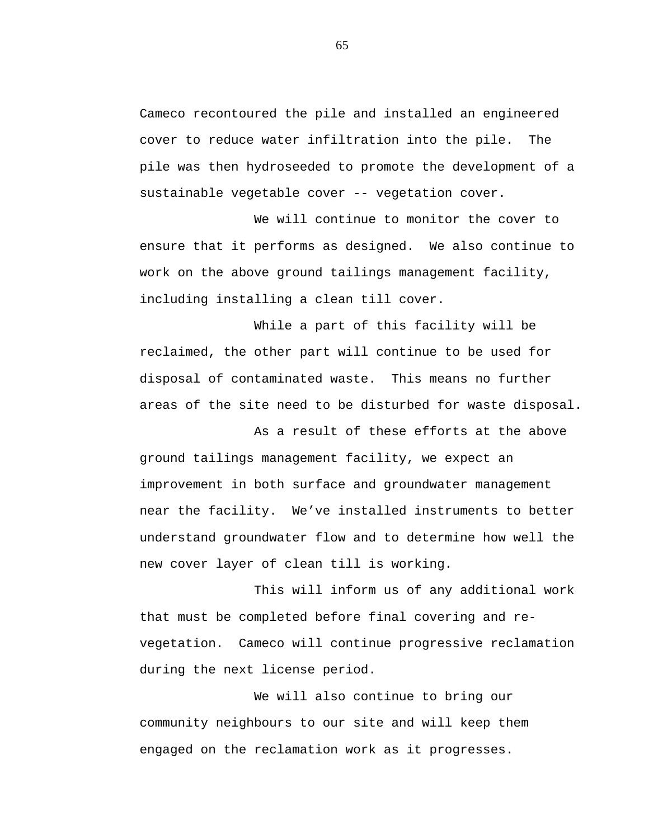Cameco recontoured the pile and installed an engineered cover to reduce water infiltration into the pile. The pile was then hydroseeded to promote the development of a sustainable vegetable cover -- vegetation cover.

We will continue to monitor the cover to ensure that it performs as designed. We also continue to work on the above ground tailings management facility, including installing a clean till cover.

While a part of this facility will be reclaimed, the other part will continue to be used for disposal of contaminated waste. This means no further areas of the site need to be disturbed for waste disposal.

As a result of these efforts at the above ground tailings management facility, we expect an improvement in both surface and groundwater management near the facility. We've installed instruments to better understand groundwater flow and to determine how well the new cover layer of clean till is working.

This will inform us of any additional work that must be completed before final covering and revegetation. Cameco will continue progressive reclamation during the next license period.

We will also continue to bring our community neighbours to our site and will keep them engaged on the reclamation work as it progresses.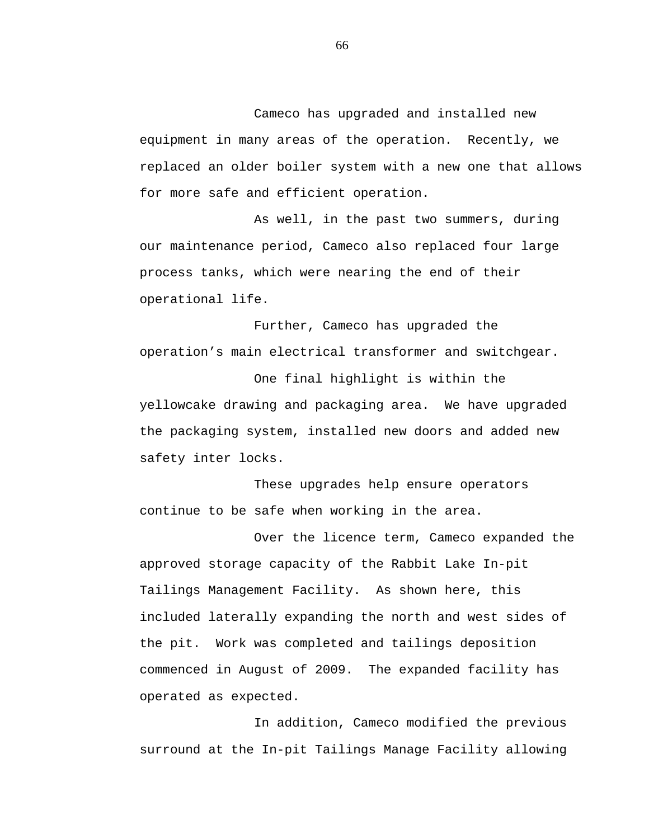Cameco has upgraded and installed new equipment in many areas of the operation. Recently, we replaced an older boiler system with a new one that allows for more safe and efficient operation.

As well, in the past two summers, during our maintenance period, Cameco also replaced four large process tanks, which were nearing the end of their operational life.

Further, Cameco has upgraded the operation's main electrical transformer and switchgear.

One final highlight is within the yellowcake drawing and packaging area. We have upgraded the packaging system, installed new doors and added new safety inter locks.

These upgrades help ensure operators continue to be safe when working in the area.

Over the licence term, Cameco expanded the approved storage capacity of the Rabbit Lake In-pit Tailings Management Facility. As shown here, this included laterally expanding the north and west sides of the pit. Work was completed and tailings deposition commenced in August of 2009. The expanded facility has operated as expected.

In addition, Cameco modified the previous surround at the In-pit Tailings Manage Facility allowing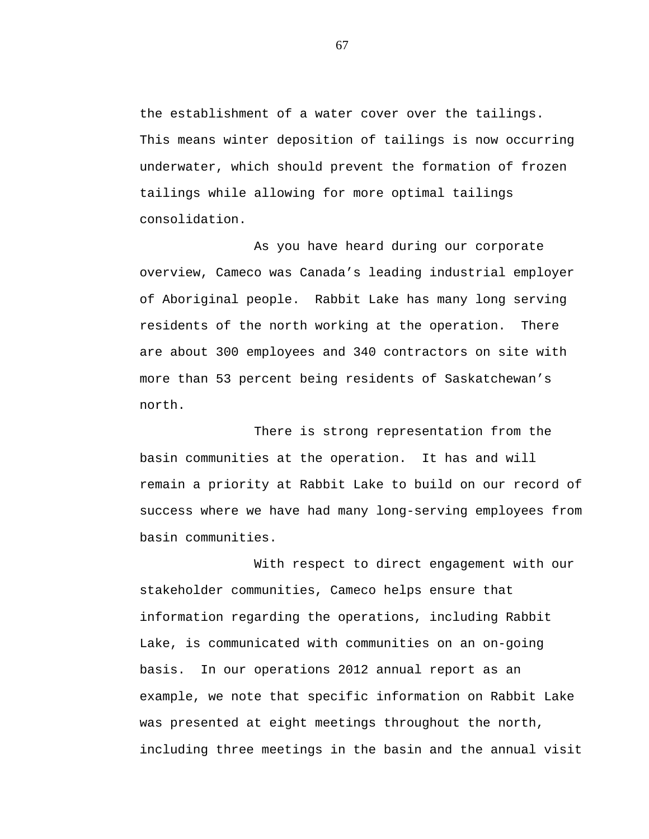the establishment of a water cover over the tailings. This means winter deposition of tailings is now occurring underwater, which should prevent the formation of frozen tailings while allowing for more optimal tailings consolidation.

As you have heard during our corporate overview, Cameco was Canada's leading industrial employer of Aboriginal people. Rabbit Lake has many long serving residents of the north working at the operation. There are about 300 employees and 340 contractors on site with more than 53 percent being residents of Saskatchewan's north.

There is strong representation from the basin communities at the operation. It has and will remain a priority at Rabbit Lake to build on our record of success where we have had many long-serving employees from basin communities.

With respect to direct engagement with our stakeholder communities, Cameco helps ensure that information regarding the operations, including Rabbit Lake, is communicated with communities on an on-going basis. In our operations 2012 annual report as an example, we note that specific information on Rabbit Lake was presented at eight meetings throughout the north, including three meetings in the basin and the annual visit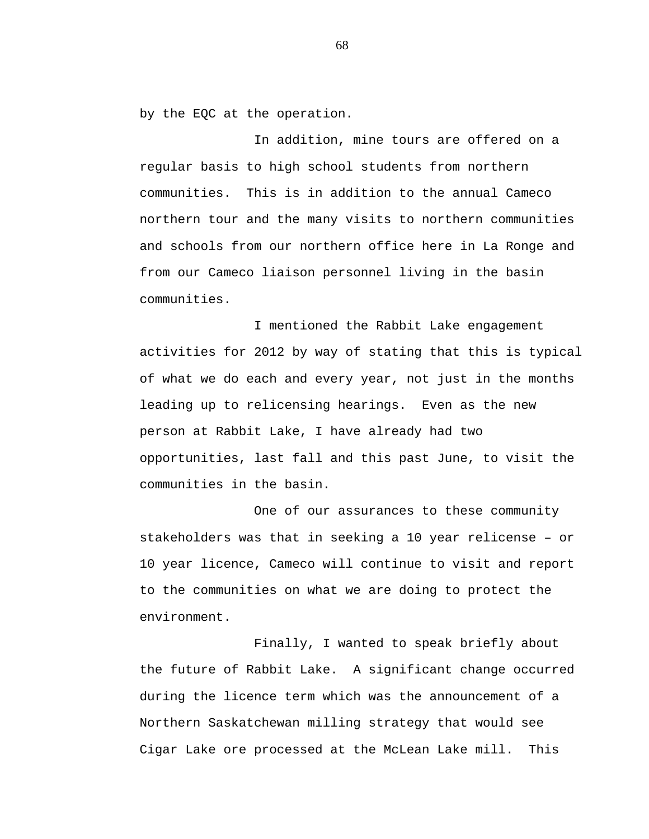by the EQC at the operation.

In addition, mine tours are offered on a regular basis to high school students from northern communities. This is in addition to the annual Cameco northern tour and the many visits to northern communities and schools from our northern office here in La Ronge and from our Cameco liaison personnel living in the basin communities.

I mentioned the Rabbit Lake engagement activities for 2012 by way of stating that this is typical of what we do each and every year, not just in the months leading up to relicensing hearings. Even as the new person at Rabbit Lake, I have already had two opportunities, last fall and this past June, to visit the communities in the basin.

One of our assurances to these community stakeholders was that in seeking a 10 year relicense – or 10 year licence, Cameco will continue to visit and report to the communities on what we are doing to protect the environment.

Finally, I wanted to speak briefly about the future of Rabbit Lake. A significant change occurred during the licence term which was the announcement of a Northern Saskatchewan milling strategy that would see Cigar Lake ore processed at the McLean Lake mill. This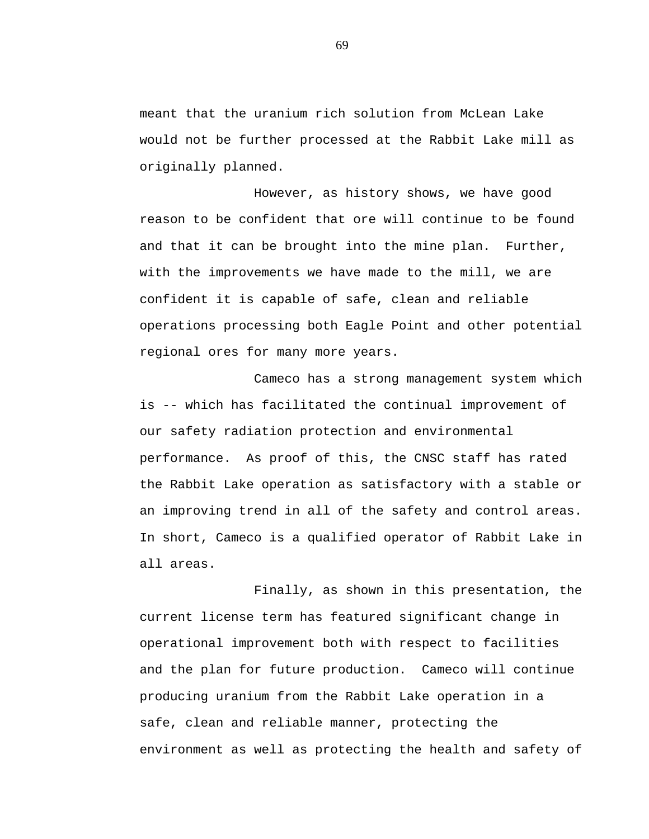meant that the uranium rich solution from McLean Lake would not be further processed at the Rabbit Lake mill as originally planned.

However, as history shows, we have good reason to be confident that ore will continue to be found and that it can be brought into the mine plan. Further, with the improvements we have made to the mill, we are confident it is capable of safe, clean and reliable operations processing both Eagle Point and other potential regional ores for many more years.

Cameco has a strong management system which is -- which has facilitated the continual improvement of our safety radiation protection and environmental performance. As proof of this, the CNSC staff has rated the Rabbit Lake operation as satisfactory with a stable or an improving trend in all of the safety and control areas. In short, Cameco is a qualified operator of Rabbit Lake in all areas.

Finally, as shown in this presentation, the current license term has featured significant change in operational improvement both with respect to facilities and the plan for future production. Cameco will continue producing uranium from the Rabbit Lake operation in a safe, clean and reliable manner, protecting the environment as well as protecting the health and safety of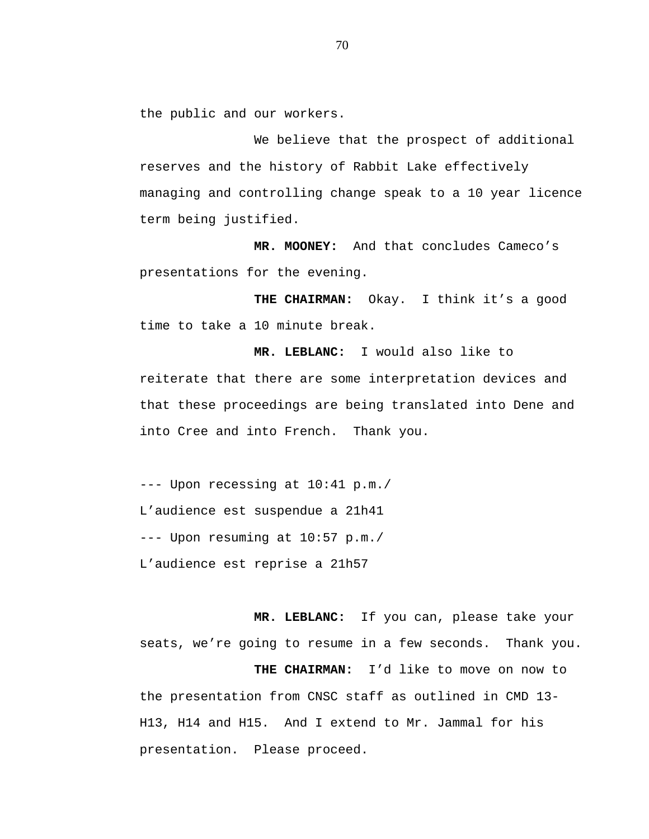the public and our workers.

We believe that the prospect of additional reserves and the history of Rabbit Lake effectively managing and controlling change speak to a 10 year licence term being justified.

**MR. MOONEY:** And that concludes Cameco's presentations for the evening.

**THE CHAIRMAN:** Okay. I think it's a good time to take a 10 minute break.

**MR. LEBLANC:** I would also like to reiterate that there are some interpretation devices and that these proceedings are being translated into Dene and into Cree and into French. Thank you.

--- Upon recessing at 10:41 p.m./ L'audience est suspendue a 21h41 --- Upon resuming at 10:57 p.m./ L'audience est reprise a 21h57

**MR. LEBLANC:** If you can, please take your seats, we're going to resume in a few seconds. Thank you. **THE CHAIRMAN:** I'd like to move on now to the presentation from CNSC staff as outlined in CMD 13- H13, H14 and H15. And I extend to Mr. Jammal for his presentation. Please proceed.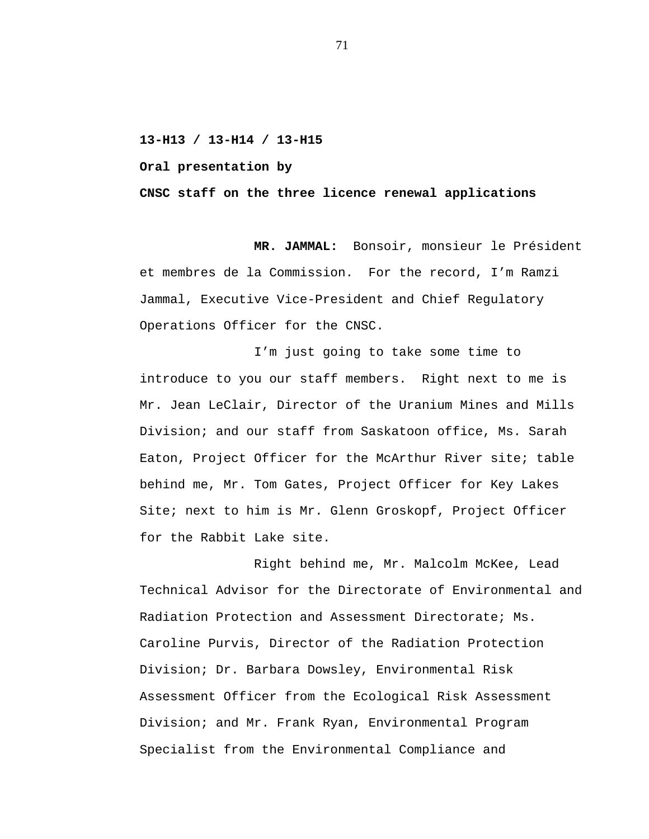**13-H13 / 13-H14 / 13-H15**

**Oral presentation by**

**CNSC staff on the three licence renewal applications**

**MR. JAMMAL:** Bonsoir, monsieur le Président et membres de la Commission. For the record, I'm Ramzi Jammal, Executive Vice-President and Chief Regulatory Operations Officer for the CNSC.

I'm just going to take some time to introduce to you our staff members. Right next to me is Mr. Jean LeClair, Director of the Uranium Mines and Mills Division; and our staff from Saskatoon office, Ms. Sarah Eaton, Project Officer for the McArthur River site; table behind me, Mr. Tom Gates, Project Officer for Key Lakes Site; next to him is Mr. Glenn Groskopf, Project Officer for the Rabbit Lake site.

Right behind me, Mr. Malcolm McKee, Lead Technical Advisor for the Directorate of Environmental and Radiation Protection and Assessment Directorate; Ms. Caroline Purvis, Director of the Radiation Protection Division; Dr. Barbara Dowsley, Environmental Risk Assessment Officer from the Ecological Risk Assessment Division; and Mr. Frank Ryan, Environmental Program Specialist from the Environmental Compliance and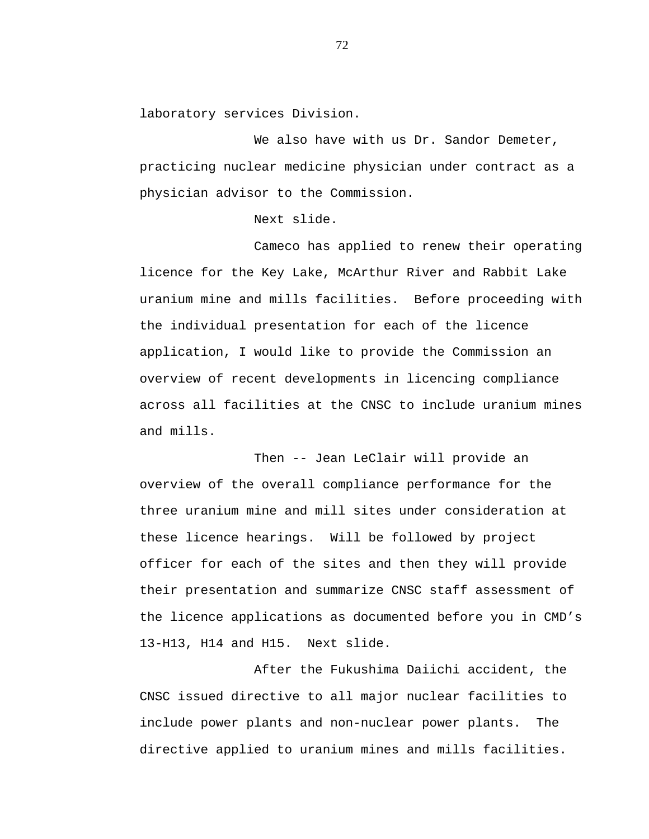laboratory services Division.

We also have with us Dr. Sandor Demeter, practicing nuclear medicine physician under contract as a physician advisor to the Commission.

Next slide.

Cameco has applied to renew their operating licence for the Key Lake, McArthur River and Rabbit Lake uranium mine and mills facilities. Before proceeding with the individual presentation for each of the licence application, I would like to provide the Commission an overview of recent developments in licencing compliance across all facilities at the CNSC to include uranium mines and mills.

Then -- Jean LeClair will provide an overview of the overall compliance performance for the three uranium mine and mill sites under consideration at these licence hearings. Will be followed by project officer for each of the sites and then they will provide their presentation and summarize CNSC staff assessment of the licence applications as documented before you in CMD's 13-H13, H14 and H15. Next slide.

After the Fukushima Daiichi accident, the CNSC issued directive to all major nuclear facilities to include power plants and non-nuclear power plants. The directive applied to uranium mines and mills facilities.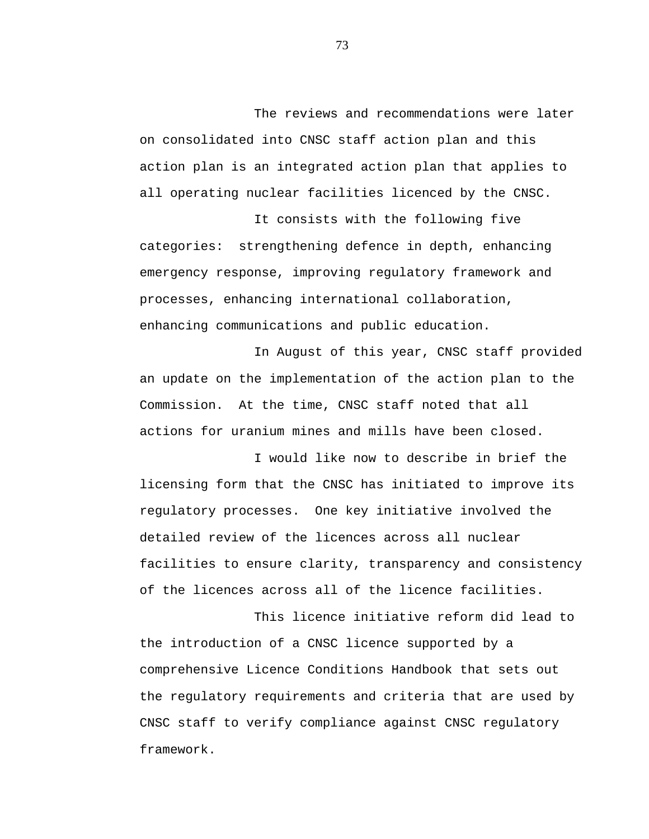The reviews and recommendations were later on consolidated into CNSC staff action plan and this action plan is an integrated action plan that applies to all operating nuclear facilities licenced by the CNSC.

It consists with the following five categories: strengthening defence in depth, enhancing emergency response, improving regulatory framework and processes, enhancing international collaboration, enhancing communications and public education.

In August of this year, CNSC staff provided an update on the implementation of the action plan to the Commission. At the time, CNSC staff noted that all actions for uranium mines and mills have been closed.

I would like now to describe in brief the licensing form that the CNSC has initiated to improve its regulatory processes. One key initiative involved the detailed review of the licences across all nuclear facilities to ensure clarity, transparency and consistency of the licences across all of the licence facilities.

This licence initiative reform did lead to the introduction of a CNSC licence supported by a comprehensive Licence Conditions Handbook that sets out the regulatory requirements and criteria that are used by CNSC staff to verify compliance against CNSC regulatory framework.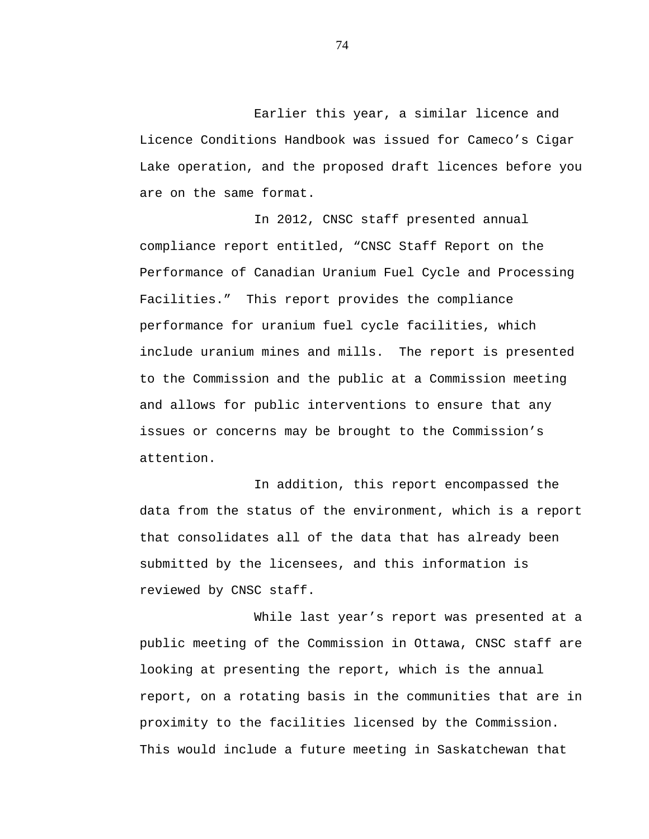Earlier this year, a similar licence and Licence Conditions Handbook was issued for Cameco's Cigar Lake operation, and the proposed draft licences before you are on the same format.

In 2012, CNSC staff presented annual compliance report entitled, "CNSC Staff Report on the Performance of Canadian Uranium Fuel Cycle and Processing Facilities." This report provides the compliance performance for uranium fuel cycle facilities, which include uranium mines and mills. The report is presented to the Commission and the public at a Commission meeting and allows for public interventions to ensure that any issues or concerns may be brought to the Commission's attention.

In addition, this report encompassed the data from the status of the environment, which is a report that consolidates all of the data that has already been submitted by the licensees, and this information is reviewed by CNSC staff.

While last year's report was presented at a public meeting of the Commission in Ottawa, CNSC staff are looking at presenting the report, which is the annual report, on a rotating basis in the communities that are in proximity to the facilities licensed by the Commission. This would include a future meeting in Saskatchewan that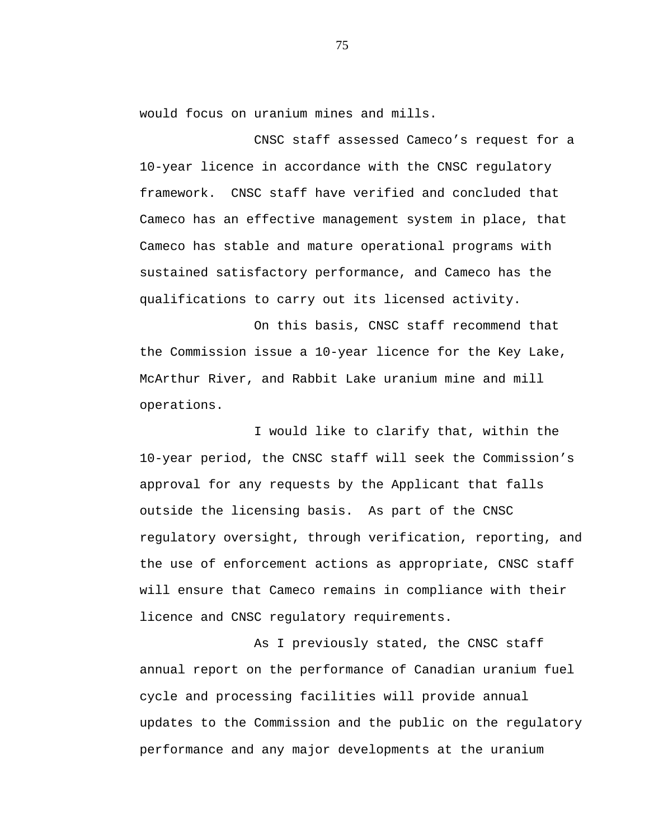would focus on uranium mines and mills.

CNSC staff assessed Cameco's request for a 10-year licence in accordance with the CNSC regulatory framework. CNSC staff have verified and concluded that Cameco has an effective management system in place, that Cameco has stable and mature operational programs with sustained satisfactory performance, and Cameco has the qualifications to carry out its licensed activity.

On this basis, CNSC staff recommend that the Commission issue a 10-year licence for the Key Lake, McArthur River, and Rabbit Lake uranium mine and mill operations.

I would like to clarify that, within the 10-year period, the CNSC staff will seek the Commission's approval for any requests by the Applicant that falls outside the licensing basis. As part of the CNSC regulatory oversight, through verification, reporting, and the use of enforcement actions as appropriate, CNSC staff will ensure that Cameco remains in compliance with their licence and CNSC regulatory requirements.

As I previously stated, the CNSC staff annual report on the performance of Canadian uranium fuel cycle and processing facilities will provide annual updates to the Commission and the public on the regulatory performance and any major developments at the uranium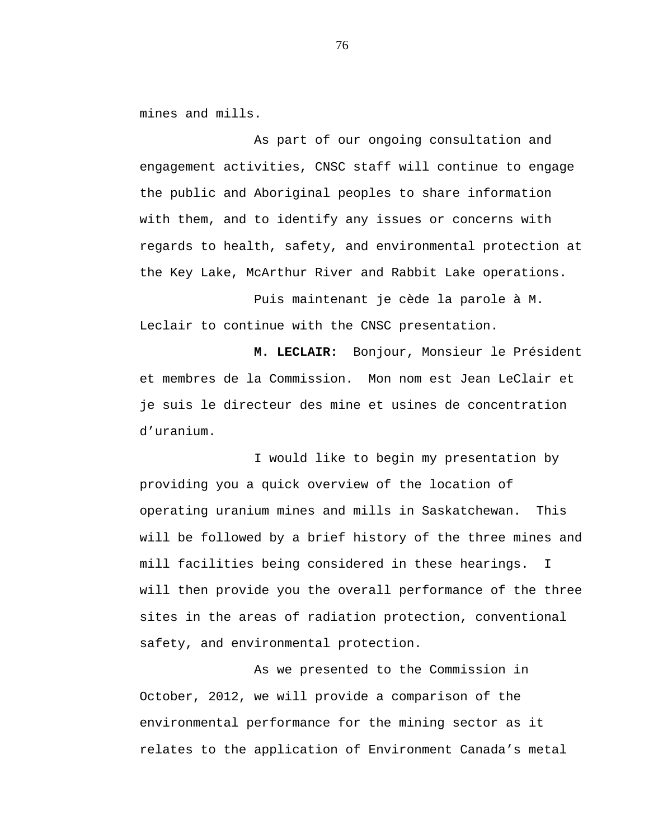mines and mills.

As part of our ongoing consultation and engagement activities, CNSC staff will continue to engage the public and Aboriginal peoples to share information with them, and to identify any issues or concerns with regards to health, safety, and environmental protection at the Key Lake, McArthur River and Rabbit Lake operations.

Puis maintenant je cède la parole à M. Leclair to continue with the CNSC presentation.

**M. LECLAIR:** Bonjour, Monsieur le Président et membres de la Commission. Mon nom est Jean LeClair et je suis le directeur des mine et usines de concentration d'uranium.

I would like to begin my presentation by providing you a quick overview of the location of operating uranium mines and mills in Saskatchewan. This will be followed by a brief history of the three mines and mill facilities being considered in these hearings. I will then provide you the overall performance of the three sites in the areas of radiation protection, conventional safety, and environmental protection.

As we presented to the Commission in October, 2012, we will provide a comparison of the environmental performance for the mining sector as it relates to the application of Environment Canada's metal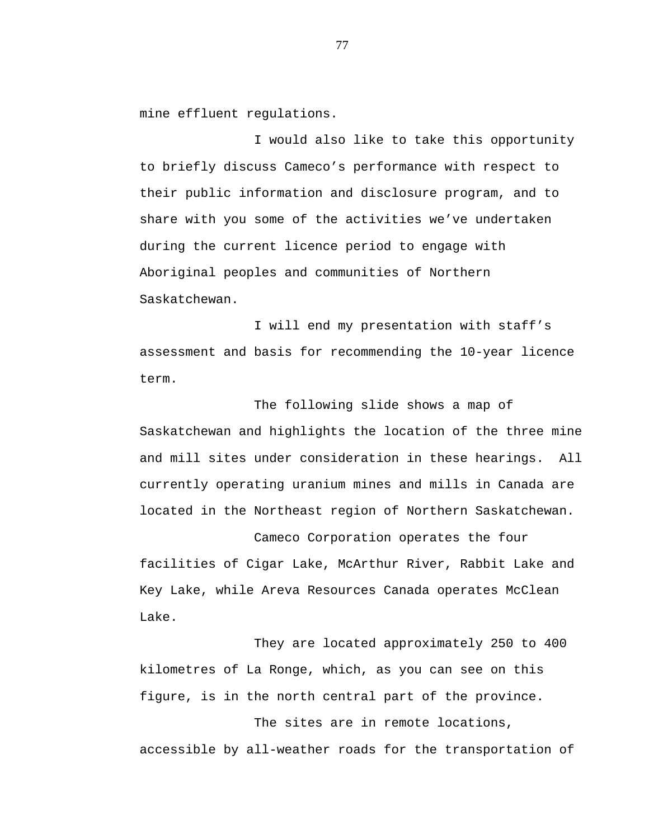mine effluent regulations.

I would also like to take this opportunity to briefly discuss Cameco's performance with respect to their public information and disclosure program, and to share with you some of the activities we've undertaken during the current licence period to engage with Aboriginal peoples and communities of Northern Saskatchewan.

I will end my presentation with staff's assessment and basis for recommending the 10-year licence term.

The following slide shows a map of Saskatchewan and highlights the location of the three mine and mill sites under consideration in these hearings. All currently operating uranium mines and mills in Canada are located in the Northeast region of Northern Saskatchewan.

Cameco Corporation operates the four facilities of Cigar Lake, McArthur River, Rabbit Lake and Key Lake, while Areva Resources Canada operates McClean Lake.

They are located approximately 250 to 400 kilometres of La Ronge, which, as you can see on this figure, is in the north central part of the province.

The sites are in remote locations, accessible by all-weather roads for the transportation of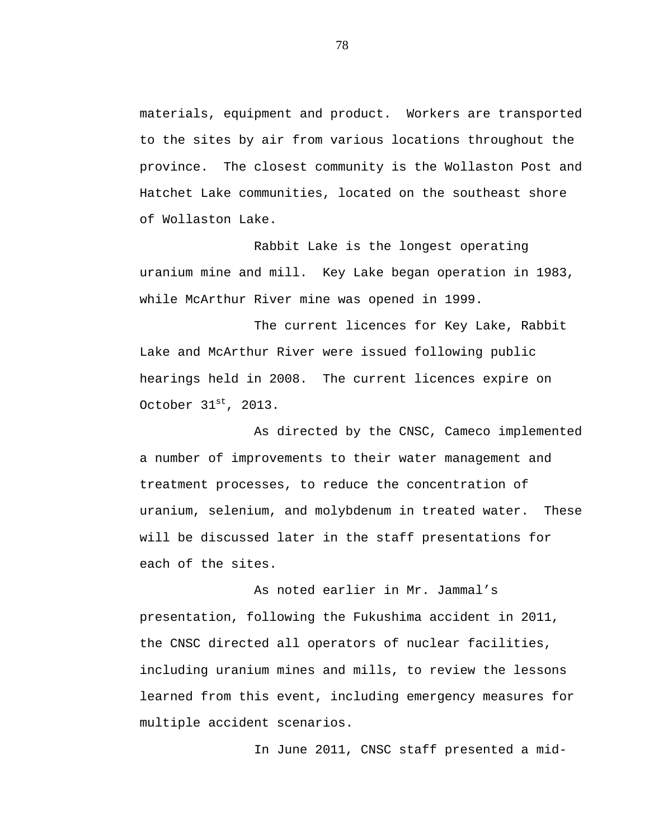materials, equipment and product. Workers are transported to the sites by air from various locations throughout the province. The closest community is the Wollaston Post and Hatchet Lake communities, located on the southeast shore of Wollaston Lake.

Rabbit Lake is the longest operating uranium mine and mill. Key Lake began operation in 1983, while McArthur River mine was opened in 1999.

The current licences for Key Lake, Rabbit Lake and McArthur River were issued following public hearings held in 2008. The current licences expire on October 31st, 2013.

As directed by the CNSC, Cameco implemented a number of improvements to their water management and treatment processes, to reduce the concentration of uranium, selenium, and molybdenum in treated water. These will be discussed later in the staff presentations for each of the sites.

As noted earlier in Mr. Jammal's presentation, following the Fukushima accident in 2011, the CNSC directed all operators of nuclear facilities, including uranium mines and mills, to review the lessons learned from this event, including emergency measures for multiple accident scenarios.

In June 2011, CNSC staff presented a mid-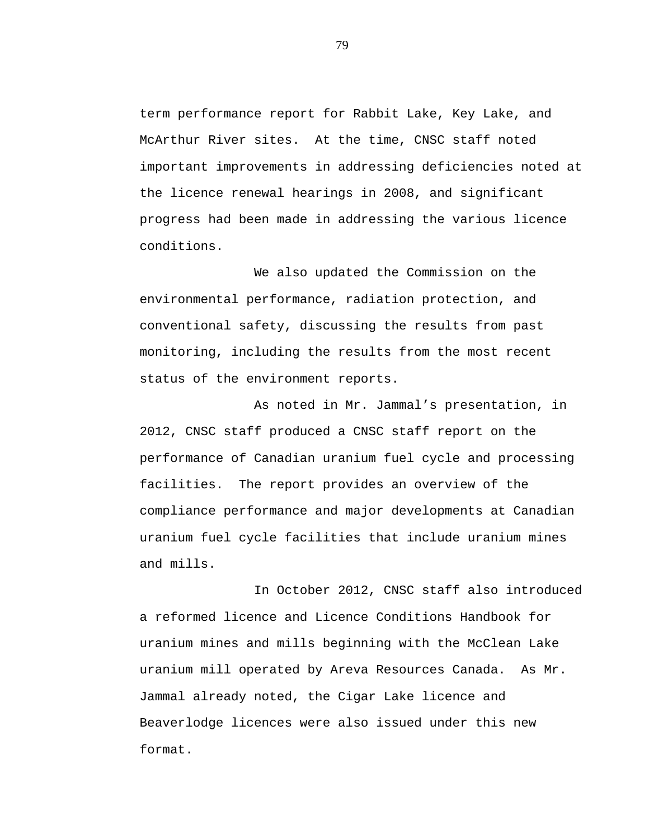term performance report for Rabbit Lake, Key Lake, and McArthur River sites. At the time, CNSC staff noted important improvements in addressing deficiencies noted at the licence renewal hearings in 2008, and significant progress had been made in addressing the various licence conditions.

We also updated the Commission on the environmental performance, radiation protection, and conventional safety, discussing the results from past monitoring, including the results from the most recent status of the environment reports.

As noted in Mr. Jammal's presentation, in 2012, CNSC staff produced a CNSC staff report on the performance of Canadian uranium fuel cycle and processing facilities. The report provides an overview of the compliance performance and major developments at Canadian uranium fuel cycle facilities that include uranium mines and mills.

In October 2012, CNSC staff also introduced a reformed licence and Licence Conditions Handbook for uranium mines and mills beginning with the McClean Lake uranium mill operated by Areva Resources Canada. As Mr. Jammal already noted, the Cigar Lake licence and Beaverlodge licences were also issued under this new format.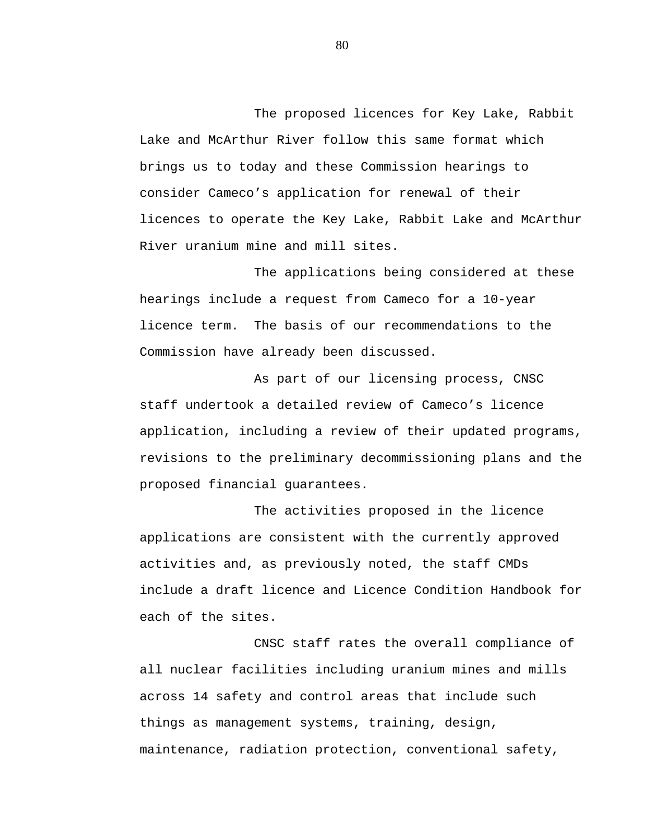The proposed licences for Key Lake, Rabbit Lake and McArthur River follow this same format which brings us to today and these Commission hearings to consider Cameco's application for renewal of their licences to operate the Key Lake, Rabbit Lake and McArthur River uranium mine and mill sites.

The applications being considered at these hearings include a request from Cameco for a 10-year licence term. The basis of our recommendations to the Commission have already been discussed.

As part of our licensing process, CNSC staff undertook a detailed review of Cameco's licence application, including a review of their updated programs, revisions to the preliminary decommissioning plans and the proposed financial guarantees.

The activities proposed in the licence applications are consistent with the currently approved activities and, as previously noted, the staff CMDs include a draft licence and Licence Condition Handbook for each of the sites.

CNSC staff rates the overall compliance of all nuclear facilities including uranium mines and mills across 14 safety and control areas that include such things as management systems, training, design, maintenance, radiation protection, conventional safety,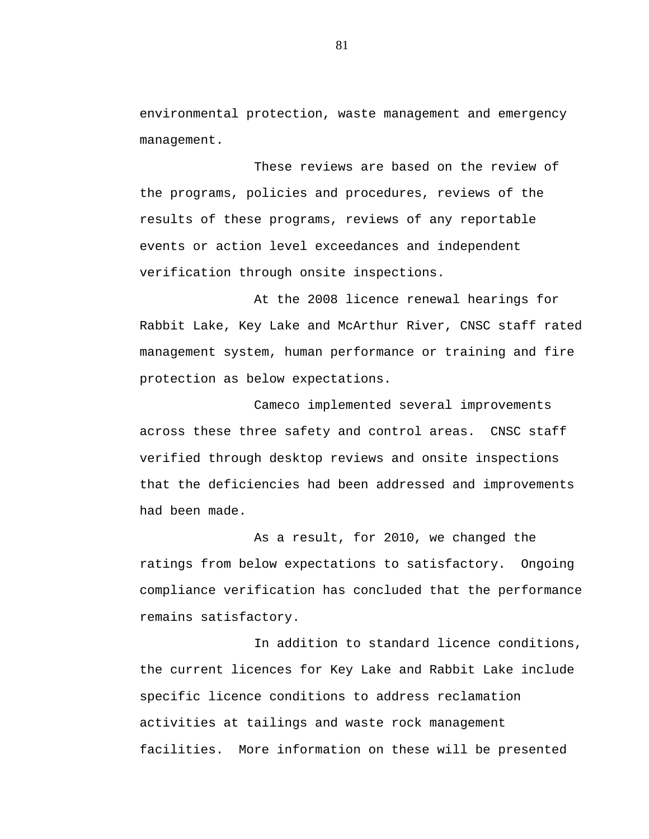environmental protection, waste management and emergency management.

These reviews are based on the review of the programs, policies and procedures, reviews of the results of these programs, reviews of any reportable events or action level exceedances and independent verification through onsite inspections.

At the 2008 licence renewal hearings for Rabbit Lake, Key Lake and McArthur River, CNSC staff rated management system, human performance or training and fire protection as below expectations.

Cameco implemented several improvements across these three safety and control areas. CNSC staff verified through desktop reviews and onsite inspections that the deficiencies had been addressed and improvements had been made.

As a result, for 2010, we changed the ratings from below expectations to satisfactory. Ongoing compliance verification has concluded that the performance remains satisfactory.

In addition to standard licence conditions, the current licences for Key Lake and Rabbit Lake include specific licence conditions to address reclamation activities at tailings and waste rock management facilities. More information on these will be presented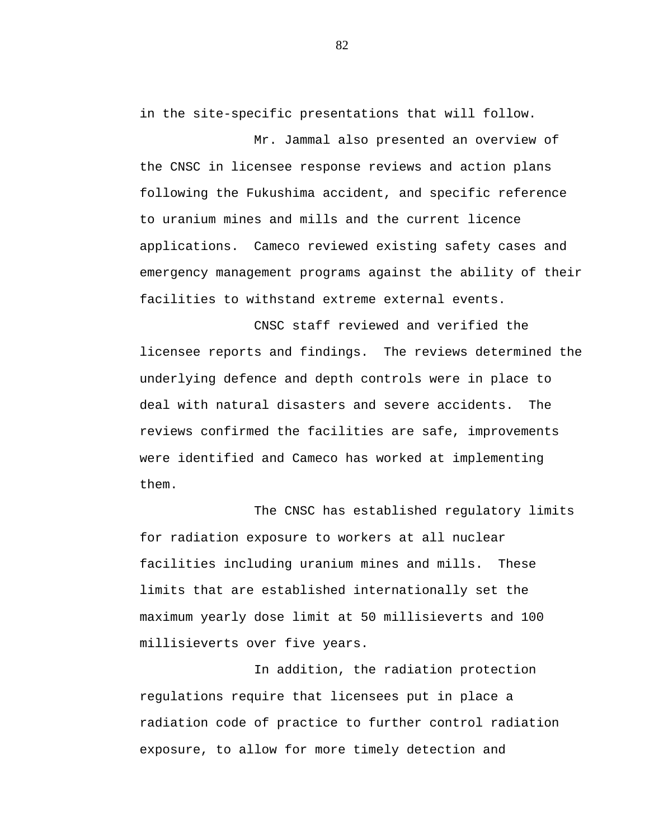in the site-specific presentations that will follow.

Mr. Jammal also presented an overview of the CNSC in licensee response reviews and action plans following the Fukushima accident, and specific reference to uranium mines and mills and the current licence applications. Cameco reviewed existing safety cases and emergency management programs against the ability of their facilities to withstand extreme external events.

CNSC staff reviewed and verified the licensee reports and findings. The reviews determined the underlying defence and depth controls were in place to deal with natural disasters and severe accidents. The reviews confirmed the facilities are safe, improvements were identified and Cameco has worked at implementing them.

The CNSC has established regulatory limits for radiation exposure to workers at all nuclear facilities including uranium mines and mills. These limits that are established internationally set the maximum yearly dose limit at 50 millisieverts and 100 millisieverts over five years.

In addition, the radiation protection regulations require that licensees put in place a radiation code of practice to further control radiation exposure, to allow for more timely detection and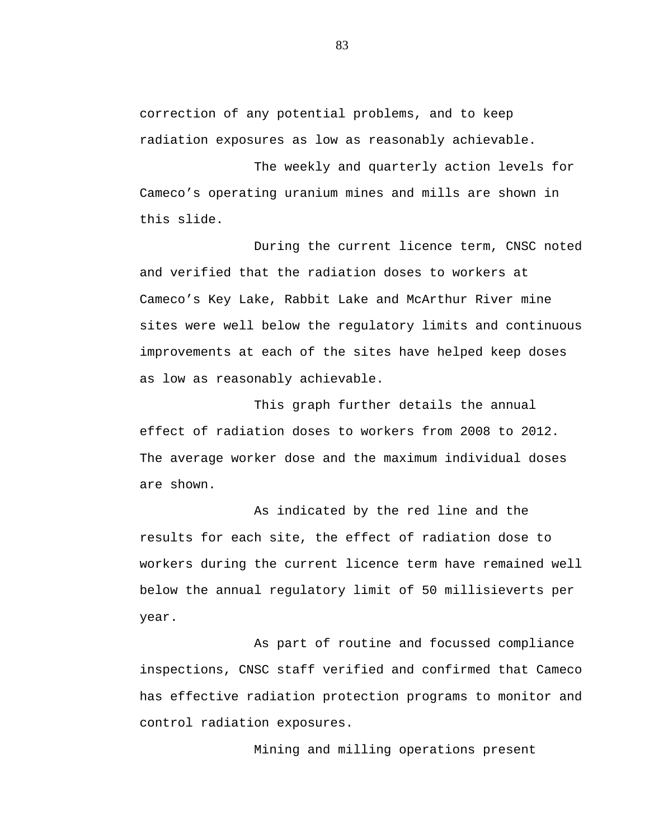correction of any potential problems, and to keep radiation exposures as low as reasonably achievable.

The weekly and quarterly action levels for Cameco's operating uranium mines and mills are shown in this slide.

During the current licence term, CNSC noted and verified that the radiation doses to workers at Cameco's Key Lake, Rabbit Lake and McArthur River mine sites were well below the regulatory limits and continuous improvements at each of the sites have helped keep doses as low as reasonably achievable.

This graph further details the annual effect of radiation doses to workers from 2008 to 2012. The average worker dose and the maximum individual doses are shown.

As indicated by the red line and the results for each site, the effect of radiation dose to workers during the current licence term have remained well below the annual regulatory limit of 50 millisieverts per year.

As part of routine and focussed compliance inspections, CNSC staff verified and confirmed that Cameco has effective radiation protection programs to monitor and control radiation exposures.

Mining and milling operations present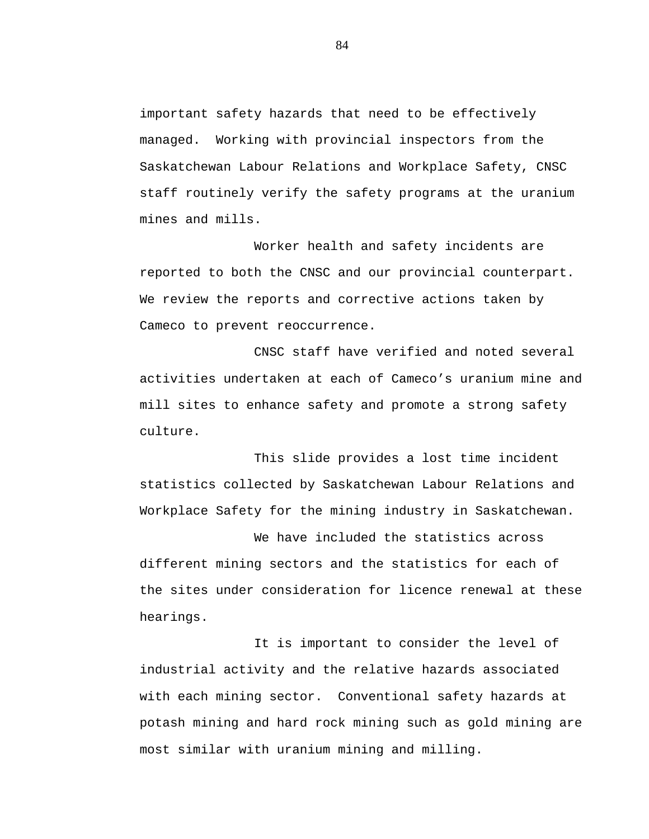important safety hazards that need to be effectively managed. Working with provincial inspectors from the Saskatchewan Labour Relations and Workplace Safety, CNSC staff routinely verify the safety programs at the uranium mines and mills.

Worker health and safety incidents are reported to both the CNSC and our provincial counterpart. We review the reports and corrective actions taken by Cameco to prevent reoccurrence.

CNSC staff have verified and noted several activities undertaken at each of Cameco's uranium mine and mill sites to enhance safety and promote a strong safety culture.

This slide provides a lost time incident statistics collected by Saskatchewan Labour Relations and Workplace Safety for the mining industry in Saskatchewan.

We have included the statistics across different mining sectors and the statistics for each of the sites under consideration for licence renewal at these hearings.

It is important to consider the level of industrial activity and the relative hazards associated with each mining sector. Conventional safety hazards at potash mining and hard rock mining such as gold mining are most similar with uranium mining and milling.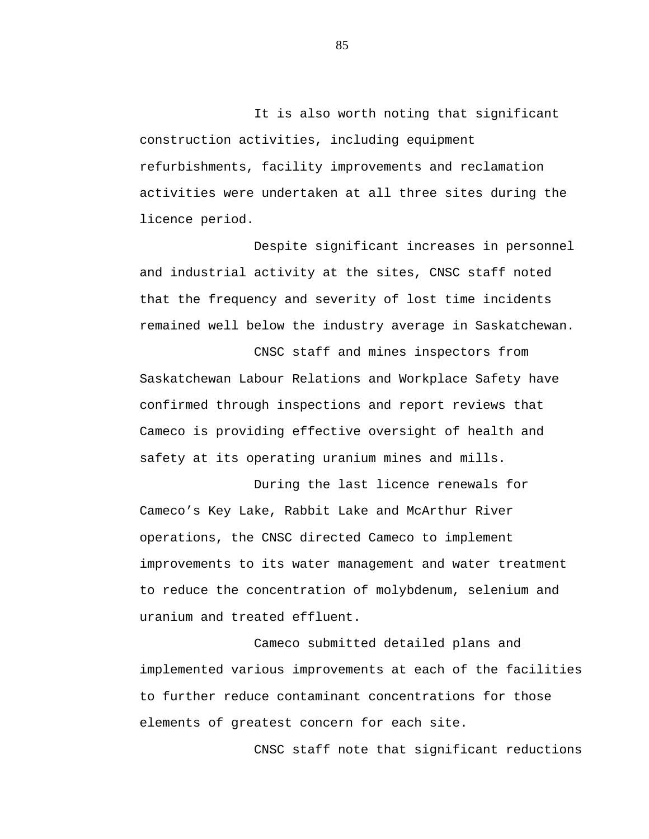It is also worth noting that significant construction activities, including equipment refurbishments, facility improvements and reclamation activities were undertaken at all three sites during the licence period.

Despite significant increases in personnel and industrial activity at the sites, CNSC staff noted that the frequency and severity of lost time incidents remained well below the industry average in Saskatchewan.

CNSC staff and mines inspectors from Saskatchewan Labour Relations and Workplace Safety have confirmed through inspections and report reviews that Cameco is providing effective oversight of health and safety at its operating uranium mines and mills.

During the last licence renewals for Cameco's Key Lake, Rabbit Lake and McArthur River operations, the CNSC directed Cameco to implement improvements to its water management and water treatment to reduce the concentration of molybdenum, selenium and uranium and treated effluent.

Cameco submitted detailed plans and implemented various improvements at each of the facilities to further reduce contaminant concentrations for those elements of greatest concern for each site.

CNSC staff note that significant reductions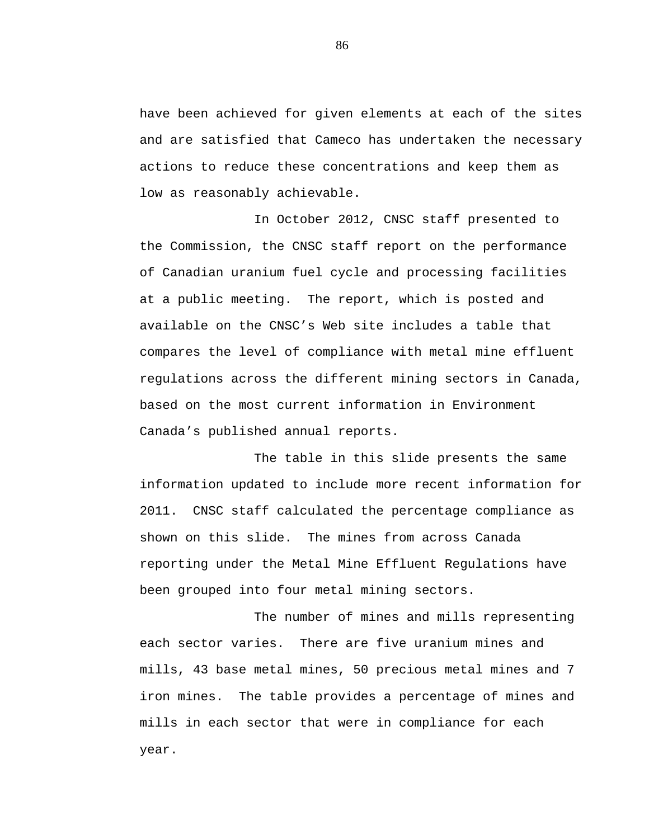have been achieved for given elements at each of the sites and are satisfied that Cameco has undertaken the necessary actions to reduce these concentrations and keep them as low as reasonably achievable.

In October 2012, CNSC staff presented to the Commission, the CNSC staff report on the performance of Canadian uranium fuel cycle and processing facilities at a public meeting. The report, which is posted and available on the CNSC's Web site includes a table that compares the level of compliance with metal mine effluent regulations across the different mining sectors in Canada, based on the most current information in Environment Canada's published annual reports.

The table in this slide presents the same information updated to include more recent information for 2011. CNSC staff calculated the percentage compliance as shown on this slide. The mines from across Canada reporting under the Metal Mine Effluent Regulations have been grouped into four metal mining sectors.

The number of mines and mills representing each sector varies. There are five uranium mines and mills, 43 base metal mines, 50 precious metal mines and 7 iron mines. The table provides a percentage of mines and mills in each sector that were in compliance for each year.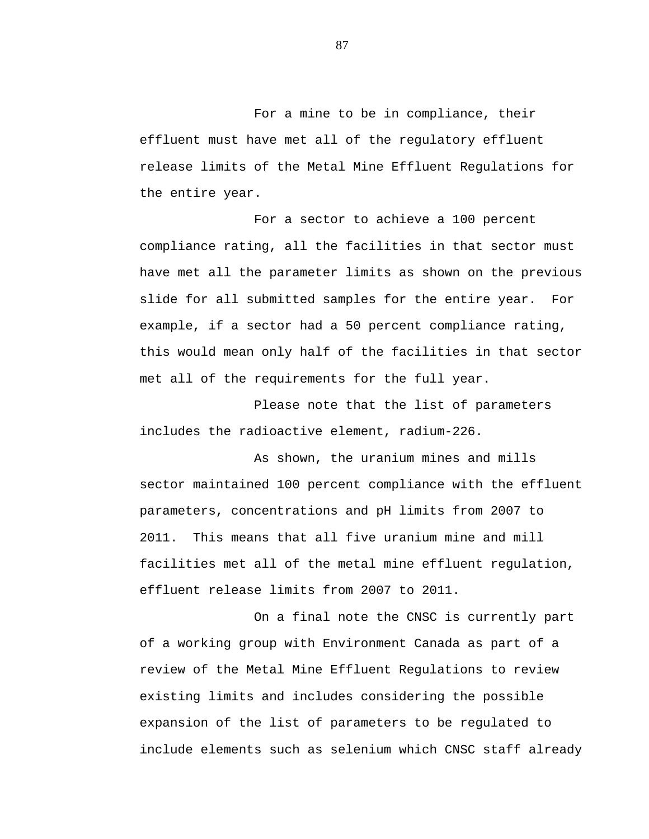For a mine to be in compliance, their effluent must have met all of the regulatory effluent release limits of the Metal Mine Effluent Regulations for the entire year.

For a sector to achieve a 100 percent compliance rating, all the facilities in that sector must have met all the parameter limits as shown on the previous slide for all submitted samples for the entire year. For example, if a sector had a 50 percent compliance rating, this would mean only half of the facilities in that sector met all of the requirements for the full year.

Please note that the list of parameters includes the radioactive element, radium-226.

As shown, the uranium mines and mills sector maintained 100 percent compliance with the effluent parameters, concentrations and pH limits from 2007 to 2011. This means that all five uranium mine and mill facilities met all of the metal mine effluent regulation, effluent release limits from 2007 to 2011.

On a final note the CNSC is currently part of a working group with Environment Canada as part of a review of the Metal Mine Effluent Regulations to review existing limits and includes considering the possible expansion of the list of parameters to be regulated to include elements such as selenium which CNSC staff already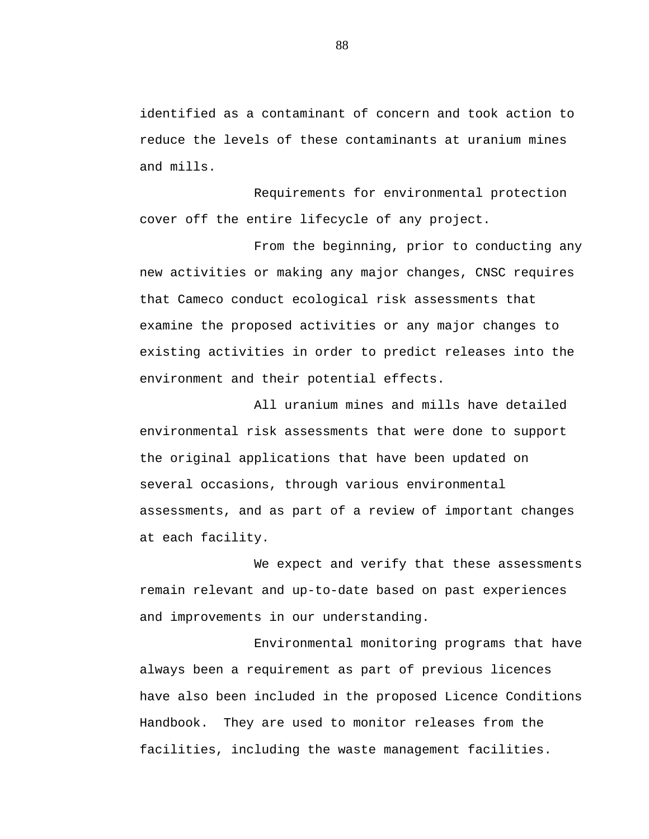identified as a contaminant of concern and took action to reduce the levels of these contaminants at uranium mines and mills.

Requirements for environmental protection cover off the entire lifecycle of any project.

From the beginning, prior to conducting any new activities or making any major changes, CNSC requires that Cameco conduct ecological risk assessments that examine the proposed activities or any major changes to existing activities in order to predict releases into the environment and their potential effects.

All uranium mines and mills have detailed environmental risk assessments that were done to support the original applications that have been updated on several occasions, through various environmental assessments, and as part of a review of important changes at each facility.

We expect and verify that these assessments remain relevant and up-to-date based on past experiences and improvements in our understanding.

Environmental monitoring programs that have always been a requirement as part of previous licences have also been included in the proposed Licence Conditions Handbook. They are used to monitor releases from the facilities, including the waste management facilities.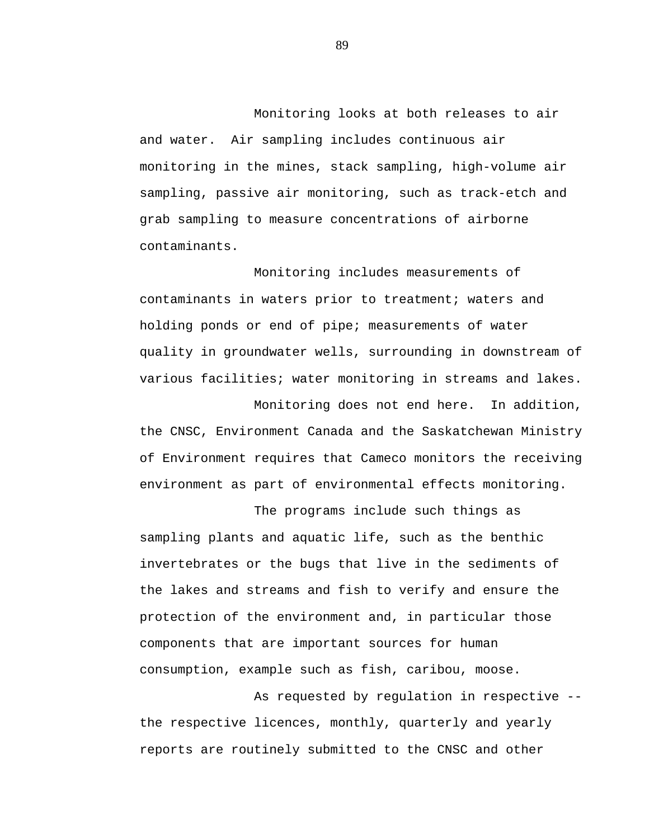Monitoring looks at both releases to air and water. Air sampling includes continuous air monitoring in the mines, stack sampling, high-volume air sampling, passive air monitoring, such as track-etch and grab sampling to measure concentrations of airborne contaminants.

Monitoring includes measurements of contaminants in waters prior to treatment; waters and holding ponds or end of pipe; measurements of water quality in groundwater wells, surrounding in downstream of various facilities; water monitoring in streams and lakes.

Monitoring does not end here. In addition, the CNSC, Environment Canada and the Saskatchewan Ministry of Environment requires that Cameco monitors the receiving environment as part of environmental effects monitoring.

The programs include such things as sampling plants and aquatic life, such as the benthic invertebrates or the bugs that live in the sediments of the lakes and streams and fish to verify and ensure the protection of the environment and, in particular those components that are important sources for human consumption, example such as fish, caribou, moose.

As requested by regulation in respective - the respective licences, monthly, quarterly and yearly reports are routinely submitted to the CNSC and other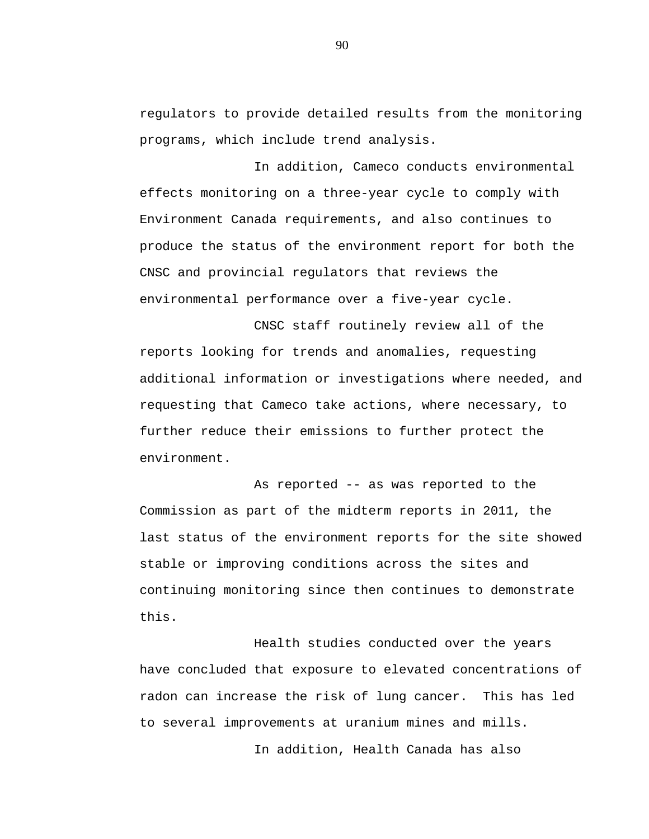regulators to provide detailed results from the monitoring programs, which include trend analysis.

In addition, Cameco conducts environmental effects monitoring on a three-year cycle to comply with Environment Canada requirements, and also continues to produce the status of the environment report for both the CNSC and provincial regulators that reviews the environmental performance over a five-year cycle.

CNSC staff routinely review all of the reports looking for trends and anomalies, requesting additional information or investigations where needed, and requesting that Cameco take actions, where necessary, to further reduce their emissions to further protect the environment.

As reported -- as was reported to the Commission as part of the midterm reports in 2011, the last status of the environment reports for the site showed stable or improving conditions across the sites and continuing monitoring since then continues to demonstrate this.

Health studies conducted over the years have concluded that exposure to elevated concentrations of radon can increase the risk of lung cancer. This has led to several improvements at uranium mines and mills.

In addition, Health Canada has also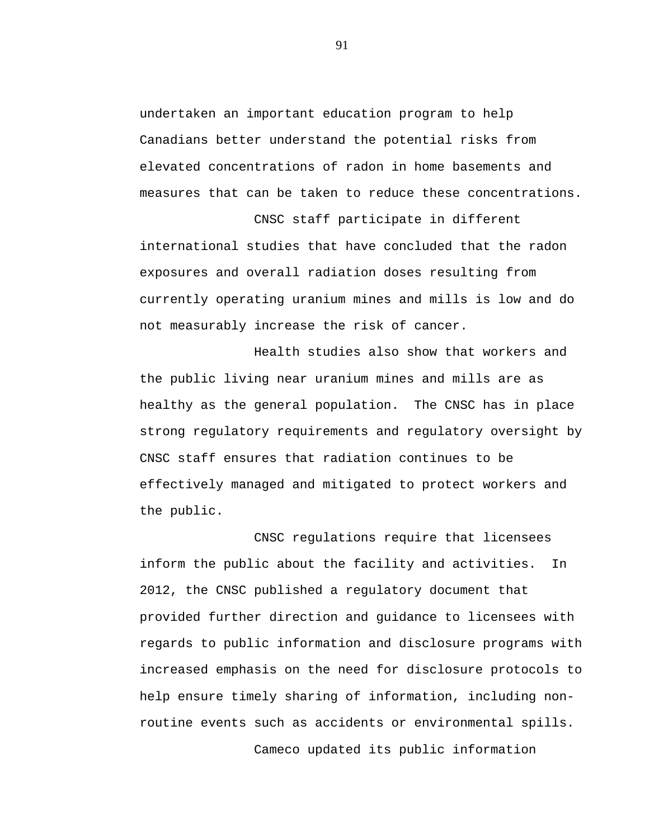undertaken an important education program to help Canadians better understand the potential risks from elevated concentrations of radon in home basements and measures that can be taken to reduce these concentrations.

CNSC staff participate in different international studies that have concluded that the radon exposures and overall radiation doses resulting from currently operating uranium mines and mills is low and do not measurably increase the risk of cancer.

Health studies also show that workers and the public living near uranium mines and mills are as healthy as the general population. The CNSC has in place strong regulatory requirements and regulatory oversight by CNSC staff ensures that radiation continues to be effectively managed and mitigated to protect workers and the public.

CNSC regulations require that licensees inform the public about the facility and activities. In 2012, the CNSC published a regulatory document that provided further direction and guidance to licensees with regards to public information and disclosure programs with increased emphasis on the need for disclosure protocols to help ensure timely sharing of information, including nonroutine events such as accidents or environmental spills.

Cameco updated its public information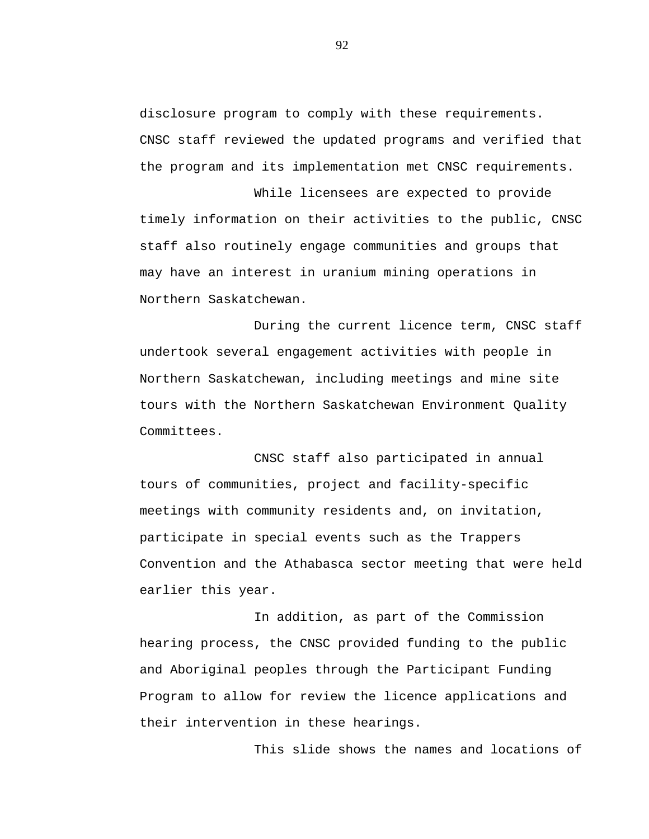disclosure program to comply with these requirements. CNSC staff reviewed the updated programs and verified that the program and its implementation met CNSC requirements.

While licensees are expected to provide timely information on their activities to the public, CNSC staff also routinely engage communities and groups that may have an interest in uranium mining operations in Northern Saskatchewan.

During the current licence term, CNSC staff undertook several engagement activities with people in Northern Saskatchewan, including meetings and mine site tours with the Northern Saskatchewan Environment Quality Committees.

CNSC staff also participated in annual tours of communities, project and facility-specific meetings with community residents and, on invitation, participate in special events such as the Trappers Convention and the Athabasca sector meeting that were held earlier this year.

In addition, as part of the Commission hearing process, the CNSC provided funding to the public and Aboriginal peoples through the Participant Funding Program to allow for review the licence applications and their intervention in these hearings.

This slide shows the names and locations of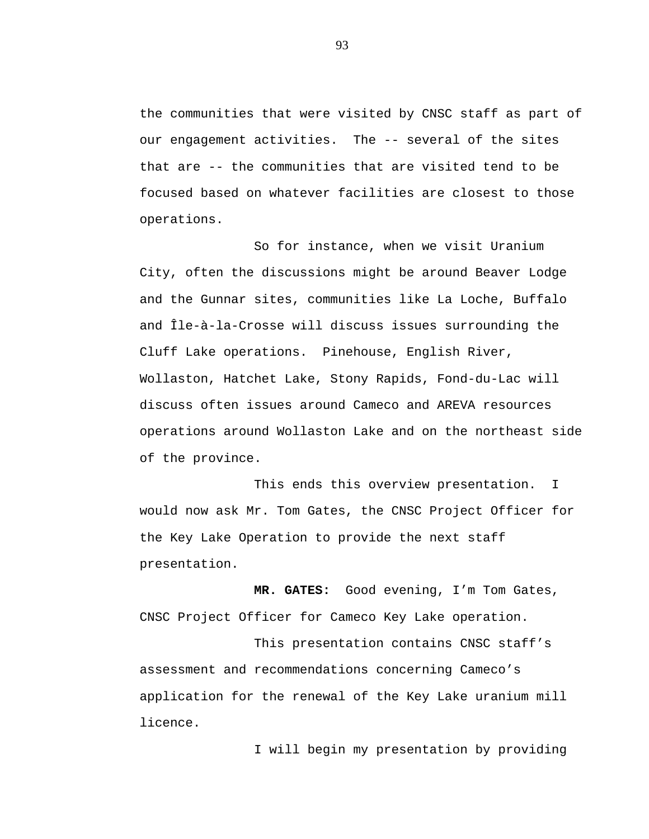the communities that were visited by CNSC staff as part of our engagement activities. The -- several of the sites that are -- the communities that are visited tend to be focused based on whatever facilities are closest to those operations.

So for instance, when we visit Uranium City, often the discussions might be around Beaver Lodge and the Gunnar sites, communities like La Loche, Buffalo and Île-à-la-Crosse will discuss issues surrounding the Cluff Lake operations. Pinehouse, English River, Wollaston, Hatchet Lake, Stony Rapids, Fond-du-Lac will discuss often issues around Cameco and AREVA resources operations around Wollaston Lake and on the northeast side of the province.

This ends this overview presentation. I would now ask Mr. Tom Gates, the CNSC Project Officer for the Key Lake Operation to provide the next staff presentation.

**MR. GATES:** Good evening, I'm Tom Gates, CNSC Project Officer for Cameco Key Lake operation.

This presentation contains CNSC staff's assessment and recommendations concerning Cameco's application for the renewal of the Key Lake uranium mill licence.

I will begin my presentation by providing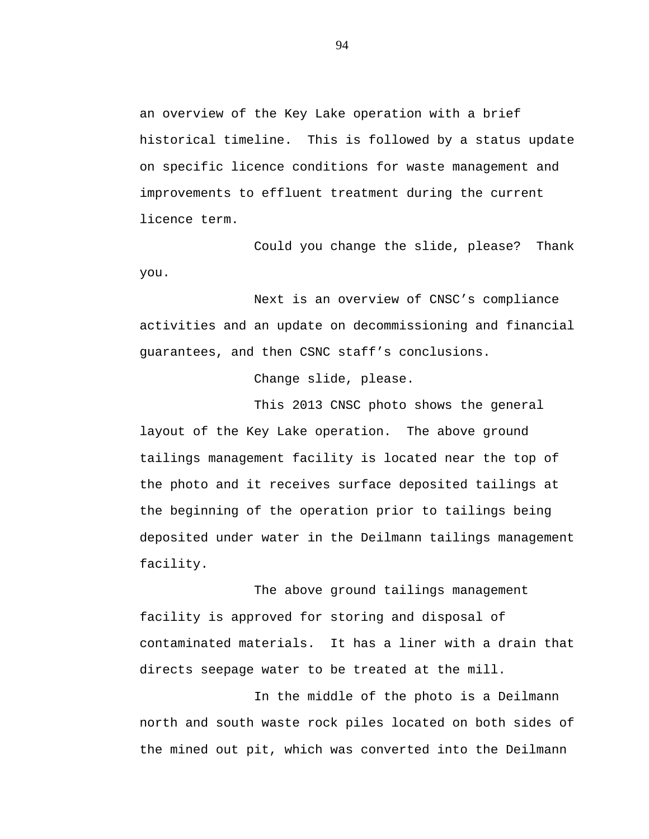an overview of the Key Lake operation with a brief historical timeline. This is followed by a status update on specific licence conditions for waste management and improvements to effluent treatment during the current licence term.

Could you change the slide, please? Thank you.

Next is an overview of CNSC's compliance activities and an update on decommissioning and financial guarantees, and then CSNC staff's conclusions.

Change slide, please.

This 2013 CNSC photo shows the general layout of the Key Lake operation. The above ground tailings management facility is located near the top of the photo and it receives surface deposited tailings at the beginning of the operation prior to tailings being deposited under water in the Deilmann tailings management facility.

The above ground tailings management facility is approved for storing and disposal of contaminated materials. It has a liner with a drain that directs seepage water to be treated at the mill.

In the middle of the photo is a Deilmann north and south waste rock piles located on both sides of the mined out pit, which was converted into the Deilmann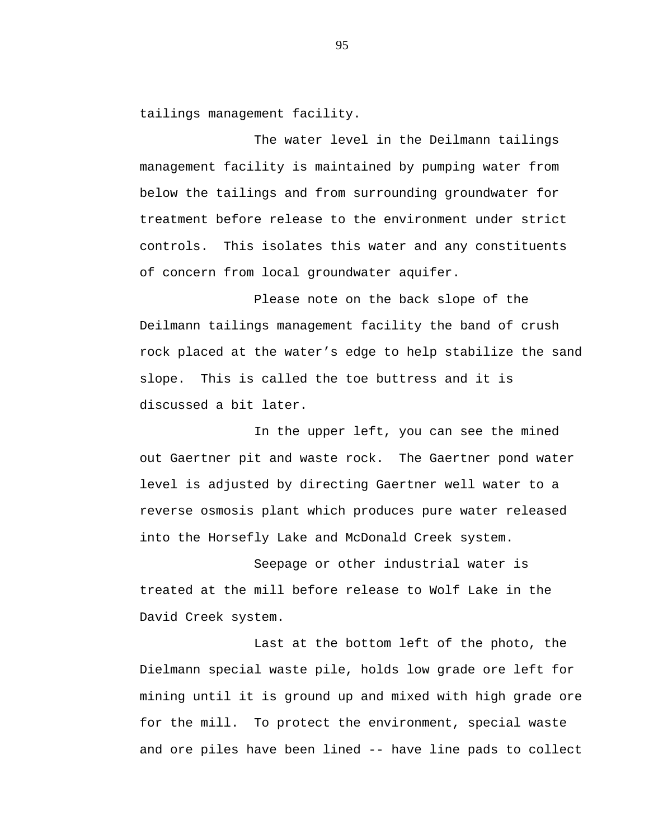tailings management facility.

The water level in the Deilmann tailings management facility is maintained by pumping water from below the tailings and from surrounding groundwater for treatment before release to the environment under strict controls. This isolates this water and any constituents of concern from local groundwater aquifer.

Please note on the back slope of the Deilmann tailings management facility the band of crush rock placed at the water's edge to help stabilize the sand slope. This is called the toe buttress and it is discussed a bit later.

In the upper left, you can see the mined out Gaertner pit and waste rock. The Gaertner pond water level is adjusted by directing Gaertner well water to a reverse osmosis plant which produces pure water released into the Horsefly Lake and McDonald Creek system.

Seepage or other industrial water is treated at the mill before release to Wolf Lake in the David Creek system.

Last at the bottom left of the photo, the Dielmann special waste pile, holds low grade ore left for mining until it is ground up and mixed with high grade ore for the mill. To protect the environment, special waste and ore piles have been lined -- have line pads to collect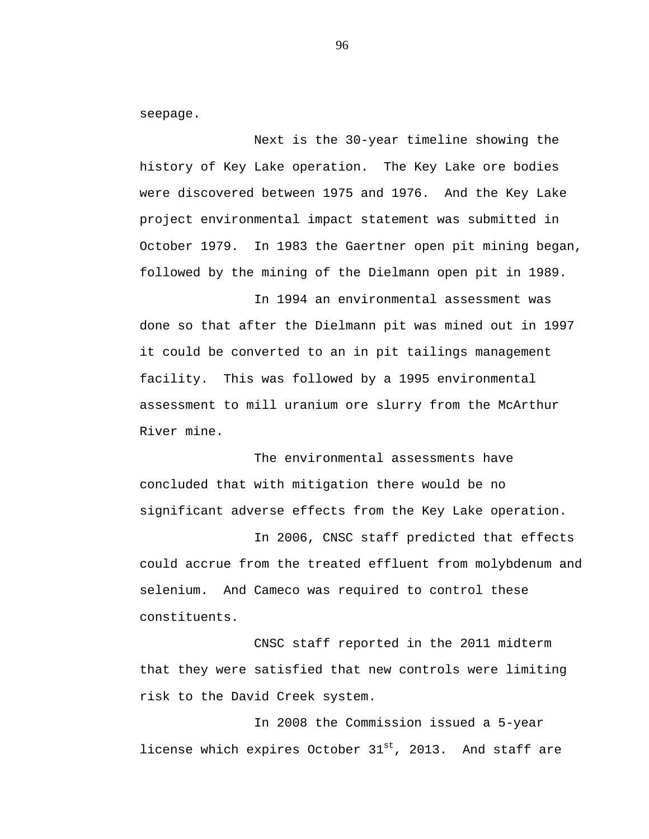seepage.

Next is the 30-year timeline showing the history of Key Lake operation. The Key Lake ore bodies were discovered between 1975 and 1976. And the Key Lake project environmental impact statement was submitted in October 1979. In 1983 the Gaertner open pit mining began, followed by the mining of the Dielmann open pit in 1989.

In 1994 an environmental assessment was done so that after the Dielmann pit was mined out in 1997 it could be converted to an in pit tailings management facility. This was followed by a 1995 environmental assessment to mill uranium ore slurry from the McArthur River mine.

The environmental assessments have concluded that with mitigation there would be no significant adverse effects from the Key Lake operation.

In 2006, CNSC staff predicted that effects could accrue from the treated effluent from molybdenum and selenium. And Cameco was required to control these constituents.

CNSC staff reported in the 2011 midterm that they were satisfied that new controls were limiting risk to the David Creek system.

In 2008 the Commission issued a 5-year license which expires October  $31^{st}$ , 2013. And staff are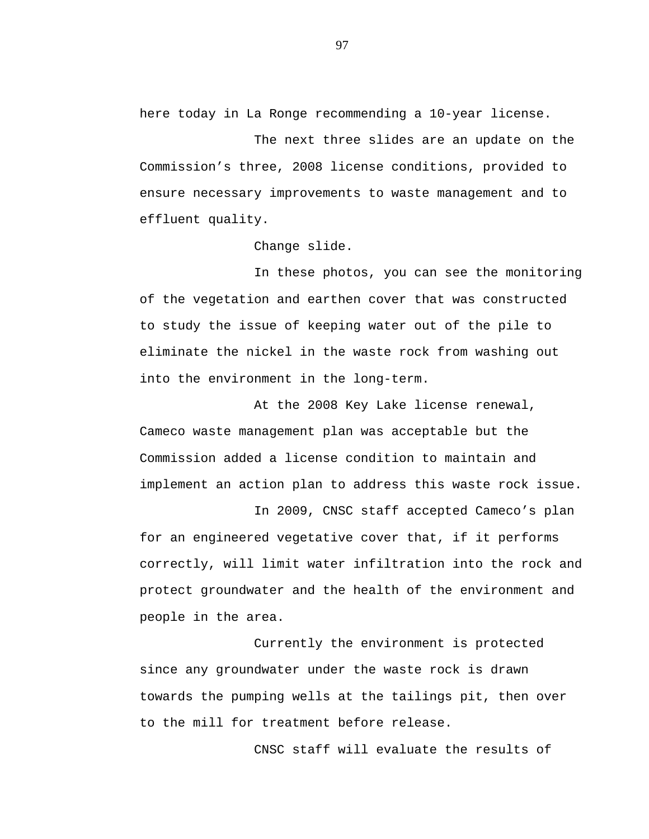here today in La Ronge recommending a 10-year license.

The next three slides are an update on the Commission's three, 2008 license conditions, provided to ensure necessary improvements to waste management and to effluent quality.

Change slide.

In these photos, you can see the monitoring of the vegetation and earthen cover that was constructed to study the issue of keeping water out of the pile to eliminate the nickel in the waste rock from washing out into the environment in the long-term.

At the 2008 Key Lake license renewal, Cameco waste management plan was acceptable but the Commission added a license condition to maintain and implement an action plan to address this waste rock issue.

In 2009, CNSC staff accepted Cameco's plan for an engineered vegetative cover that, if it performs correctly, will limit water infiltration into the rock and protect groundwater and the health of the environment and people in the area.

Currently the environment is protected since any groundwater under the waste rock is drawn towards the pumping wells at the tailings pit, then over to the mill for treatment before release.

CNSC staff will evaluate the results of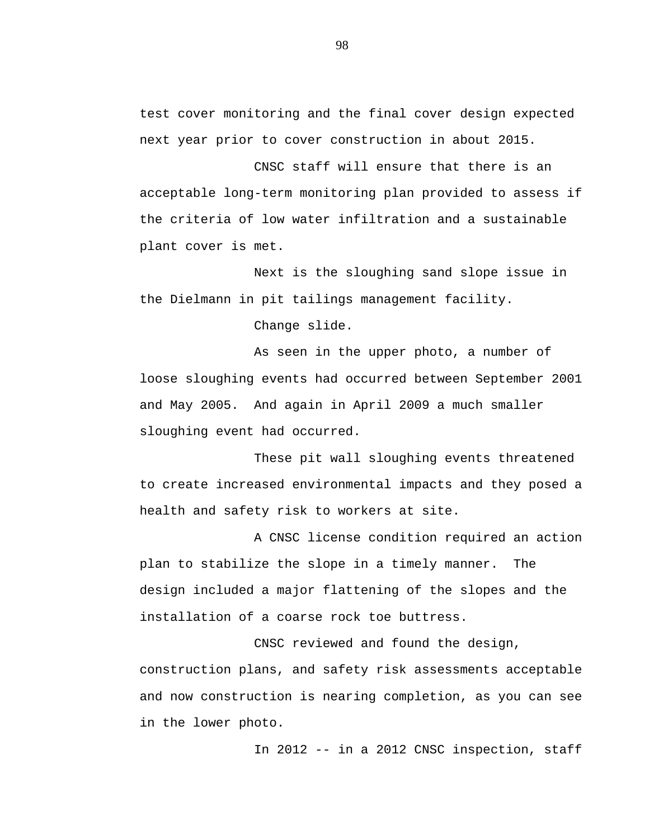test cover monitoring and the final cover design expected next year prior to cover construction in about 2015.

CNSC staff will ensure that there is an acceptable long-term monitoring plan provided to assess if the criteria of low water infiltration and a sustainable plant cover is met.

Next is the sloughing sand slope issue in the Dielmann in pit tailings management facility.

Change slide.

As seen in the upper photo, a number of loose sloughing events had occurred between September 2001 and May 2005. And again in April 2009 a much smaller sloughing event had occurred.

These pit wall sloughing events threatened to create increased environmental impacts and they posed a health and safety risk to workers at site.

A CNSC license condition required an action plan to stabilize the slope in a timely manner. The design included a major flattening of the slopes and the installation of a coarse rock toe buttress.

CNSC reviewed and found the design, construction plans, and safety risk assessments acceptable and now construction is nearing completion, as you can see in the lower photo.

In 2012 -- in a 2012 CNSC inspection, staff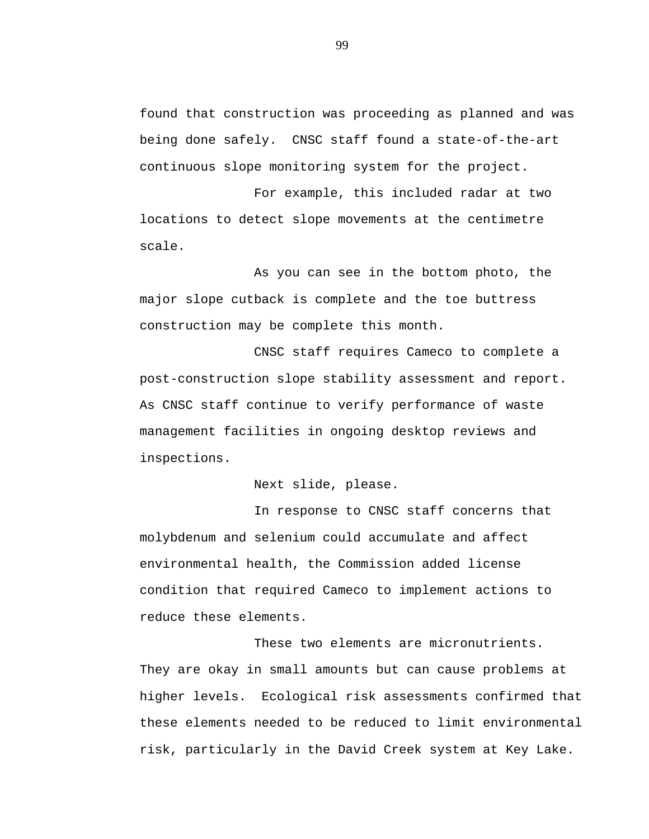found that construction was proceeding as planned and was being done safely. CNSC staff found a state-of-the-art continuous slope monitoring system for the project.

For example, this included radar at two locations to detect slope movements at the centimetre scale.

As you can see in the bottom photo, the major slope cutback is complete and the toe buttress construction may be complete this month.

CNSC staff requires Cameco to complete a post-construction slope stability assessment and report. As CNSC staff continue to verify performance of waste management facilities in ongoing desktop reviews and inspections.

Next slide, please.

In response to CNSC staff concerns that molybdenum and selenium could accumulate and affect environmental health, the Commission added license condition that required Cameco to implement actions to reduce these elements.

These two elements are micronutrients. They are okay in small amounts but can cause problems at higher levels. Ecological risk assessments confirmed that these elements needed to be reduced to limit environmental risk, particularly in the David Creek system at Key Lake.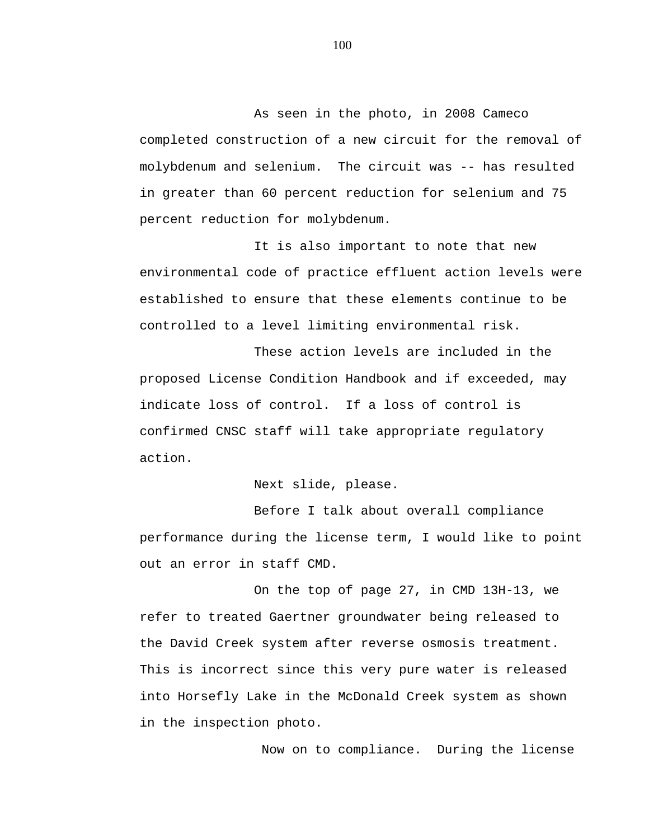As seen in the photo, in 2008 Cameco completed construction of a new circuit for the removal of molybdenum and selenium. The circuit was -- has resulted in greater than 60 percent reduction for selenium and 75 percent reduction for molybdenum.

It is also important to note that new environmental code of practice effluent action levels were established to ensure that these elements continue to be controlled to a level limiting environmental risk.

These action levels are included in the proposed License Condition Handbook and if exceeded, may indicate loss of control. If a loss of control is confirmed CNSC staff will take appropriate regulatory action.

Next slide, please.

Before I talk about overall compliance performance during the license term, I would like to point out an error in staff CMD.

On the top of page 27, in CMD 13H-13, we refer to treated Gaertner groundwater being released to the David Creek system after reverse osmosis treatment. This is incorrect since this very pure water is released into Horsefly Lake in the McDonald Creek system as shown in the inspection photo.

Now on to compliance. During the license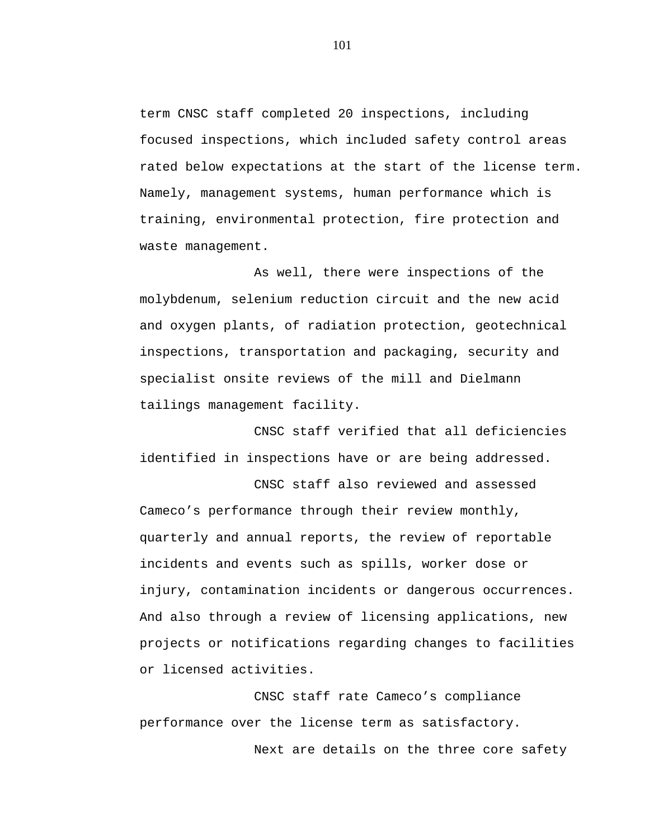term CNSC staff completed 20 inspections, including focused inspections, which included safety control areas rated below expectations at the start of the license term. Namely, management systems, human performance which is training, environmental protection, fire protection and waste management.

As well, there were inspections of the molybdenum, selenium reduction circuit and the new acid and oxygen plants, of radiation protection, geotechnical inspections, transportation and packaging, security and specialist onsite reviews of the mill and Dielmann tailings management facility.

CNSC staff verified that all deficiencies identified in inspections have or are being addressed.

CNSC staff also reviewed and assessed Cameco's performance through their review monthly, quarterly and annual reports, the review of reportable incidents and events such as spills, worker dose or injury, contamination incidents or dangerous occurrences. And also through a review of licensing applications, new projects or notifications regarding changes to facilities or licensed activities.

CNSC staff rate Cameco's compliance performance over the license term as satisfactory.

Next are details on the three core safety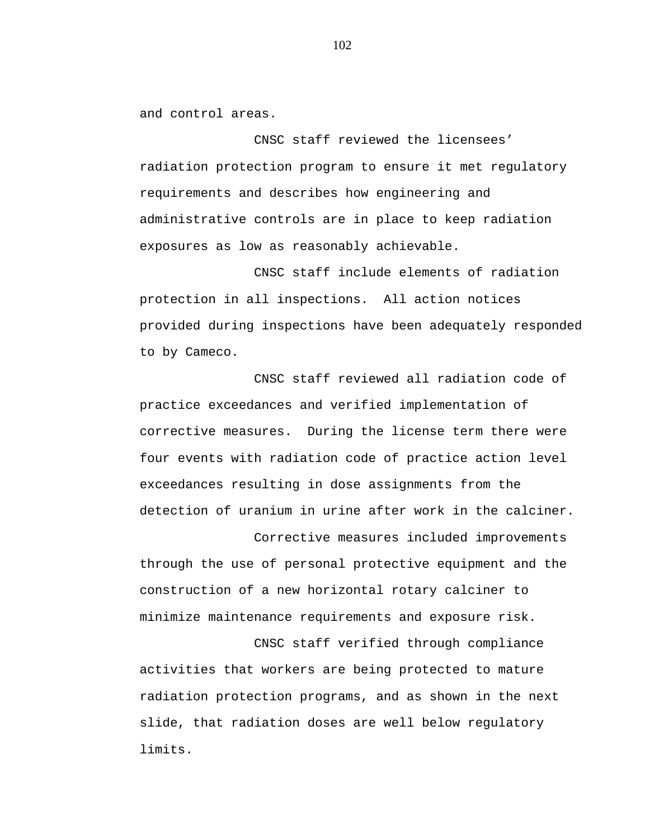and control areas.

CNSC staff reviewed the licensees' radiation protection program to ensure it met regulatory requirements and describes how engineering and administrative controls are in place to keep radiation exposures as low as reasonably achievable.

CNSC staff include elements of radiation protection in all inspections. All action notices provided during inspections have been adequately responded to by Cameco.

CNSC staff reviewed all radiation code of practice exceedances and verified implementation of corrective measures. During the license term there were four events with radiation code of practice action level exceedances resulting in dose assignments from the detection of uranium in urine after work in the calciner.

Corrective measures included improvements through the use of personal protective equipment and the construction of a new horizontal rotary calciner to minimize maintenance requirements and exposure risk.

CNSC staff verified through compliance activities that workers are being protected to mature radiation protection programs, and as shown in the next slide, that radiation doses are well below regulatory limits.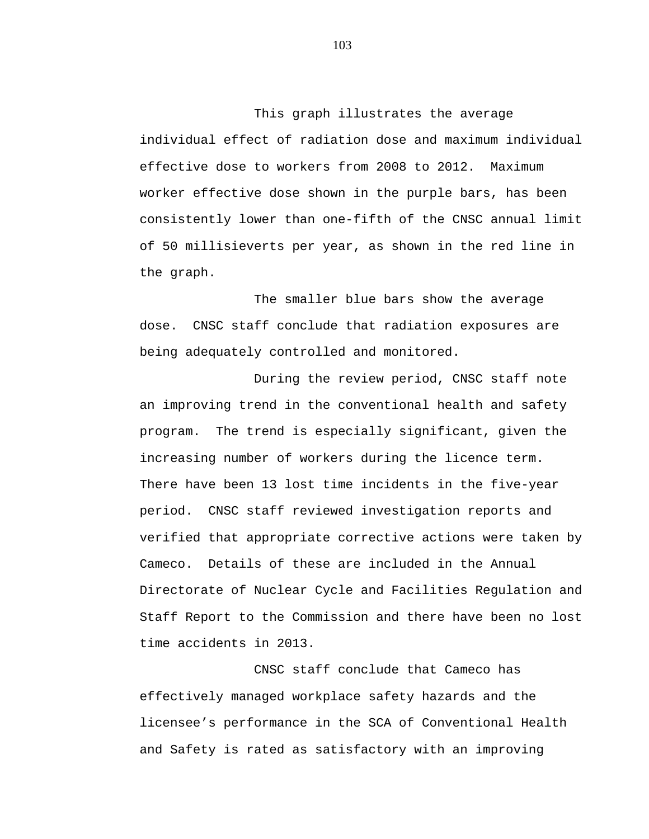This graph illustrates the average individual effect of radiation dose and maximum individual effective dose to workers from 2008 to 2012. Maximum worker effective dose shown in the purple bars, has been consistently lower than one-fifth of the CNSC annual limit of 50 millisieverts per year, as shown in the red line in the graph.

The smaller blue bars show the average dose. CNSC staff conclude that radiation exposures are being adequately controlled and monitored.

During the review period, CNSC staff note an improving trend in the conventional health and safety program. The trend is especially significant, given the increasing number of workers during the licence term. There have been 13 lost time incidents in the five-year period. CNSC staff reviewed investigation reports and verified that appropriate corrective actions were taken by Cameco. Details of these are included in the Annual Directorate of Nuclear Cycle and Facilities Regulation and Staff Report to the Commission and there have been no lost time accidents in 2013.

CNSC staff conclude that Cameco has effectively managed workplace safety hazards and the licensee's performance in the SCA of Conventional Health and Safety is rated as satisfactory with an improving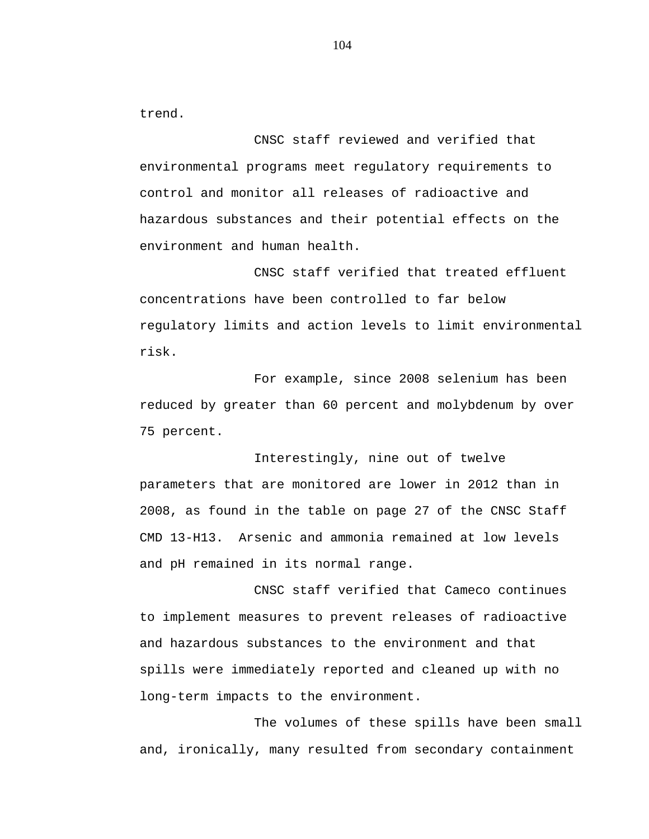trend.

CNSC staff reviewed and verified that environmental programs meet regulatory requirements to control and monitor all releases of radioactive and hazardous substances and their potential effects on the environment and human health.

CNSC staff verified that treated effluent concentrations have been controlled to far below regulatory limits and action levels to limit environmental risk.

For example, since 2008 selenium has been reduced by greater than 60 percent and molybdenum by over 75 percent.

Interestingly, nine out of twelve parameters that are monitored are lower in 2012 than in 2008, as found in the table on page 27 of the CNSC Staff CMD 13-H13. Arsenic and ammonia remained at low levels and pH remained in its normal range.

CNSC staff verified that Cameco continues to implement measures to prevent releases of radioactive and hazardous substances to the environment and that spills were immediately reported and cleaned up with no long-term impacts to the environment.

The volumes of these spills have been small and, ironically, many resulted from secondary containment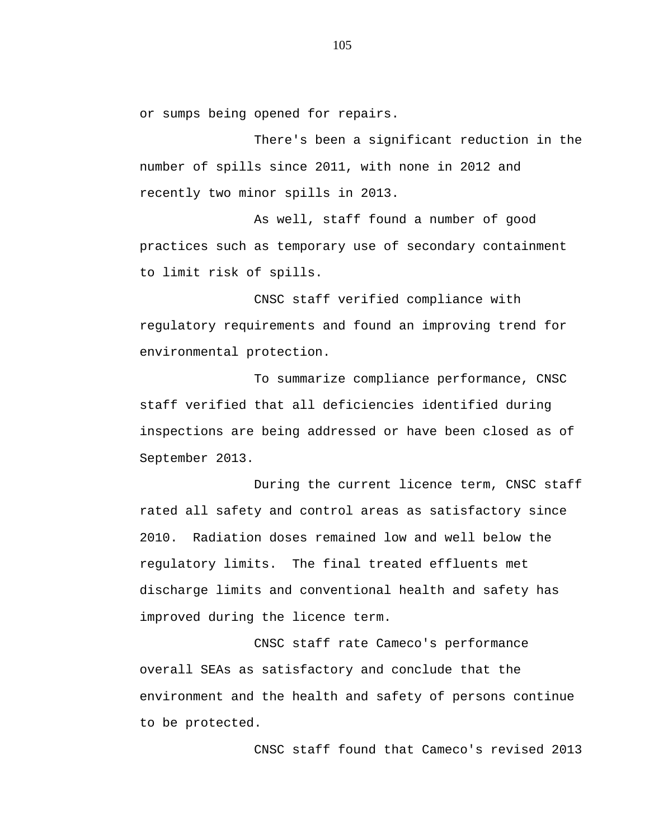or sumps being opened for repairs.

There's been a significant reduction in the number of spills since 2011, with none in 2012 and recently two minor spills in 2013.

As well, staff found a number of good practices such as temporary use of secondary containment to limit risk of spills.

CNSC staff verified compliance with regulatory requirements and found an improving trend for environmental protection.

To summarize compliance performance, CNSC staff verified that all deficiencies identified during inspections are being addressed or have been closed as of September 2013.

During the current licence term, CNSC staff rated all safety and control areas as satisfactory since 2010. Radiation doses remained low and well below the regulatory limits. The final treated effluents met discharge limits and conventional health and safety has improved during the licence term.

CNSC staff rate Cameco's performance overall SEAs as satisfactory and conclude that the environment and the health and safety of persons continue to be protected.

CNSC staff found that Cameco's revised 2013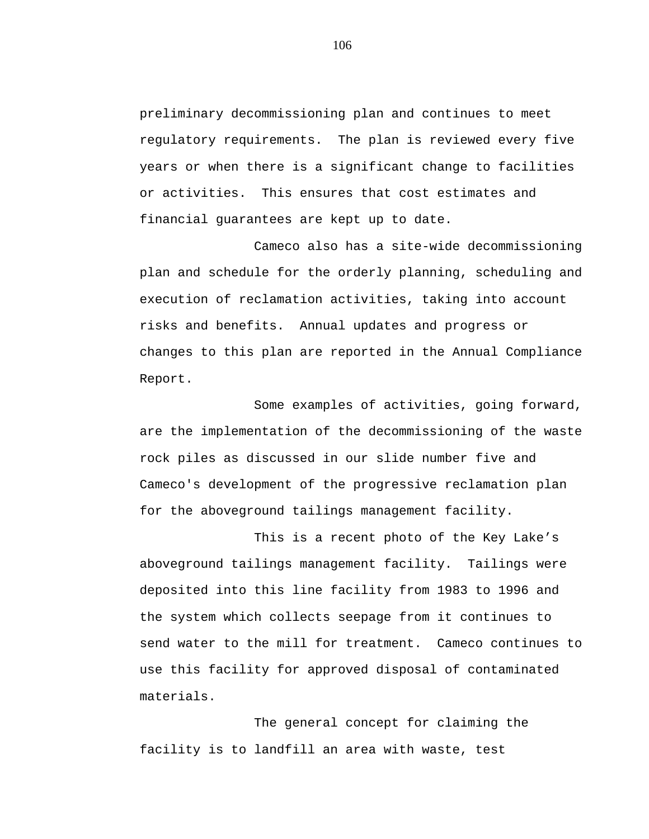preliminary decommissioning plan and continues to meet regulatory requirements. The plan is reviewed every five years or when there is a significant change to facilities or activities. This ensures that cost estimates and financial guarantees are kept up to date.

Cameco also has a site-wide decommissioning plan and schedule for the orderly planning, scheduling and execution of reclamation activities, taking into account risks and benefits. Annual updates and progress or changes to this plan are reported in the Annual Compliance Report.

Some examples of activities, going forward, are the implementation of the decommissioning of the waste rock piles as discussed in our slide number five and Cameco's development of the progressive reclamation plan for the aboveground tailings management facility.

This is a recent photo of the Key Lake's aboveground tailings management facility. Tailings were deposited into this line facility from 1983 to 1996 and the system which collects seepage from it continues to send water to the mill for treatment. Cameco continues to use this facility for approved disposal of contaminated materials.

The general concept for claiming the facility is to landfill an area with waste, test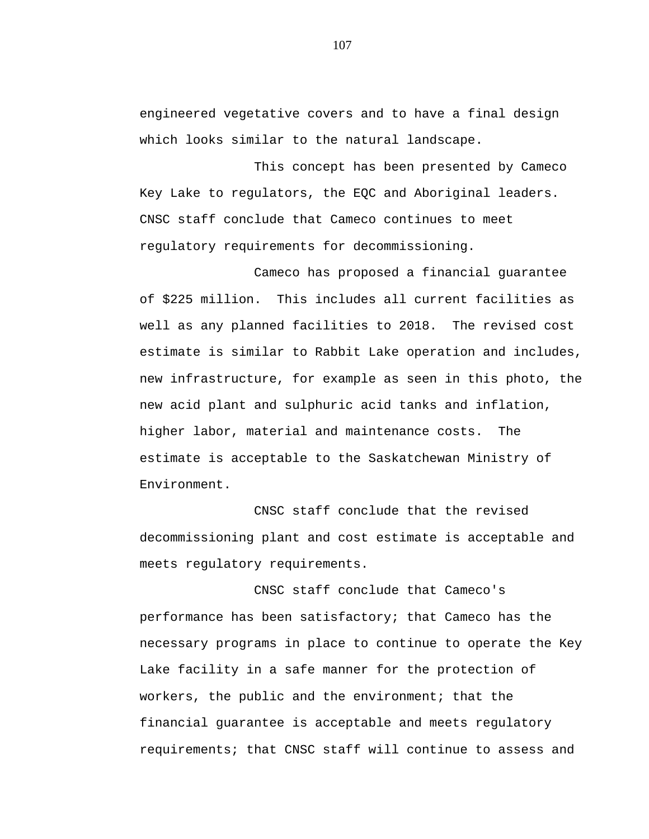engineered vegetative covers and to have a final design which looks similar to the natural landscape.

This concept has been presented by Cameco Key Lake to regulators, the EQC and Aboriginal leaders. CNSC staff conclude that Cameco continues to meet regulatory requirements for decommissioning.

Cameco has proposed a financial guarantee of \$225 million. This includes all current facilities as well as any planned facilities to 2018. The revised cost estimate is similar to Rabbit Lake operation and includes, new infrastructure, for example as seen in this photo, the new acid plant and sulphuric acid tanks and inflation, higher labor, material and maintenance costs. The estimate is acceptable to the Saskatchewan Ministry of Environment.

CNSC staff conclude that the revised decommissioning plant and cost estimate is acceptable and meets regulatory requirements.

CNSC staff conclude that Cameco's performance has been satisfactory; that Cameco has the necessary programs in place to continue to operate the Key Lake facility in a safe manner for the protection of workers, the public and the environment; that the financial guarantee is acceptable and meets regulatory requirements; that CNSC staff will continue to assess and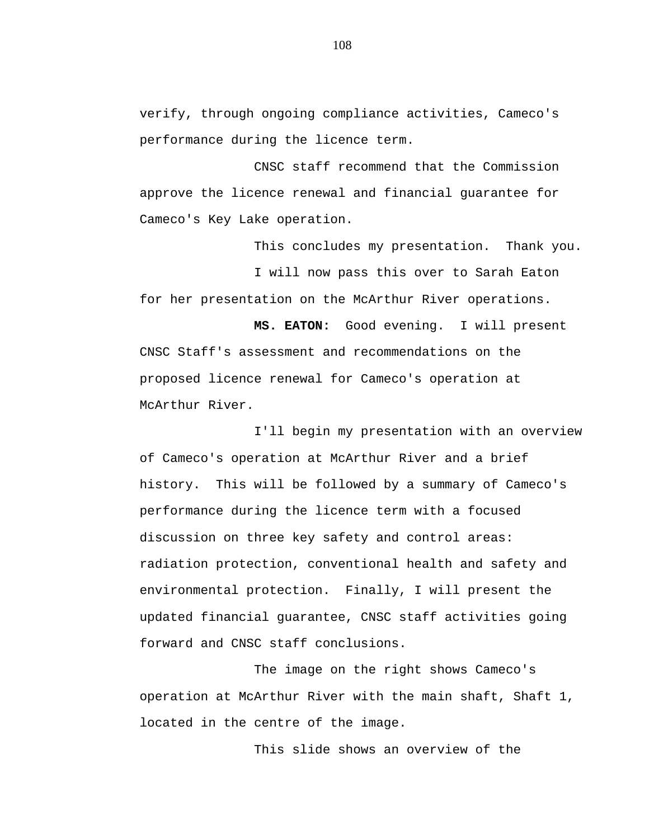verify, through ongoing compliance activities, Cameco's performance during the licence term.

CNSC staff recommend that the Commission approve the licence renewal and financial guarantee for Cameco's Key Lake operation.

This concludes my presentation. Thank you. I will now pass this over to Sarah Eaton for her presentation on the McArthur River operations.

**MS. EATON:** Good evening. I will present CNSC Staff's assessment and recommendations on the proposed licence renewal for Cameco's operation at McArthur River.

I'll begin my presentation with an overview of Cameco's operation at McArthur River and a brief history. This will be followed by a summary of Cameco's performance during the licence term with a focused discussion on three key safety and control areas: radiation protection, conventional health and safety and environmental protection. Finally, I will present the updated financial guarantee, CNSC staff activities going forward and CNSC staff conclusions.

The image on the right shows Cameco's operation at McArthur River with the main shaft, Shaft 1, located in the centre of the image.

This slide shows an overview of the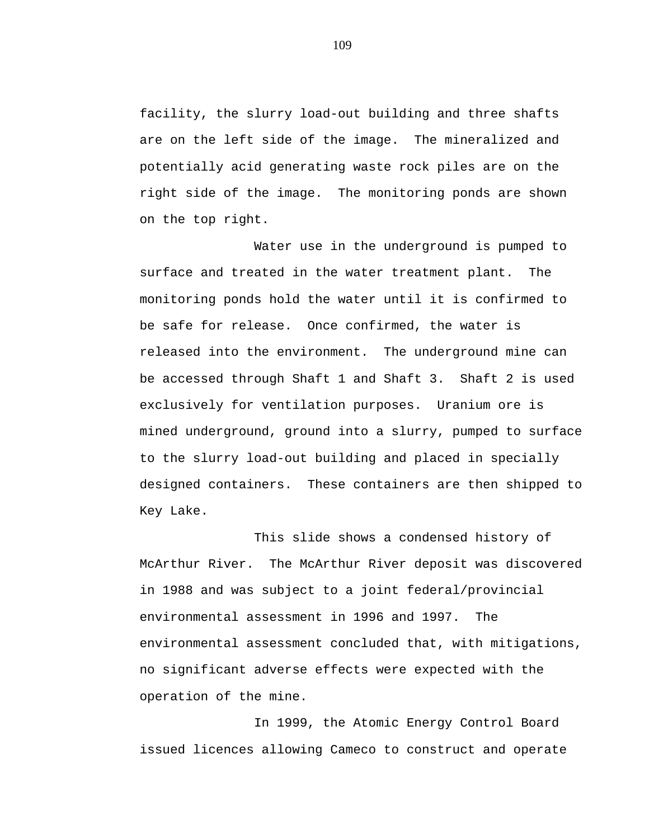facility, the slurry load-out building and three shafts are on the left side of the image. The mineralized and potentially acid generating waste rock piles are on the right side of the image. The monitoring ponds are shown on the top right.

Water use in the underground is pumped to surface and treated in the water treatment plant. The monitoring ponds hold the water until it is confirmed to be safe for release. Once confirmed, the water is released into the environment. The underground mine can be accessed through Shaft 1 and Shaft 3. Shaft 2 is used exclusively for ventilation purposes. Uranium ore is mined underground, ground into a slurry, pumped to surface to the slurry load-out building and placed in specially designed containers. These containers are then shipped to Key Lake.

This slide shows a condensed history of McArthur River. The McArthur River deposit was discovered in 1988 and was subject to a joint federal/provincial environmental assessment in 1996 and 1997. The environmental assessment concluded that, with mitigations, no significant adverse effects were expected with the operation of the mine.

In 1999, the Atomic Energy Control Board issued licences allowing Cameco to construct and operate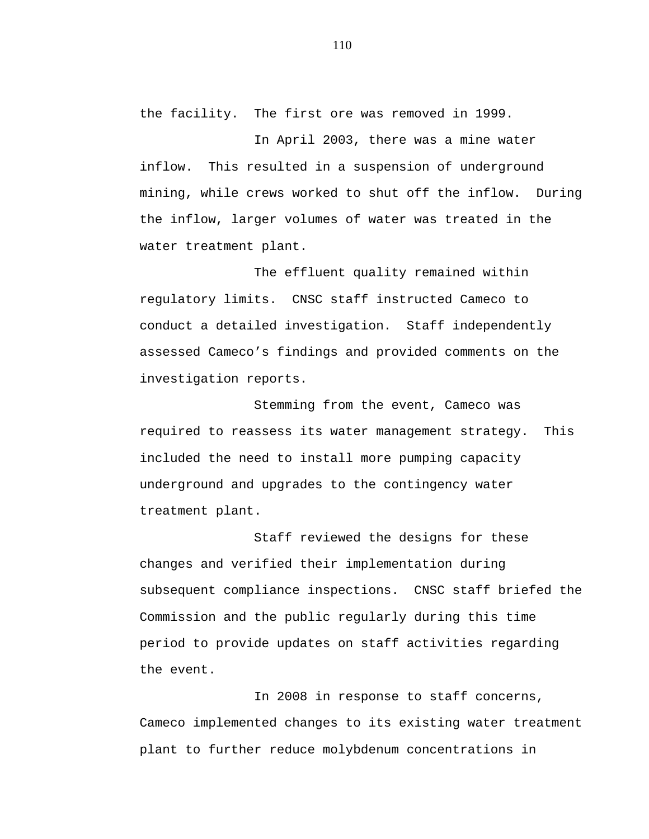the facility. The first ore was removed in 1999.

In April 2003, there was a mine water inflow. This resulted in a suspension of underground mining, while crews worked to shut off the inflow. During the inflow, larger volumes of water was treated in the water treatment plant.

The effluent quality remained within regulatory limits. CNSC staff instructed Cameco to conduct a detailed investigation. Staff independently assessed Cameco's findings and provided comments on the investigation reports.

Stemming from the event, Cameco was required to reassess its water management strategy. This included the need to install more pumping capacity underground and upgrades to the contingency water treatment plant.

Staff reviewed the designs for these changes and verified their implementation during subsequent compliance inspections. CNSC staff briefed the Commission and the public regularly during this time period to provide updates on staff activities regarding the event.

In 2008 in response to staff concerns, Cameco implemented changes to its existing water treatment plant to further reduce molybdenum concentrations in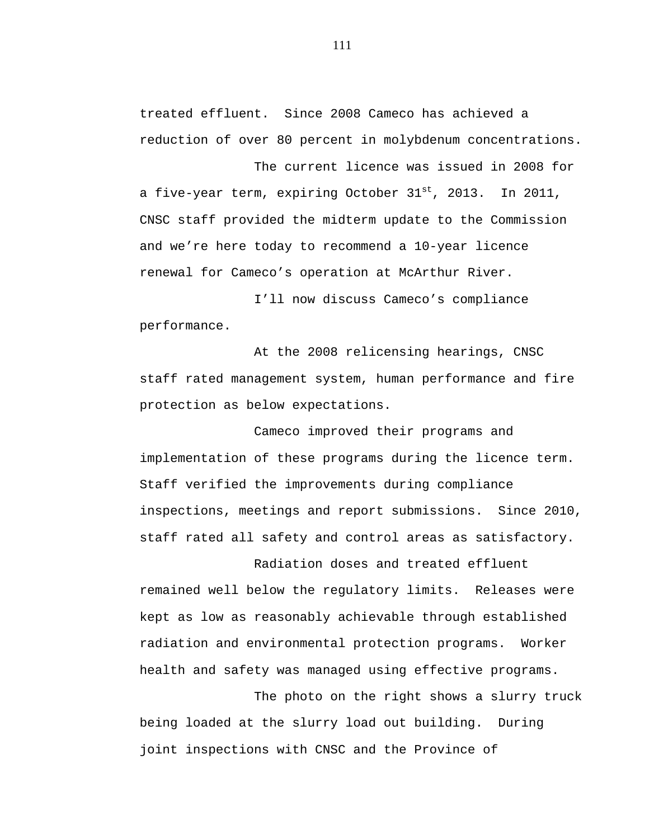treated effluent. Since 2008 Cameco has achieved a reduction of over 80 percent in molybdenum concentrations.

The current licence was issued in 2008 for a five-year term, expiring October  $31^{st}$ , 2013. In 2011, CNSC staff provided the midterm update to the Commission and we're here today to recommend a 10-year licence renewal for Cameco's operation at McArthur River.

I'll now discuss Cameco's compliance performance.

At the 2008 relicensing hearings, CNSC staff rated management system, human performance and fire protection as below expectations.

Cameco improved their programs and implementation of these programs during the licence term. Staff verified the improvements during compliance inspections, meetings and report submissions. Since 2010, staff rated all safety and control areas as satisfactory.

Radiation doses and treated effluent remained well below the regulatory limits. Releases were kept as low as reasonably achievable through established radiation and environmental protection programs. Worker health and safety was managed using effective programs.

The photo on the right shows a slurry truck being loaded at the slurry load out building. During joint inspections with CNSC and the Province of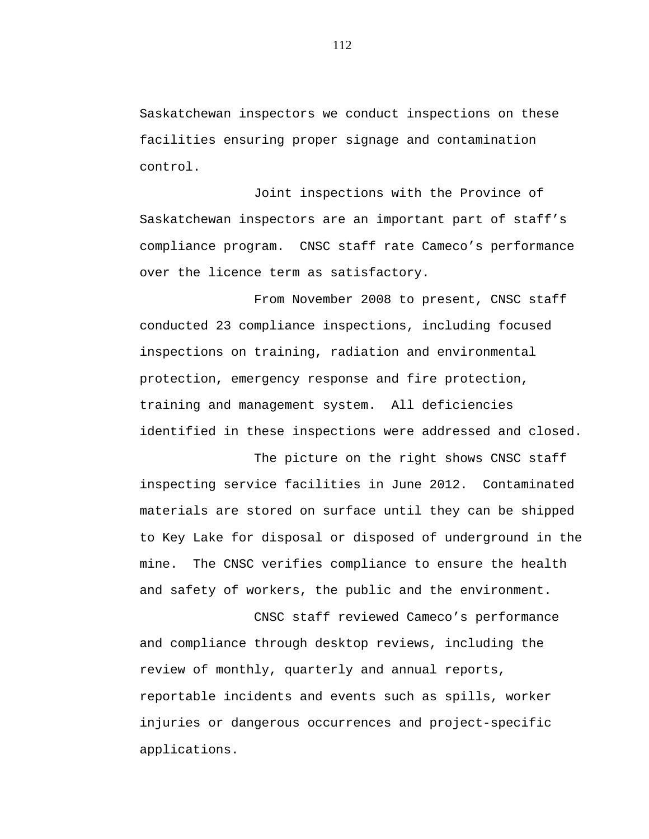Saskatchewan inspectors we conduct inspections on these facilities ensuring proper signage and contamination control.

Joint inspections with the Province of Saskatchewan inspectors are an important part of staff's compliance program. CNSC staff rate Cameco's performance over the licence term as satisfactory.

From November 2008 to present, CNSC staff conducted 23 compliance inspections, including focused inspections on training, radiation and environmental protection, emergency response and fire protection, training and management system. All deficiencies identified in these inspections were addressed and closed.

The picture on the right shows CNSC staff inspecting service facilities in June 2012. Contaminated materials are stored on surface until they can be shipped to Key Lake for disposal or disposed of underground in the mine. The CNSC verifies compliance to ensure the health and safety of workers, the public and the environment.

CNSC staff reviewed Cameco's performance and compliance through desktop reviews, including the review of monthly, quarterly and annual reports, reportable incidents and events such as spills, worker injuries or dangerous occurrences and project-specific applications.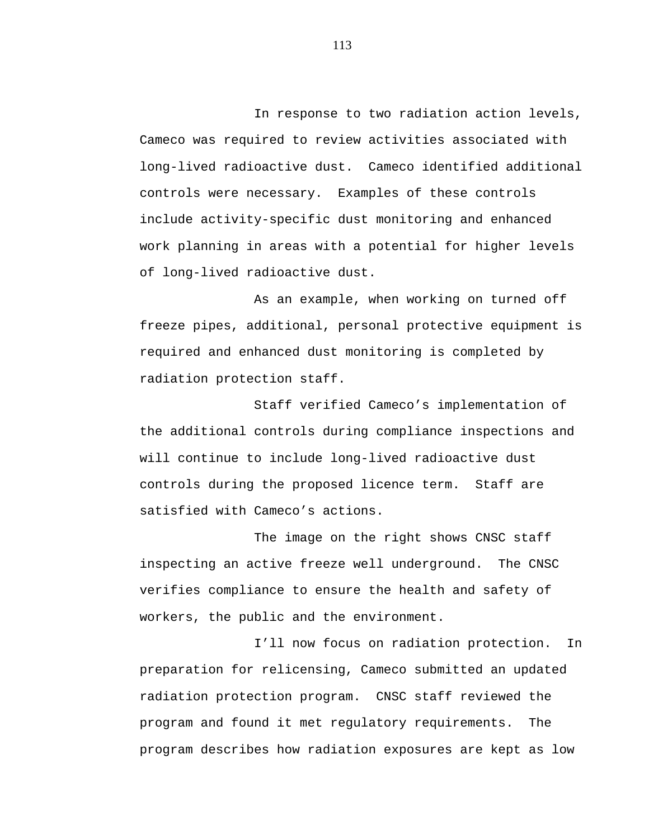In response to two radiation action levels, Cameco was required to review activities associated with long-lived radioactive dust. Cameco identified additional controls were necessary. Examples of these controls include activity-specific dust monitoring and enhanced work planning in areas with a potential for higher levels of long-lived radioactive dust.

As an example, when working on turned off freeze pipes, additional, personal protective equipment is required and enhanced dust monitoring is completed by radiation protection staff.

Staff verified Cameco's implementation of the additional controls during compliance inspections and will continue to include long-lived radioactive dust controls during the proposed licence term. Staff are satisfied with Cameco's actions.

The image on the right shows CNSC staff inspecting an active freeze well underground. The CNSC verifies compliance to ensure the health and safety of workers, the public and the environment.

I'll now focus on radiation protection. In preparation for relicensing, Cameco submitted an updated radiation protection program. CNSC staff reviewed the program and found it met regulatory requirements. The program describes how radiation exposures are kept as low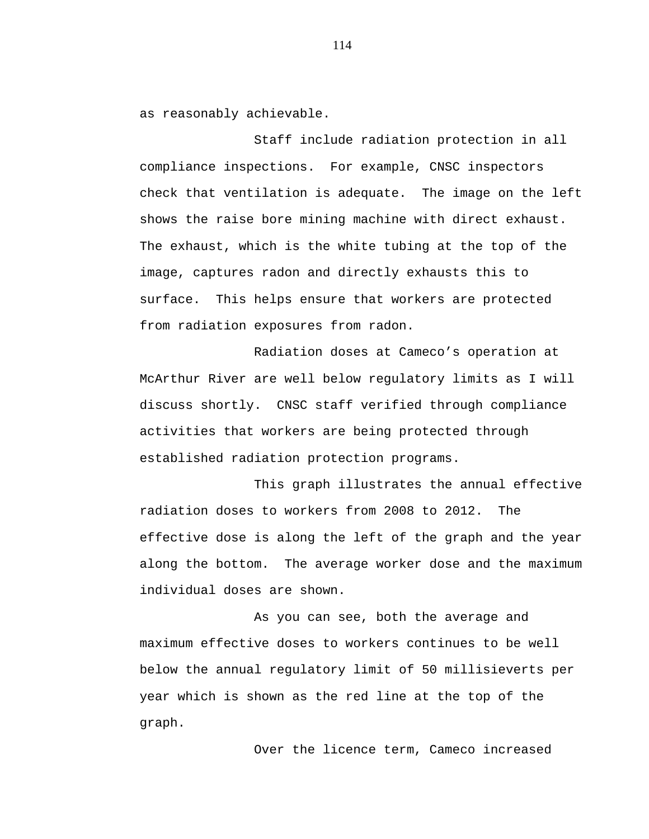as reasonably achievable.

Staff include radiation protection in all compliance inspections. For example, CNSC inspectors check that ventilation is adequate. The image on the left shows the raise bore mining machine with direct exhaust. The exhaust, which is the white tubing at the top of the image, captures radon and directly exhausts this to surface. This helps ensure that workers are protected from radiation exposures from radon.

Radiation doses at Cameco's operation at McArthur River are well below regulatory limits as I will discuss shortly. CNSC staff verified through compliance activities that workers are being protected through established radiation protection programs.

This graph illustrates the annual effective radiation doses to workers from 2008 to 2012. The effective dose is along the left of the graph and the year along the bottom. The average worker dose and the maximum individual doses are shown.

As you can see, both the average and maximum effective doses to workers continues to be well below the annual regulatory limit of 50 millisieverts per year which is shown as the red line at the top of the graph.

Over the licence term, Cameco increased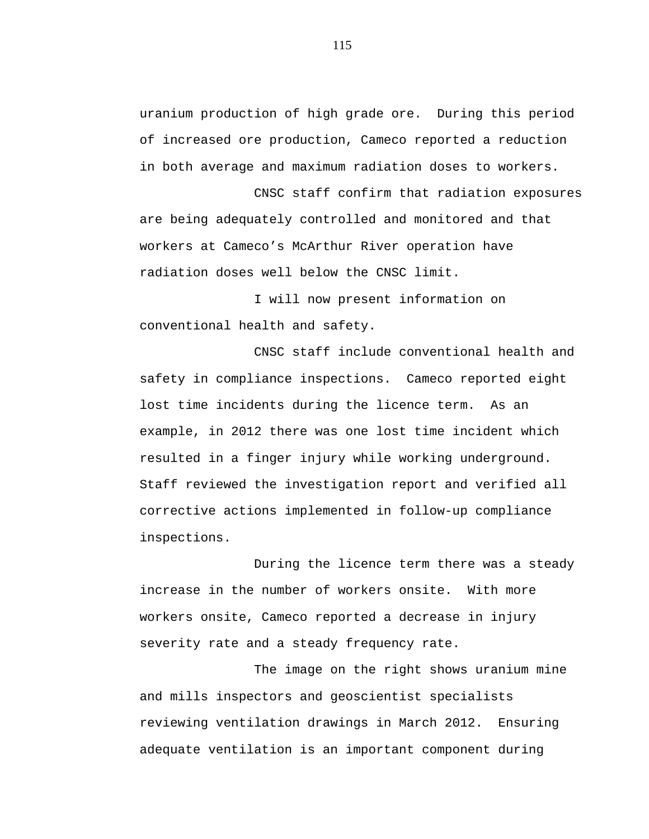uranium production of high grade ore. During this period of increased ore production, Cameco reported a reduction in both average and maximum radiation doses to workers.

CNSC staff confirm that radiation exposures are being adequately controlled and monitored and that workers at Cameco's McArthur River operation have radiation doses well below the CNSC limit.

I will now present information on conventional health and safety.

CNSC staff include conventional health and safety in compliance inspections. Cameco reported eight lost time incidents during the licence term. As an example, in 2012 there was one lost time incident which resulted in a finger injury while working underground. Staff reviewed the investigation report and verified all corrective actions implemented in follow-up compliance inspections.

During the licence term there was a steady increase in the number of workers onsite. With more workers onsite, Cameco reported a decrease in injury severity rate and a steady frequency rate.

The image on the right shows uranium mine and mills inspectors and geoscientist specialists reviewing ventilation drawings in March 2012. Ensuring adequate ventilation is an important component during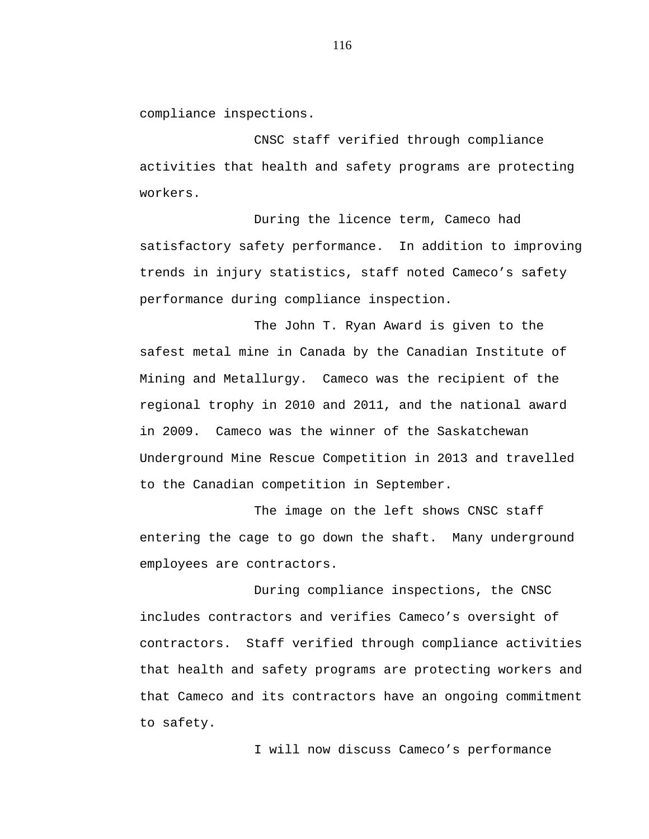compliance inspections.

CNSC staff verified through compliance activities that health and safety programs are protecting workers.

During the licence term, Cameco had satisfactory safety performance. In addition to improving trends in injury statistics, staff noted Cameco's safety performance during compliance inspection.

The John T. Ryan Award is given to the safest metal mine in Canada by the Canadian Institute of Mining and Metallurgy. Cameco was the recipient of the regional trophy in 2010 and 2011, and the national award in 2009. Cameco was the winner of the Saskatchewan Underground Mine Rescue Competition in 2013 and travelled to the Canadian competition in September.

The image on the left shows CNSC staff entering the cage to go down the shaft. Many underground employees are contractors.

During compliance inspections, the CNSC includes contractors and verifies Cameco's oversight of contractors. Staff verified through compliance activities that health and safety programs are protecting workers and that Cameco and its contractors have an ongoing commitment to safety.

I will now discuss Cameco's performance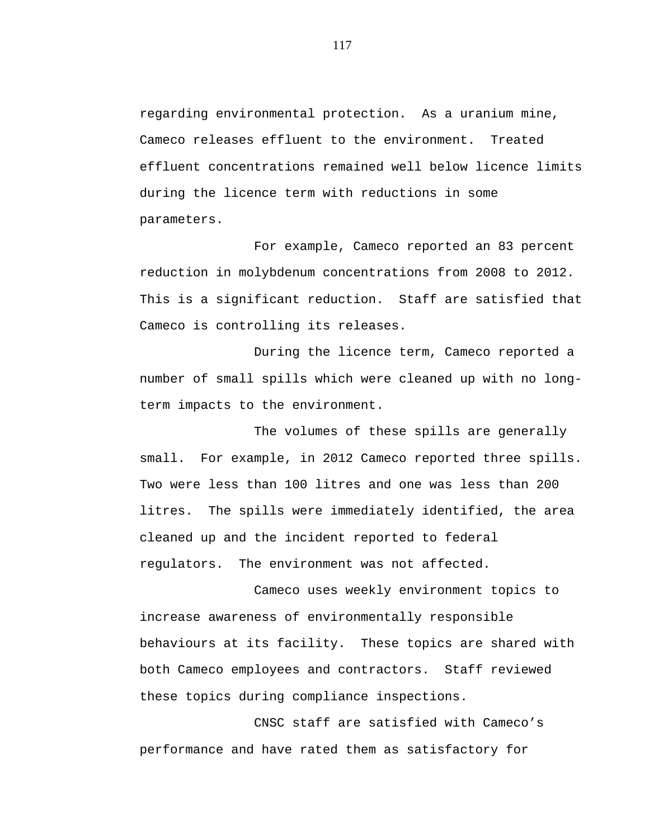regarding environmental protection. As a uranium mine, Cameco releases effluent to the environment. Treated effluent concentrations remained well below licence limits during the licence term with reductions in some parameters.

For example, Cameco reported an 83 percent reduction in molybdenum concentrations from 2008 to 2012. This is a significant reduction. Staff are satisfied that Cameco is controlling its releases.

During the licence term, Cameco reported a number of small spills which were cleaned up with no longterm impacts to the environment.

The volumes of these spills are generally small. For example, in 2012 Cameco reported three spills. Two were less than 100 litres and one was less than 200 litres. The spills were immediately identified, the area cleaned up and the incident reported to federal regulators. The environment was not affected.

Cameco uses weekly environment topics to increase awareness of environmentally responsible behaviours at its facility. These topics are shared with both Cameco employees and contractors. Staff reviewed these topics during compliance inspections.

CNSC staff are satisfied with Cameco's performance and have rated them as satisfactory for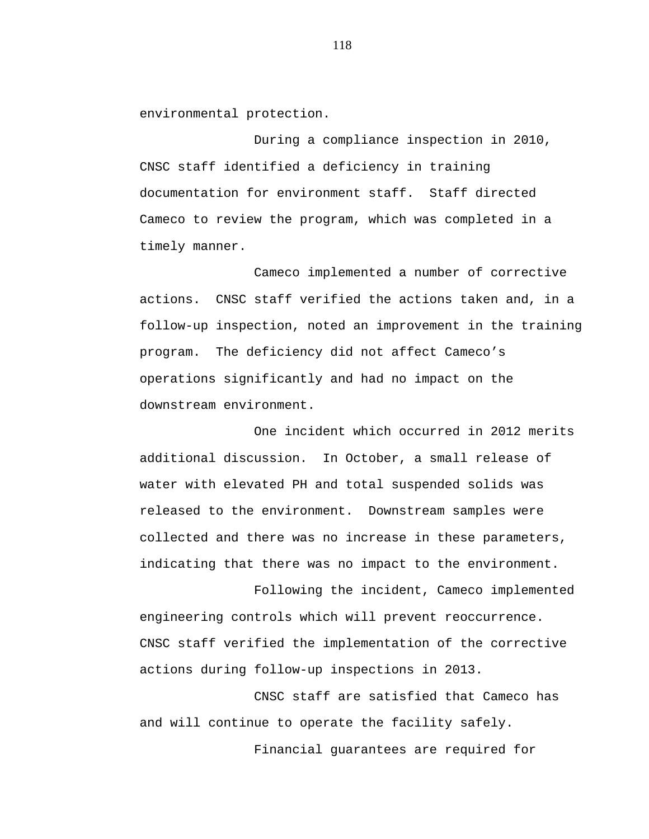environmental protection.

During a compliance inspection in 2010, CNSC staff identified a deficiency in training documentation for environment staff. Staff directed Cameco to review the program, which was completed in a timely manner.

Cameco implemented a number of corrective actions. CNSC staff verified the actions taken and, in a follow-up inspection, noted an improvement in the training program. The deficiency did not affect Cameco's operations significantly and had no impact on the downstream environment.

One incident which occurred in 2012 merits additional discussion. In October, a small release of water with elevated PH and total suspended solids was released to the environment. Downstream samples were collected and there was no increase in these parameters, indicating that there was no impact to the environment.

Following the incident, Cameco implemented engineering controls which will prevent reoccurrence. CNSC staff verified the implementation of the corrective actions during follow-up inspections in 2013.

CNSC staff are satisfied that Cameco has and will continue to operate the facility safely. Financial guarantees are required for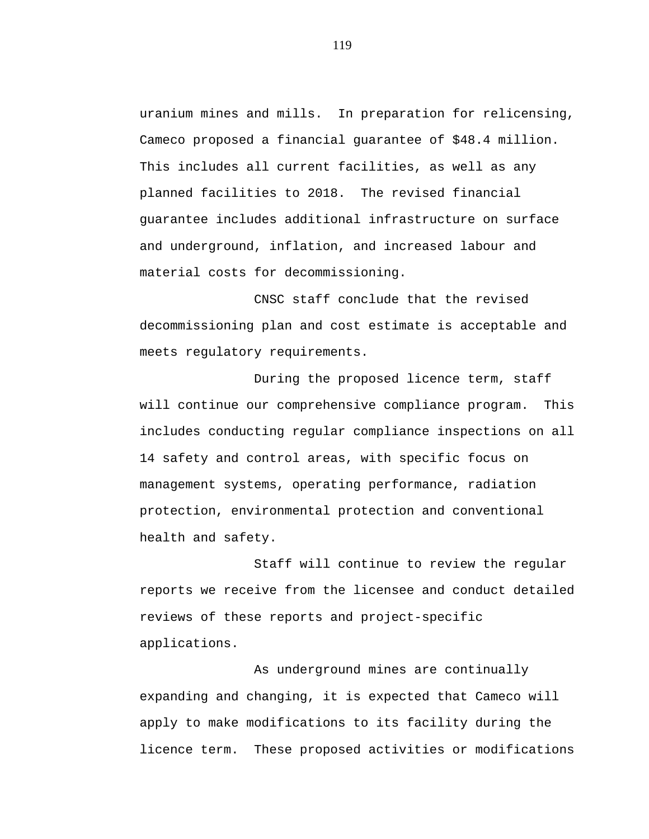uranium mines and mills. In preparation for relicensing, Cameco proposed a financial guarantee of \$48.4 million. This includes all current facilities, as well as any planned facilities to 2018. The revised financial guarantee includes additional infrastructure on surface and underground, inflation, and increased labour and material costs for decommissioning.

CNSC staff conclude that the revised decommissioning plan and cost estimate is acceptable and meets regulatory requirements.

During the proposed licence term, staff will continue our comprehensive compliance program. This includes conducting regular compliance inspections on all 14 safety and control areas, with specific focus on management systems, operating performance, radiation protection, environmental protection and conventional health and safety.

Staff will continue to review the regular reports we receive from the licensee and conduct detailed reviews of these reports and project-specific applications.

As underground mines are continually expanding and changing, it is expected that Cameco will apply to make modifications to its facility during the licence term. These proposed activities or modifications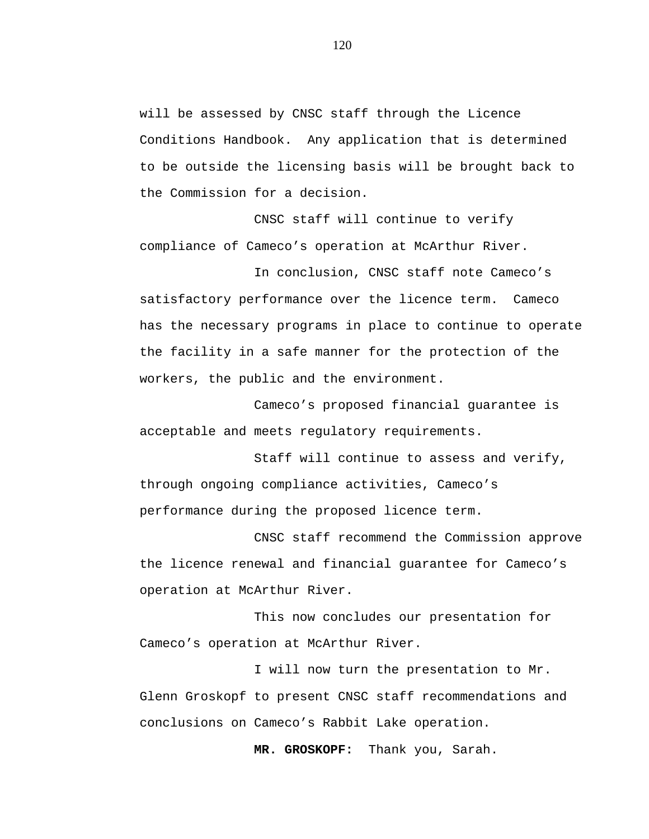will be assessed by CNSC staff through the Licence Conditions Handbook. Any application that is determined to be outside the licensing basis will be brought back to the Commission for a decision.

CNSC staff will continue to verify compliance of Cameco's operation at McArthur River.

In conclusion, CNSC staff note Cameco's satisfactory performance over the licence term. Cameco has the necessary programs in place to continue to operate the facility in a safe manner for the protection of the workers, the public and the environment.

Cameco's proposed financial guarantee is acceptable and meets regulatory requirements.

Staff will continue to assess and verify, through ongoing compliance activities, Cameco's performance during the proposed licence term.

CNSC staff recommend the Commission approve the licence renewal and financial guarantee for Cameco's operation at McArthur River.

This now concludes our presentation for Cameco's operation at McArthur River.

I will now turn the presentation to Mr. Glenn Groskopf to present CNSC staff recommendations and conclusions on Cameco's Rabbit Lake operation.

**MR. GROSKOPF:** Thank you, Sarah.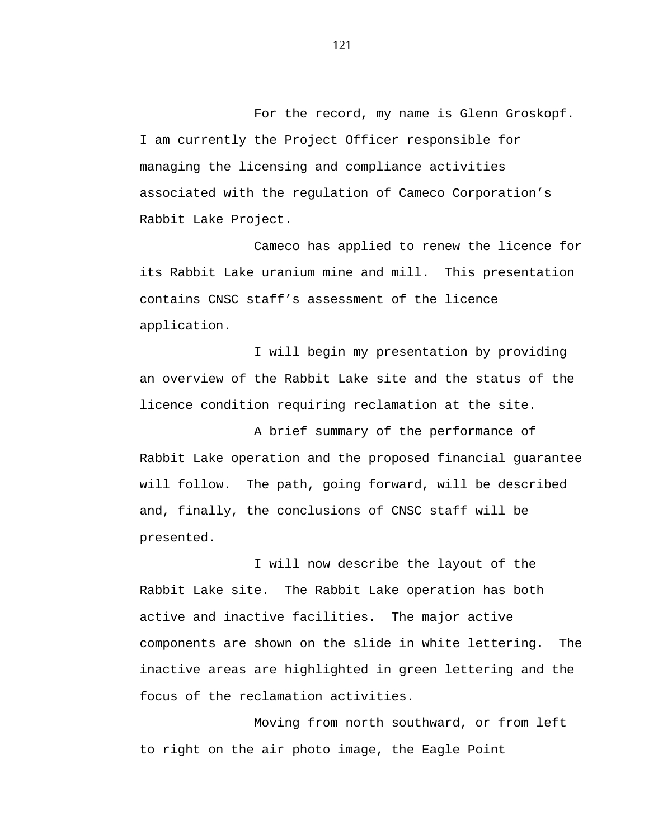For the record, my name is Glenn Groskopf. I am currently the Project Officer responsible for managing the licensing and compliance activities associated with the regulation of Cameco Corporation's Rabbit Lake Project.

Cameco has applied to renew the licence for its Rabbit Lake uranium mine and mill. This presentation contains CNSC staff's assessment of the licence application.

I will begin my presentation by providing an overview of the Rabbit Lake site and the status of the licence condition requiring reclamation at the site.

A brief summary of the performance of Rabbit Lake operation and the proposed financial guarantee will follow. The path, going forward, will be described and, finally, the conclusions of CNSC staff will be presented.

I will now describe the layout of the Rabbit Lake site. The Rabbit Lake operation has both active and inactive facilities. The major active components are shown on the slide in white lettering. The inactive areas are highlighted in green lettering and the focus of the reclamation activities.

Moving from north southward, or from left to right on the air photo image, the Eagle Point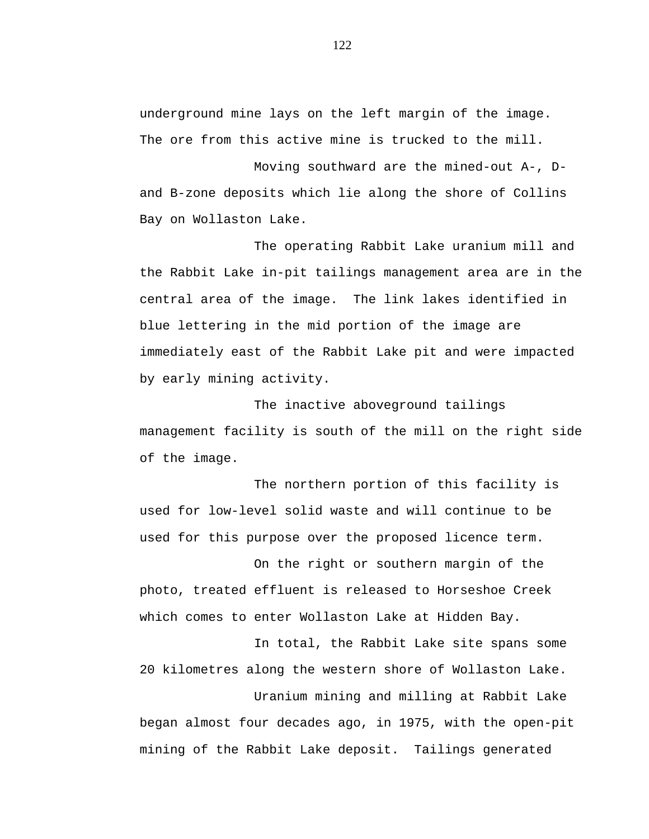underground mine lays on the left margin of the image. The ore from this active mine is trucked to the mill.

Moving southward are the mined-out A-, Dand B-zone deposits which lie along the shore of Collins Bay on Wollaston Lake.

The operating Rabbit Lake uranium mill and the Rabbit Lake in-pit tailings management area are in the central area of the image. The link lakes identified in blue lettering in the mid portion of the image are immediately east of the Rabbit Lake pit and were impacted by early mining activity.

The inactive aboveground tailings management facility is south of the mill on the right side of the image.

The northern portion of this facility is used for low-level solid waste and will continue to be used for this purpose over the proposed licence term.

On the right or southern margin of the photo, treated effluent is released to Horseshoe Creek which comes to enter Wollaston Lake at Hidden Bay.

In total, the Rabbit Lake site spans some 20 kilometres along the western shore of Wollaston Lake.

Uranium mining and milling at Rabbit Lake began almost four decades ago, in 1975, with the open-pit mining of the Rabbit Lake deposit. Tailings generated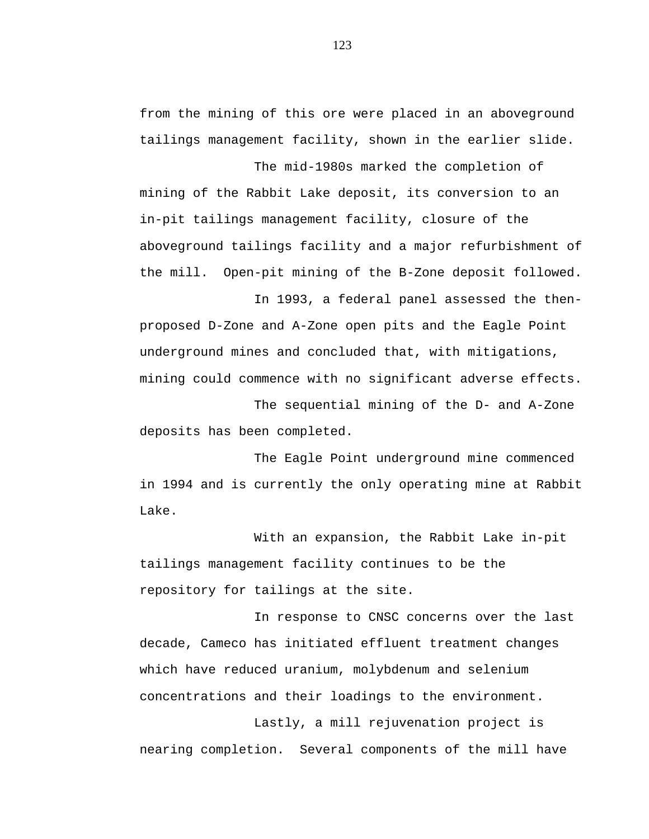from the mining of this ore were placed in an aboveground tailings management facility, shown in the earlier slide.

The mid-1980s marked the completion of mining of the Rabbit Lake deposit, its conversion to an in-pit tailings management facility, closure of the aboveground tailings facility and a major refurbishment of the mill. Open-pit mining of the B-Zone deposit followed.

In 1993, a federal panel assessed the thenproposed D-Zone and A-Zone open pits and the Eagle Point underground mines and concluded that, with mitigations, mining could commence with no significant adverse effects.

The sequential mining of the D- and A-Zone deposits has been completed.

The Eagle Point underground mine commenced in 1994 and is currently the only operating mine at Rabbit Lake.

With an expansion, the Rabbit Lake in-pit tailings management facility continues to be the repository for tailings at the site.

In response to CNSC concerns over the last decade, Cameco has initiated effluent treatment changes which have reduced uranium, molybdenum and selenium concentrations and their loadings to the environment.

Lastly, a mill rejuvenation project is nearing completion. Several components of the mill have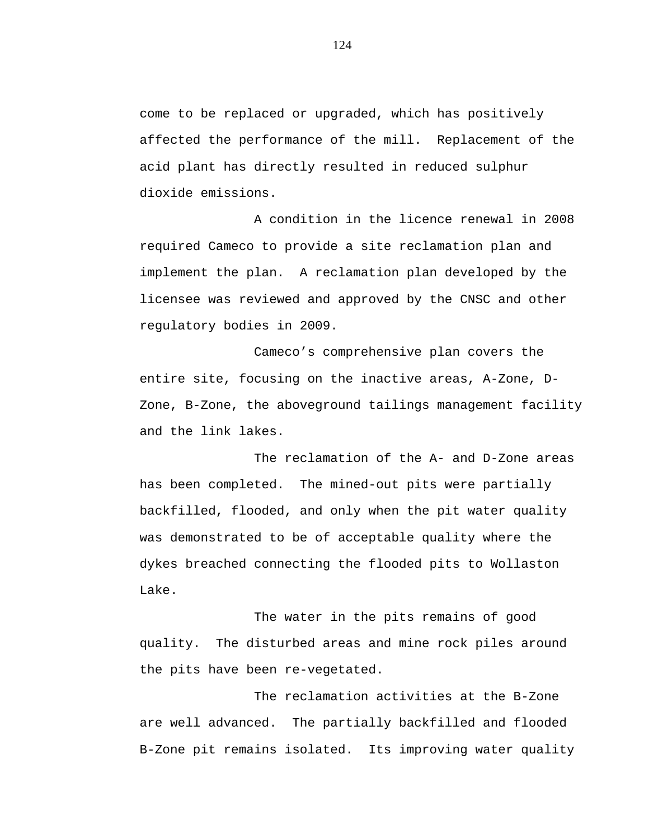come to be replaced or upgraded, which has positively affected the performance of the mill. Replacement of the acid plant has directly resulted in reduced sulphur dioxide emissions.

A condition in the licence renewal in 2008 required Cameco to provide a site reclamation plan and implement the plan. A reclamation plan developed by the licensee was reviewed and approved by the CNSC and other regulatory bodies in 2009.

Cameco's comprehensive plan covers the entire site, focusing on the inactive areas, A-Zone, D-Zone, B-Zone, the aboveground tailings management facility and the link lakes.

The reclamation of the A- and D-Zone areas has been completed. The mined-out pits were partially backfilled, flooded, and only when the pit water quality was demonstrated to be of acceptable quality where the dykes breached connecting the flooded pits to Wollaston Lake.

The water in the pits remains of good quality. The disturbed areas and mine rock piles around the pits have been re-vegetated.

The reclamation activities at the B-Zone are well advanced. The partially backfilled and flooded B-Zone pit remains isolated. Its improving water quality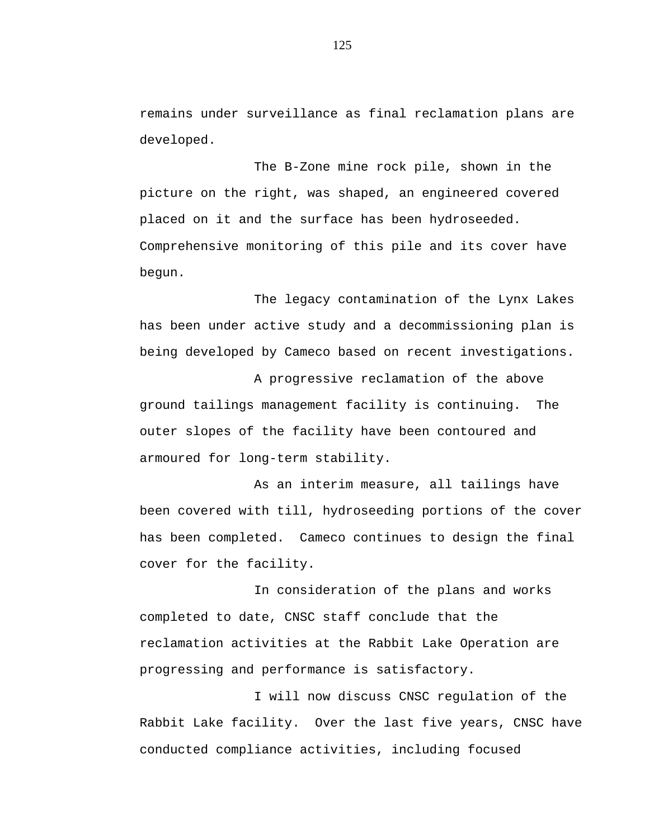remains under surveillance as final reclamation plans are developed.

The B-Zone mine rock pile, shown in the picture on the right, was shaped, an engineered covered placed on it and the surface has been hydroseeded. Comprehensive monitoring of this pile and its cover have begun.

The legacy contamination of the Lynx Lakes has been under active study and a decommissioning plan is being developed by Cameco based on recent investigations.

A progressive reclamation of the above ground tailings management facility is continuing. The outer slopes of the facility have been contoured and armoured for long-term stability.

As an interim measure, all tailings have been covered with till, hydroseeding portions of the cover has been completed. Cameco continues to design the final cover for the facility.

In consideration of the plans and works completed to date, CNSC staff conclude that the reclamation activities at the Rabbit Lake Operation are progressing and performance is satisfactory.

I will now discuss CNSC regulation of the Rabbit Lake facility. Over the last five years, CNSC have conducted compliance activities, including focused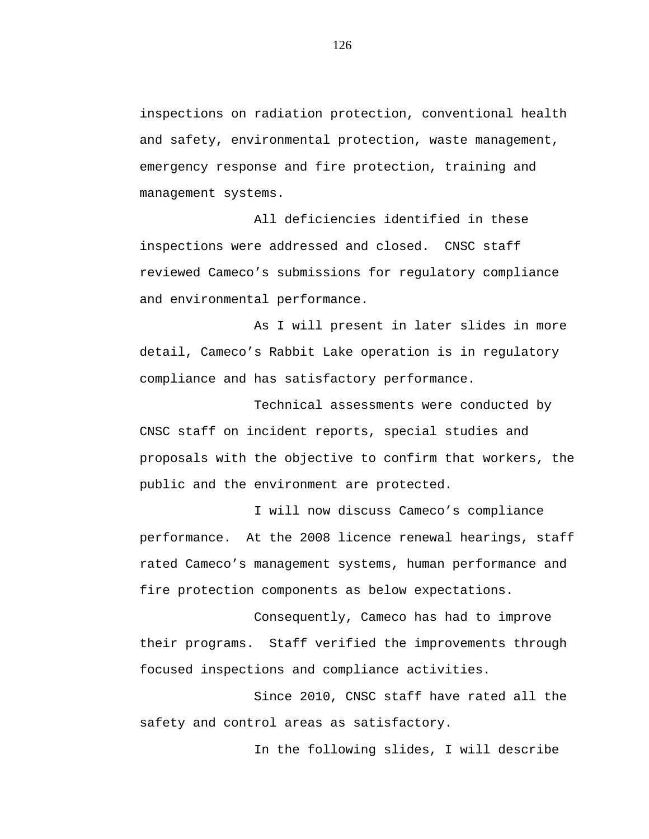inspections on radiation protection, conventional health and safety, environmental protection, waste management, emergency response and fire protection, training and management systems.

All deficiencies identified in these inspections were addressed and closed. CNSC staff reviewed Cameco's submissions for regulatory compliance and environmental performance.

As I will present in later slides in more detail, Cameco's Rabbit Lake operation is in regulatory compliance and has satisfactory performance.

Technical assessments were conducted by CNSC staff on incident reports, special studies and proposals with the objective to confirm that workers, the public and the environment are protected.

I will now discuss Cameco's compliance performance. At the 2008 licence renewal hearings, staff rated Cameco's management systems, human performance and fire protection components as below expectations.

Consequently, Cameco has had to improve their programs. Staff verified the improvements through focused inspections and compliance activities.

Since 2010, CNSC staff have rated all the safety and control areas as satisfactory.

In the following slides, I will describe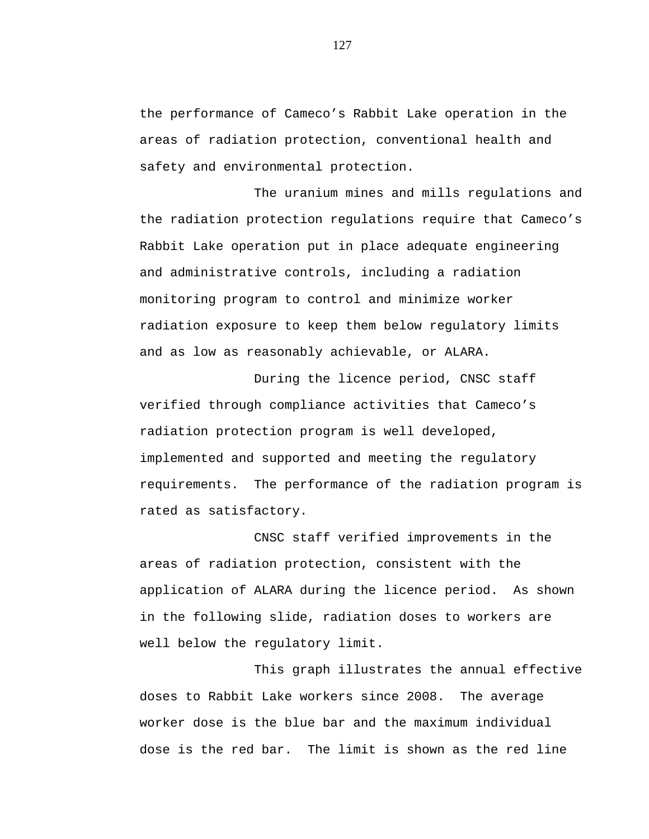the performance of Cameco's Rabbit Lake operation in the areas of radiation protection, conventional health and safety and environmental protection.

The uranium mines and mills regulations and the radiation protection regulations require that Cameco's Rabbit Lake operation put in place adequate engineering and administrative controls, including a radiation monitoring program to control and minimize worker radiation exposure to keep them below regulatory limits and as low as reasonably achievable, or ALARA.

During the licence period, CNSC staff verified through compliance activities that Cameco's radiation protection program is well developed, implemented and supported and meeting the regulatory requirements. The performance of the radiation program is rated as satisfactory.

CNSC staff verified improvements in the areas of radiation protection, consistent with the application of ALARA during the licence period. As shown in the following slide, radiation doses to workers are well below the regulatory limit.

This graph illustrates the annual effective doses to Rabbit Lake workers since 2008. The average worker dose is the blue bar and the maximum individual dose is the red bar. The limit is shown as the red line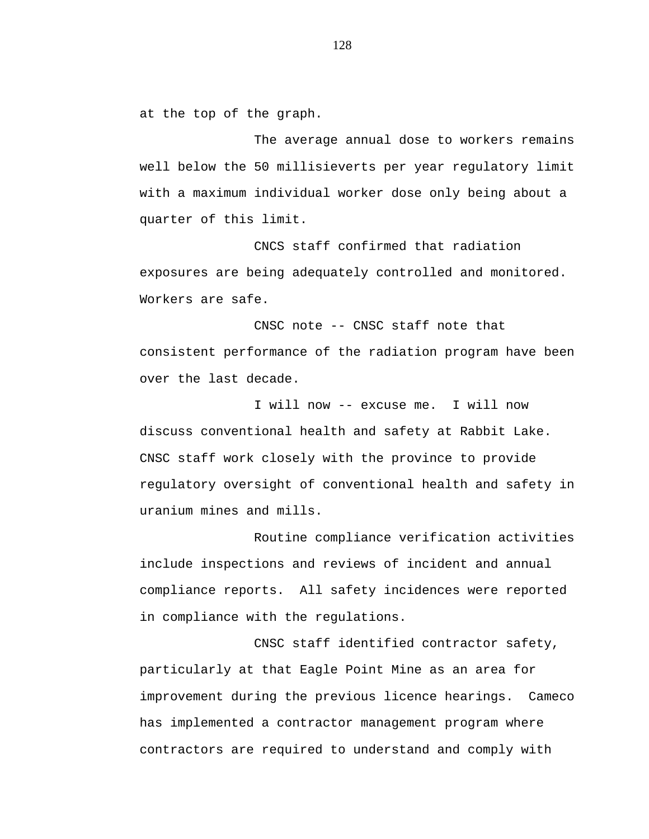at the top of the graph.

The average annual dose to workers remains well below the 50 millisieverts per year regulatory limit with a maximum individual worker dose only being about a quarter of this limit.

CNCS staff confirmed that radiation exposures are being adequately controlled and monitored. Workers are safe.

CNSC note -- CNSC staff note that consistent performance of the radiation program have been over the last decade.

I will now -- excuse me. I will now discuss conventional health and safety at Rabbit Lake. CNSC staff work closely with the province to provide regulatory oversight of conventional health and safety in uranium mines and mills.

Routine compliance verification activities include inspections and reviews of incident and annual compliance reports. All safety incidences were reported in compliance with the regulations.

CNSC staff identified contractor safety, particularly at that Eagle Point Mine as an area for improvement during the previous licence hearings. Cameco has implemented a contractor management program where contractors are required to understand and comply with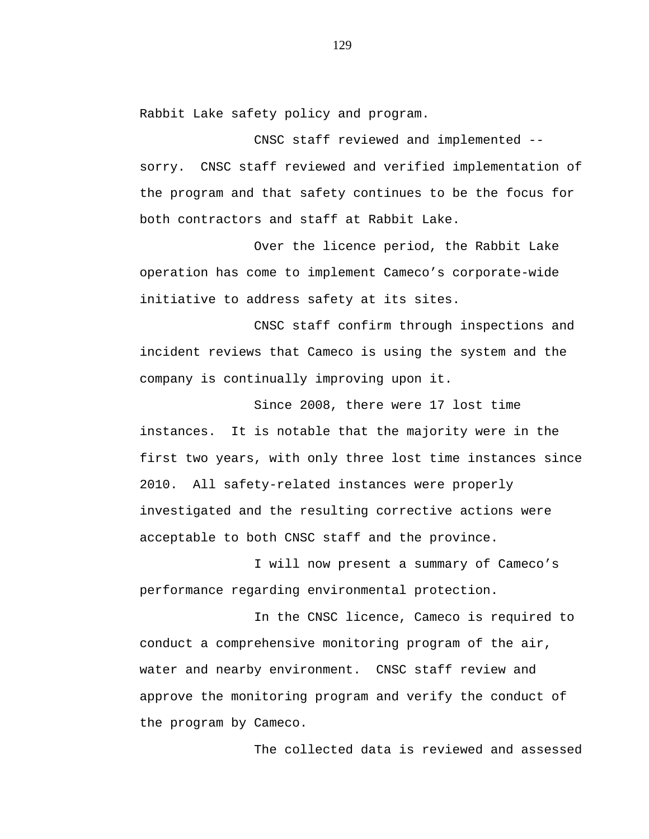Rabbit Lake safety policy and program.

CNSC staff reviewed and implemented - sorry. CNSC staff reviewed and verified implementation of the program and that safety continues to be the focus for both contractors and staff at Rabbit Lake.

Over the licence period, the Rabbit Lake operation has come to implement Cameco's corporate-wide initiative to address safety at its sites.

CNSC staff confirm through inspections and incident reviews that Cameco is using the system and the company is continually improving upon it.

Since 2008, there were 17 lost time instances. It is notable that the majority were in the first two years, with only three lost time instances since 2010. All safety-related instances were properly investigated and the resulting corrective actions were acceptable to both CNSC staff and the province.

I will now present a summary of Cameco's performance regarding environmental protection.

In the CNSC licence, Cameco is required to conduct a comprehensive monitoring program of the air, water and nearby environment. CNSC staff review and approve the monitoring program and verify the conduct of the program by Cameco.

The collected data is reviewed and assessed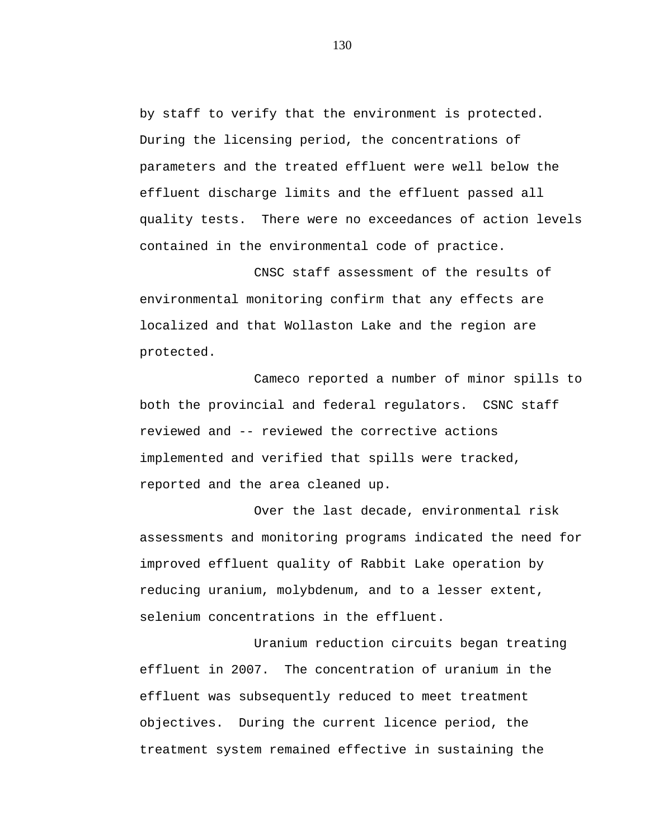by staff to verify that the environment is protected. During the licensing period, the concentrations of parameters and the treated effluent were well below the effluent discharge limits and the effluent passed all quality tests. There were no exceedances of action levels contained in the environmental code of practice.

CNSC staff assessment of the results of environmental monitoring confirm that any effects are localized and that Wollaston Lake and the region are protected.

Cameco reported a number of minor spills to both the provincial and federal regulators. CSNC staff reviewed and -- reviewed the corrective actions implemented and verified that spills were tracked, reported and the area cleaned up.

Over the last decade, environmental risk assessments and monitoring programs indicated the need for improved effluent quality of Rabbit Lake operation by reducing uranium, molybdenum, and to a lesser extent, selenium concentrations in the effluent.

Uranium reduction circuits began treating effluent in 2007. The concentration of uranium in the effluent was subsequently reduced to meet treatment objectives. During the current licence period, the treatment system remained effective in sustaining the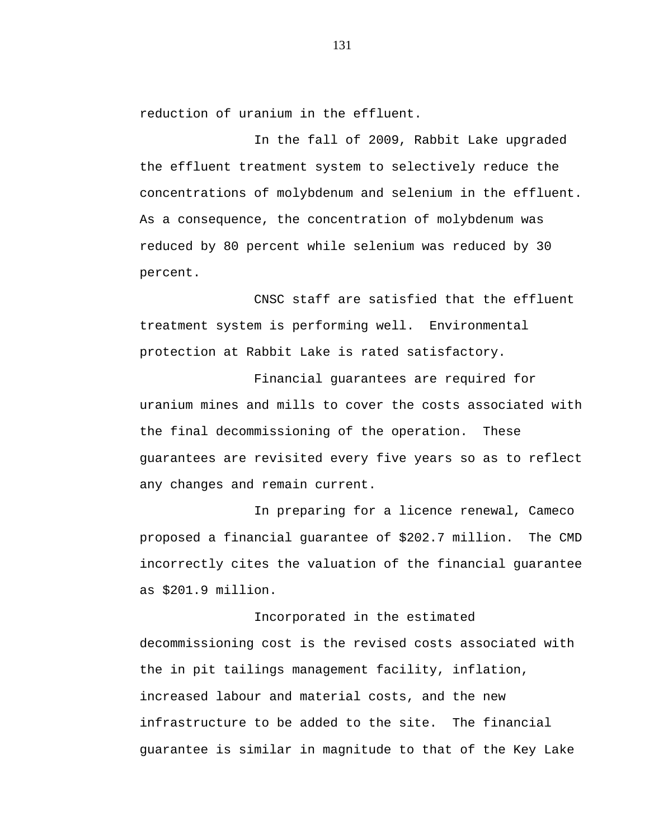reduction of uranium in the effluent.

In the fall of 2009, Rabbit Lake upgraded the effluent treatment system to selectively reduce the concentrations of molybdenum and selenium in the effluent. As a consequence, the concentration of molybdenum was reduced by 80 percent while selenium was reduced by 30 percent.

CNSC staff are satisfied that the effluent treatment system is performing well. Environmental protection at Rabbit Lake is rated satisfactory.

Financial guarantees are required for uranium mines and mills to cover the costs associated with the final decommissioning of the operation. These guarantees are revisited every five years so as to reflect any changes and remain current.

In preparing for a licence renewal, Cameco proposed a financial guarantee of \$202.7 million. The CMD incorrectly cites the valuation of the financial guarantee as \$201.9 million.

Incorporated in the estimated decommissioning cost is the revised costs associated with the in pit tailings management facility, inflation, increased labour and material costs, and the new infrastructure to be added to the site. The financial guarantee is similar in magnitude to that of the Key Lake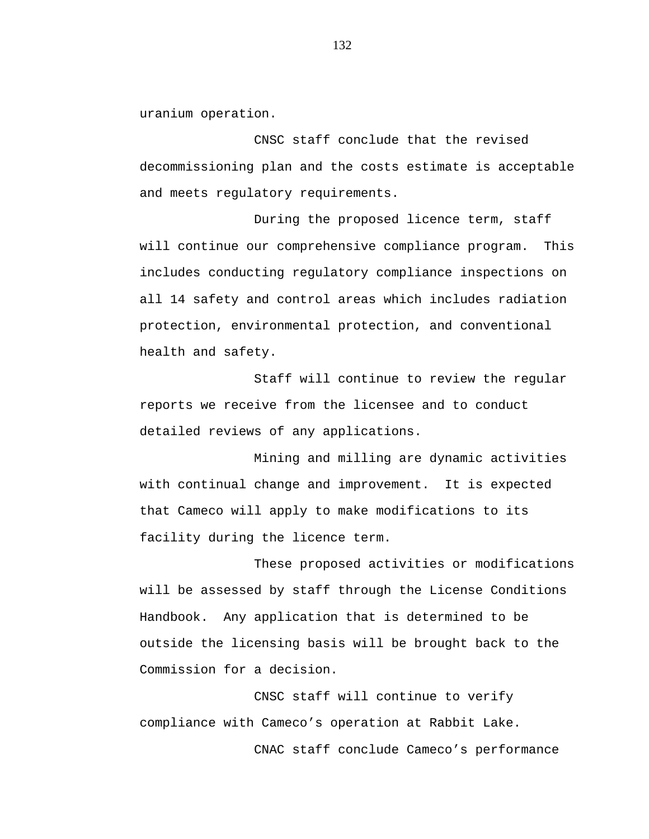uranium operation.

CNSC staff conclude that the revised decommissioning plan and the costs estimate is acceptable and meets regulatory requirements.

During the proposed licence term, staff will continue our comprehensive compliance program. This includes conducting regulatory compliance inspections on all 14 safety and control areas which includes radiation protection, environmental protection, and conventional health and safety.

Staff will continue to review the regular reports we receive from the licensee and to conduct detailed reviews of any applications.

Mining and milling are dynamic activities with continual change and improvement. It is expected that Cameco will apply to make modifications to its facility during the licence term.

These proposed activities or modifications will be assessed by staff through the License Conditions Handbook. Any application that is determined to be outside the licensing basis will be brought back to the Commission for a decision.

CNSC staff will continue to verify compliance with Cameco's operation at Rabbit Lake. CNAC staff conclude Cameco's performance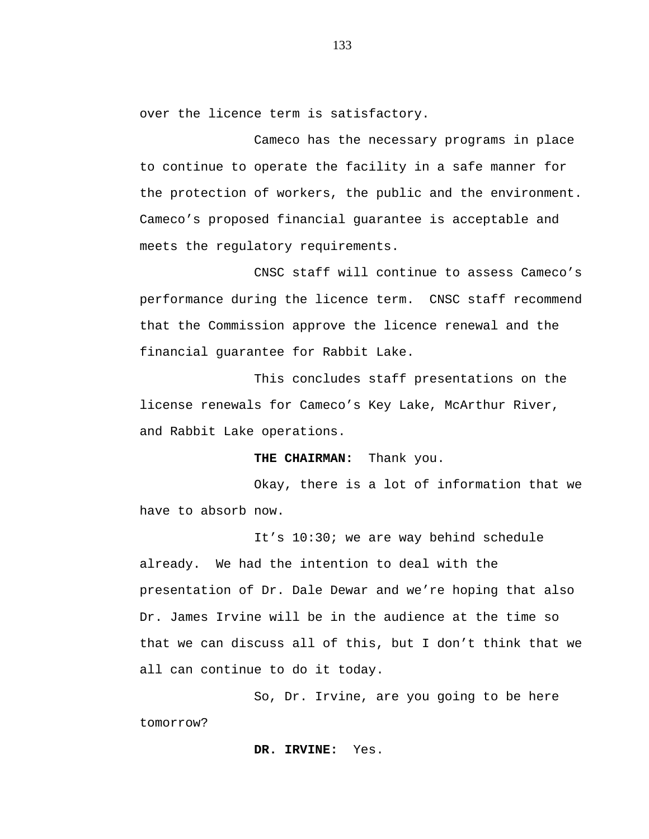over the licence term is satisfactory.

Cameco has the necessary programs in place to continue to operate the facility in a safe manner for the protection of workers, the public and the environment. Cameco's proposed financial guarantee is acceptable and meets the regulatory requirements.

CNSC staff will continue to assess Cameco's performance during the licence term. CNSC staff recommend that the Commission approve the licence renewal and the financial guarantee for Rabbit Lake.

This concludes staff presentations on the license renewals for Cameco's Key Lake, McArthur River, and Rabbit Lake operations.

## **THE CHAIRMAN:** Thank you.

Okay, there is a lot of information that we have to absorb now.

It's 10:30; we are way behind schedule already. We had the intention to deal with the presentation of Dr. Dale Dewar and we're hoping that also Dr. James Irvine will be in the audience at the time so that we can discuss all of this, but I don't think that we all can continue to do it today.

So, Dr. Irvine, are you going to be here tomorrow?

**DR. IRVINE:** Yes.